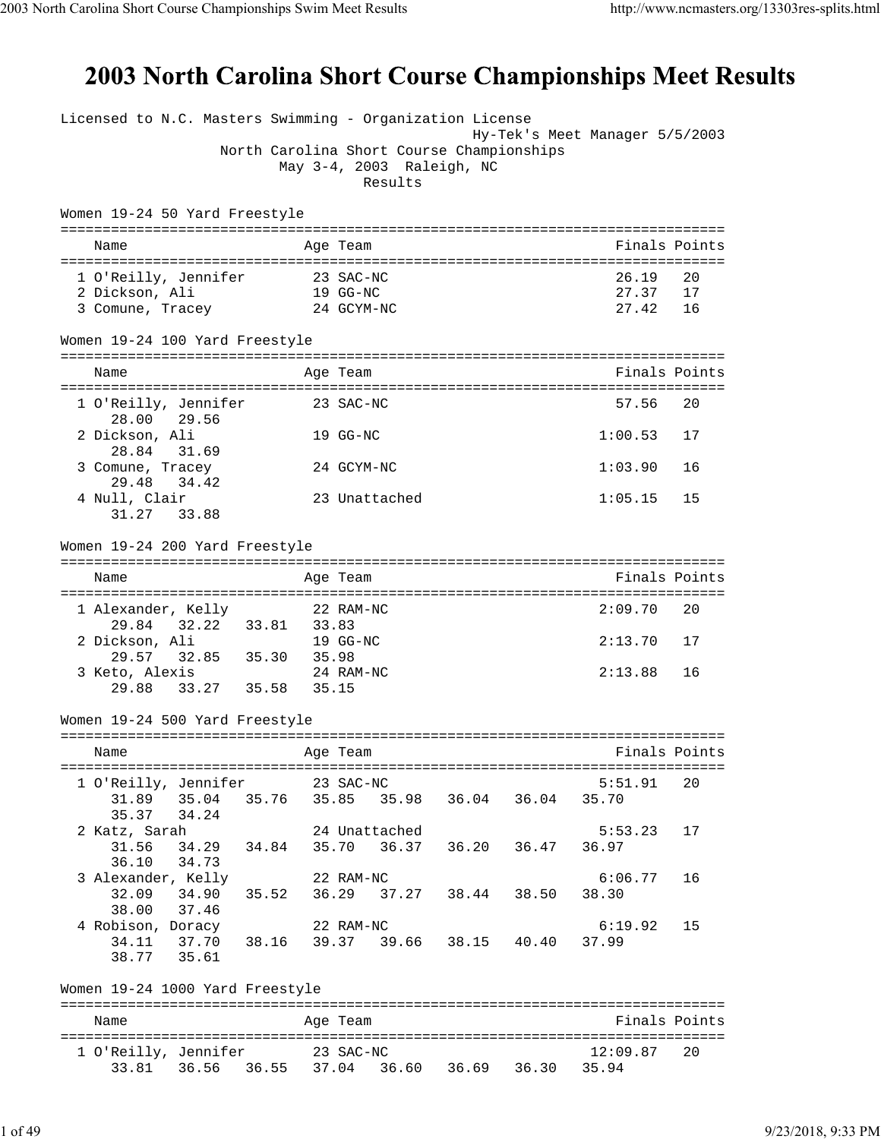## 2003 North Carolina Short Course Championships Meet Results

|                                              | Licensed to N.C. Masters Swimming - Organization License<br>Hy-Tek's Meet Manager 5/5/2003 |          |               |
|----------------------------------------------|--------------------------------------------------------------------------------------------|----------|---------------|
|                                              | North Carolina Short Course Championships                                                  |          |               |
|                                              | May 3-4, 2003 Raleigh, NC<br>Results                                                       |          |               |
|                                              |                                                                                            |          |               |
| Women 19-24 50 Yard Freestyle                |                                                                                            |          |               |
| Name                                         | Age Team                                                                                   |          | Finals Points |
| 1 O'Reilly, Jennifer                         | 23 SAC-NC                                                                                  | 26.19    | 20            |
| 2 Dickson, Ali                               | 19 GG-NC                                                                                   | 27.37    | 17            |
| 3 Comune, Tracey                             | 24 GCYM-NC                                                                                 | 27.42    | 16            |
| Women 19-24 100 Yard Freestyle               |                                                                                            |          |               |
| Name                                         | Age Team                                                                                   |          | Finals Points |
| 1 O'Reilly, Jennifer                         | 23 SAC-NC                                                                                  | 57.56    | 20            |
| 28.00 29.56                                  |                                                                                            |          |               |
| 2 Dickson, Ali                               | 19 GG-NC                                                                                   | 1:00.53  | 17            |
| 28.84<br>31.69<br>3 Comune, Tracey           | 24 GCYM-NC                                                                                 | 1:03.90  | 16            |
| 29.48<br>34.42                               |                                                                                            |          |               |
| 4 Null, Clair                                | 23 Unattached                                                                              | 1:05.15  | 15            |
| 31.27<br>33.88                               |                                                                                            |          |               |
| Women 19-24 200 Yard Freestyle               |                                                                                            |          |               |
| Name                                         | ==============================<br>Age Team                                                 |          | Finals Points |
|                                              |                                                                                            |          |               |
| 1 Alexander, Kelly                           | 22 RAM-NC                                                                                  | 2:09.70  | 20            |
| 32.22 33.81 33.83<br>29.84<br>2 Dickson, Ali | 19 GG-NC                                                                                   | 2:13.70  | 17            |
| 32.85 35.30<br>29.57                         | 35.98                                                                                      |          |               |
| 3 Keto, Alexis                               | 24 RAM-NC                                                                                  | 2:13.88  | 16            |
| 33.27 35.58<br>29.88                         | 35.15                                                                                      |          |               |
| Women 19-24 500 Yard Freestyle               |                                                                                            |          |               |
| Name                                         | Age Team                                                                                   |          | Finals Points |
|                                              |                                                                                            |          |               |
| 1 O'Reilly, Jennifer 23 SAC-NC               |                                                                                            | 5:51.91  | 20            |
| 35.37<br>34.24                               |                                                                                            |          |               |
| 2 Katz, Sarah 1988 24 Unattached             |                                                                                            | 5:53.23  | 17            |
|                                              | 31.56  34.29  34.84  35.70  36.37  36.20  36.47  36.97                                     |          |               |
| 36.10 34.73                                  |                                                                                            |          |               |
|                                              | 3 Alexander, Kelly 22 RAM-NC 6:0<br>32.09 34.90 35.52 36.29 37.27 38.44 38.50 38.30        | 6:06.77  | 16            |
| 38.00 37.46                                  |                                                                                            |          |               |
| 4 Robison, Doracy 22 RAM-NC                  |                                                                                            | 6:19.92  | 15            |
|                                              | 34.11 37.70 38.16 39.37 39.66 38.15 40.40 37.99                                            |          |               |
| 38.77 35.61                                  |                                                                                            |          |               |
| Women 19-24 1000 Yard Freestyle              |                                                                                            |          |               |
| Name                                         | Age Team                                                                                   |          | Finals Points |
|                                              |                                                                                            |          |               |
| 1 O'Reilly, Jennifer 23 SAC-NC               | 33.81  36.56  36.55  37.04  36.60  36.69  36.30  35.94                                     | 12:09.87 | 20            |
|                                              |                                                                                            |          |               |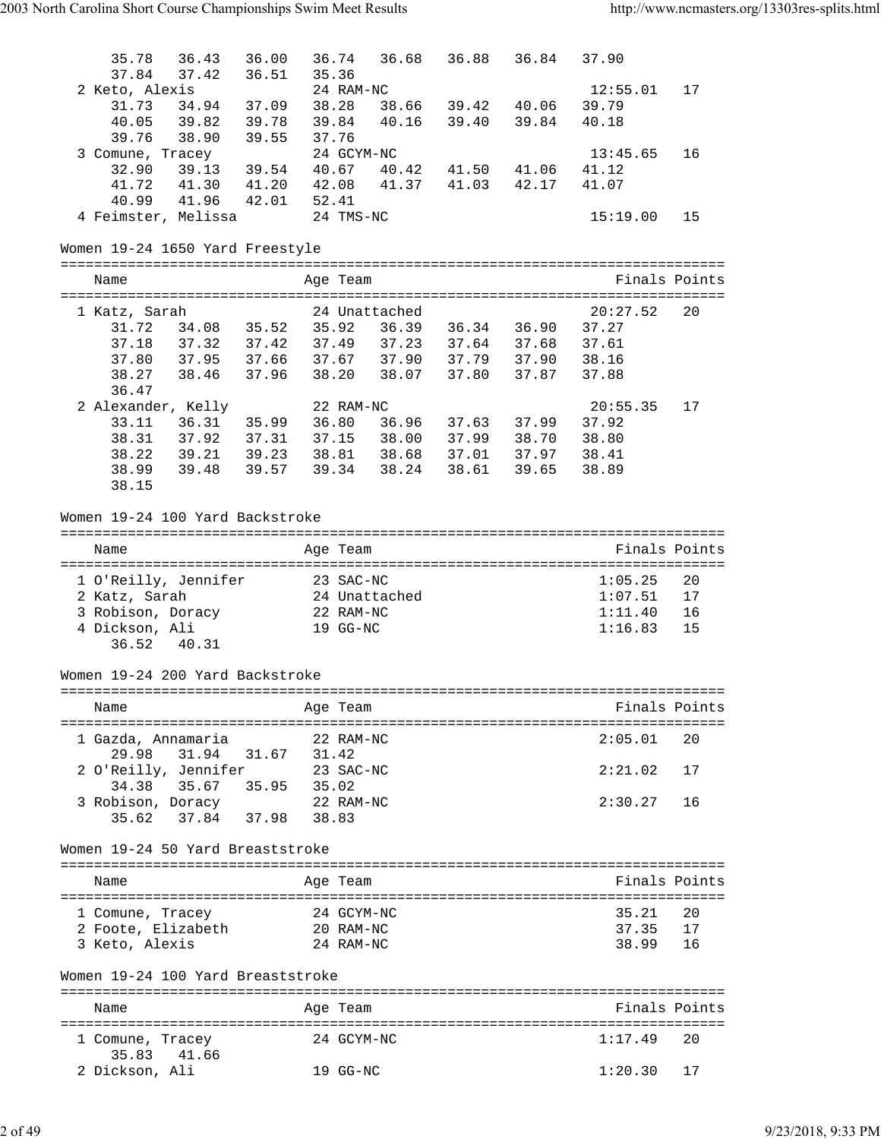| 35.78<br>36.43                                                                                                                 | 36.00               | 36.74<br>36.68                                                             | 36.88 36.84       |             | 37.90          |               |
|--------------------------------------------------------------------------------------------------------------------------------|---------------------|----------------------------------------------------------------------------|-------------------|-------------|----------------|---------------|
| 37.84<br>37.42                                                                                                                 | 36.51               | 35.36                                                                      |                   |             |                |               |
| 2 Keto, Alexis                                                                                                                 |                     | 24 RAM-NC                                                                  |                   |             | 12:55.01       | 17            |
| 31.73<br>40.05<br>39.82 39.78                                                                                                  | 34.94 37.09 38.28   | 39.84 40.16 39.40                                                          | 38.66 39.42 40.06 | 39.84       | 39.79<br>40.18 |               |
| 39.76<br>38.90 39.55                                                                                                           |                     | 37.76                                                                      |                   |             |                |               |
| 3 Comune, Tracey                                                                                                               |                     | 24 GCYM-NC                                                                 |                   |             | 13:45.65       | 16            |
| 32.90                                                                                                                          |                     | 39.13 39.54 40.67 40.42 41.50 41.06                                        |                   |             | 41.12          |               |
| 41.72                                                                                                                          |                     | 41.30 41.20 42.08 41.37 41.03 42.17                                        |                   |             | 41.07          |               |
| 40.99                                                                                                                          | 41.96  42.01  52.41 |                                                                            |                   |             |                |               |
| 4 Feimster, Melissa 24 TMS-NC                                                                                                  |                     |                                                                            |                   |             | 15:19.00       | 15            |
| Women 19-24 1650 Yard Freestyle                                                                                                |                     |                                                                            |                   |             |                |               |
| Name                                                                                                                           |                     | Age Team                                                                   |                   |             |                | Finals Points |
|                                                                                                                                |                     |                                                                            |                   |             |                |               |
| 1 Katz, Sarah                                                                                                                  |                     | 24 Unattached                                                              |                   |             | 20:27.52       | 20            |
| 31.72   34.08   35.52   35.92   36.39   36.34   36.90   37.27<br>37.18   37.32   37.42   37.49   37.23   37.64   37.68   37.61 |                     |                                                                            |                   |             |                |               |
|                                                                                                                                |                     | 37.95 37.66 37.67 37.90 37.79 37.90 38.16                                  |                   |             |                |               |
| 37.80<br>38.27                                                                                                                 |                     | 38.46 37.96 38.20 38.07 37.80 37.87                                        |                   |             | 37.88          |               |
| 36.47                                                                                                                          |                     |                                                                            |                   |             |                |               |
| 2 Alexander, Kelly                                                                                                             |                     | 22 RAM-NC                                                                  |                   |             | 20:55.35       | 17            |
| 33.11                                                                                                                          |                     |                                                                            |                   |             | 37.92          |               |
| 38.31                                                                                                                          |                     | 36.31 35.99 36.80 36.96 37.63 37.99<br>37.92 37.31 37.15 38.00 37.99 38.70 |                   |             | 38.80          |               |
| 38.22                                                                                                                          |                     | 39.21 39.23 38.81 38.68                                                    | 37.01 37.97 38.41 |             |                |               |
| 38.99                                                                                                                          |                     | 39.48 39.57 39.34 38.24                                                    |                   | 38.61 39.65 | 38.89          |               |
| 38.15                                                                                                                          |                     |                                                                            |                   |             |                |               |
| Women 19-24 100 Yard Backstroke                                                                                                |                     |                                                                            |                   |             |                |               |
|                                                                                                                                |                     |                                                                            |                   |             |                |               |
| Name                                                                                                                           |                     | Age Team                                                                   |                   |             |                | Finals Points |
| 1 O'Reilly, Jennifer                                                                                                           | 23 SAC-NC           |                                                                            |                   |             | 1:05.25        | 20            |
| 2 Katz, Sarah                                                                                                                  |                     | 24 Unattached                                                              |                   |             | 1:07.51        | 17            |
| 3 Robison, Doracy                                                                                                              |                     | 22 RAM-NC                                                                  |                   |             | 1:11.40        | 16            |
| 4 Dickson, Ali                                                                                                                 |                     | 19 GG-NC                                                                   |                   |             | 1:16.83        | 15            |
| 36.52<br>40.31                                                                                                                 |                     |                                                                            |                   |             |                |               |
| Women 19-24 200 Yard Backstroke                                                                                                |                     |                                                                            |                   |             |                |               |
| Name                                                                                                                           |                     | Age Team                                                                   |                   |             |                | Finals Points |
|                                                                                                                                |                     |                                                                            |                   |             |                |               |
| 1 Gazda, Annamaria                                                                                                             |                     | 22 RAM-NC                                                                  |                   |             | 2:05.01        | 20            |
| 29.98<br>31.94                                                                                                                 | 31.42<br>31.67      |                                                                            |                   |             |                |               |
| 2 O'Reilly, Jennifer                                                                                                           |                     | 23 SAC-NC                                                                  |                   |             | 2:21.02        | 17            |
| 35.67 35.95<br>34.38                                                                                                           | 35.02               |                                                                            |                   |             |                |               |
| 3 Robison, Doracy                                                                                                              |                     | 22 RAM-NC                                                                  |                   |             | 2:30.27        | 16            |
| $37.84$ $37.98$<br>35.62                                                                                                       | 38.83               |                                                                            |                   |             |                |               |
| Women 19-24 50 Yard Breaststroke                                                                                               |                     |                                                                            |                   |             |                |               |
|                                                                                                                                |                     |                                                                            |                   |             |                |               |
| Name                                                                                                                           |                     | Age Team                                                                   |                   |             |                | Finals Points |
| 1 Comune, Tracey                                                                                                               |                     | 24 GCYM-NC                                                                 |                   |             | 35.21          | 20            |
| 2 Foote, Elizabeth                                                                                                             |                     | 20 RAM-NC                                                                  |                   |             | 37.35          | 17            |
| 3 Keto, Alexis                                                                                                                 |                     | 24 RAM-NC                                                                  |                   |             | 38.99          | 16            |
| Women 19-24 100 Yard Breaststroke                                                                                              |                     |                                                                            |                   |             |                |               |
|                                                                                                                                |                     |                                                                            |                   |             |                |               |
| Name                                                                                                                           |                     | Age Team                                                                   |                   |             |                | Finals Points |
| 1 Comune, Tracey<br>35.83<br>41.66                                                                                             |                     | 24 GCYM-NC                                                                 |                   |             | 1:17.49        | 20            |
| 2 Dickson, Ali                                                                                                                 |                     | 19 GG-NC                                                                   |                   |             | 1:20.30        | 17            |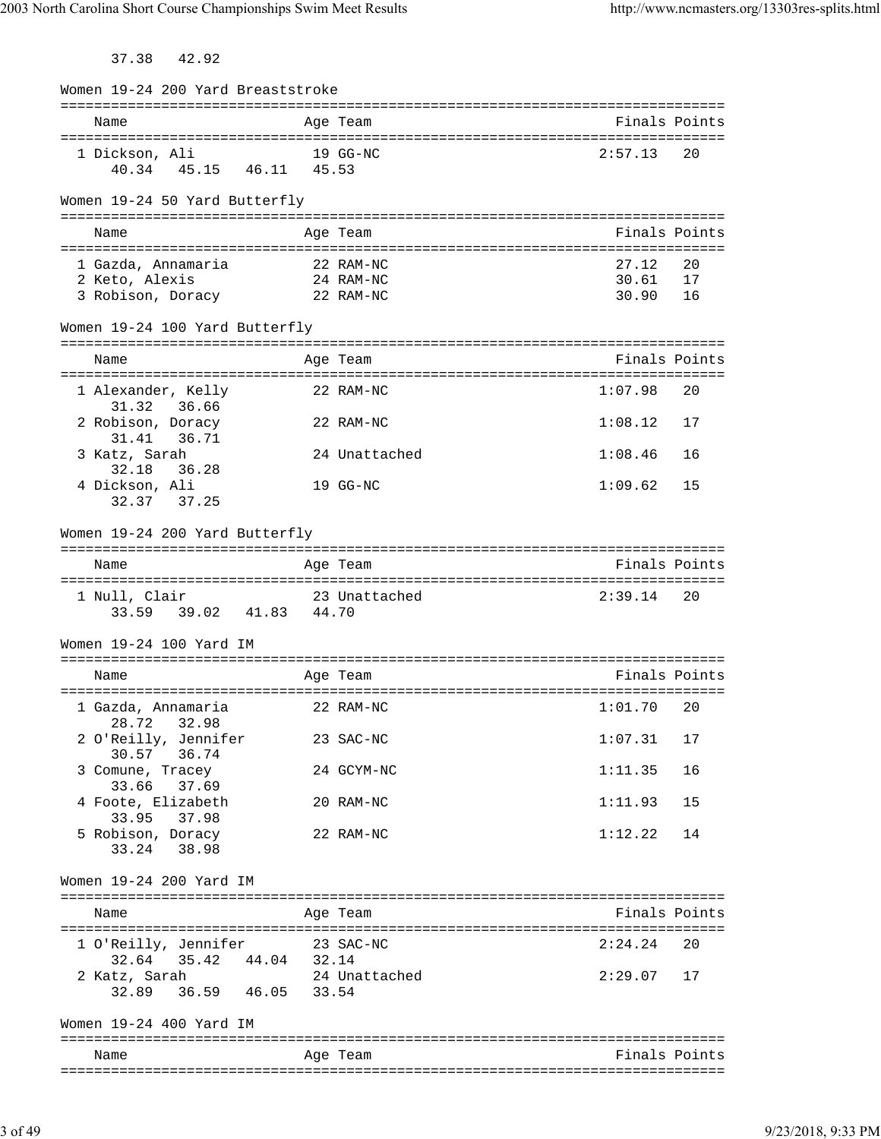37.38 42.92

| Women 19-24 200 Yard Breaststroke                                   |           |               |         |               |
|---------------------------------------------------------------------|-----------|---------------|---------|---------------|
| Name                                                                |           | Age Team      |         | Finals Points |
| 1 Dickson, Ali<br>40.34  45.15  46.11  45.53                        | 19 GG-NC  |               | 2:57.13 | 20            |
| Women 19-24 50 Yard Butterfly                                       |           |               |         |               |
| Name                                                                |           | Age Team      |         | Finals Points |
| 1 Gazda, Annamaria                                                  |           | 22 RAM-NC     | 27.12   | 20            |
| 2 Keto, Alexis                                                      |           | 24 RAM-NC     | 30.61   | 17            |
| 3 Robison, Doracy 22 RAM-NC                                         |           |               | 30.90   | 16            |
| Women 19-24 100 Yard Butterfly                                      |           |               |         |               |
| Name                                                                |           | Age Team      |         | Finals Points |
| 1 Alexander, Kelly                                                  |           | 22 RAM-NC     | 1:07.98 | 20            |
| 31.32<br>36.66<br>2 Robison, Doracy                                 |           | 22 RAM-NC     | 1:08.12 | 17            |
| 36.71<br>31.41<br>3 Katz, Sarah                                     |           | 24 Unattached | 1:08.46 | 16            |
| 32.18<br>36.28<br>4 Dickson, Ali                                    |           | 19 GG-NC      | 1:09.62 | 15            |
| 32.37 37.25                                                         |           |               |         |               |
| Women 19-24 200 Yard Butterfly                                      |           |               |         |               |
| Name                                                                |           | Age Team      |         | Finals Points |
| 1 Null, Clair<br>33.59 39.02 41.83 44.70                            |           | 23 Unattached | 2:39.14 | 20            |
| Women 19-24 100 Yard IM                                             |           |               |         |               |
| Name                                                                |           | Age Team      |         | Finals Points |
| 1 Gazda, Annamaria<br>28.72 32.98                                   |           | 22 RAM-NC     | 1:01.70 | 20            |
| 2 O'Reilly, Jennifer<br>30.57 36.74                                 |           | 23 SAC-NC     | 1:07.31 | 17            |
| 3 Comune, Tracey<br>33.66 37.69                                     |           | 24 GCYM-NC    | 1:11.35 | 16            |
| 4 Foote, Elizabeth<br>33.95 37.98                                   |           | 20 RAM-NC     | 1:11.93 | 15            |
| 5 Robison, Doracy<br>33.24 38.98                                    |           | 22 RAM-NC     | 1:12.22 | 14            |
| Women 19-24 200 Yard IM                                             |           |               |         |               |
| Name                                                                |           | Age Team      |         | Finals Points |
| 1 O'Reilly, Jennifer                                                | 23 SAC-NC |               | 2:24.24 | 20            |
| 32.64 35.42 44.04 32.14<br>2 Katz, Sarah<br>32.89 36.59 46.05 33.54 |           | 24 Unattached | 2:29.07 | 17            |
|                                                                     |           |               |         |               |
| Women 19-24 400 Yard IM                                             |           |               |         |               |
| Name                                                                |           | Age Team      |         | Finals Points |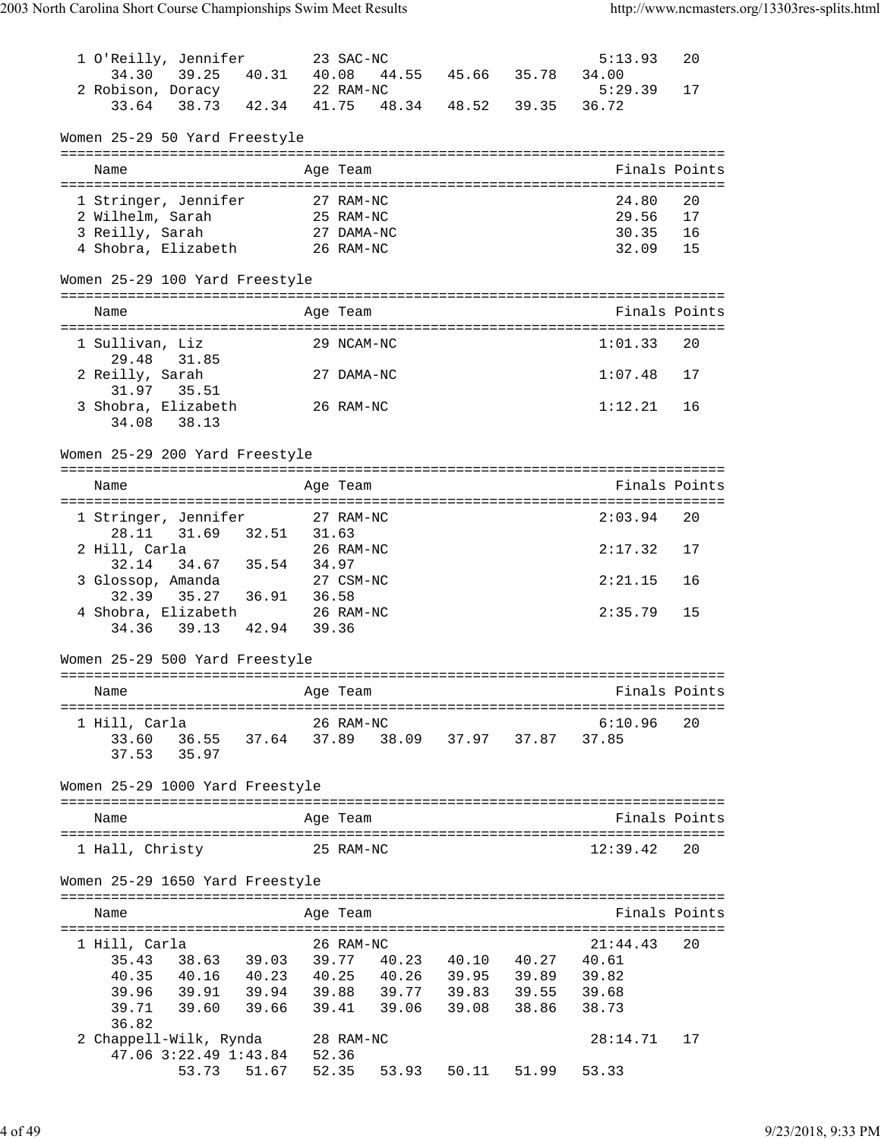| 1 O'Reilly, Jennifer                           |                                                    |           | 23 SAC-NC  |                         | 5:13.93          | 20            |
|------------------------------------------------|----------------------------------------------------|-----------|------------|-------------------------|------------------|---------------|
| 2 Robison, Doracy 22 RAM-NC                    | 34.30 39.25 40.31 40.08 44.55 45.66 35.78          |           |            |                         | 34.00<br>5:29.39 |               |
| 33.64                                          | $38.73$ $42.34$ $41.75$                            |           |            | 48.34 48.52 39.35       | 36.72            | 17            |
| Women 25-29 50 Yard Freestyle                  |                                                    |           |            |                         |                  |               |
| Name                                           |                                                    |           | Age Team   |                         |                  | Finals Points |
| 1 Stringer, Jennifer                           |                                                    |           | 27 RAM-NC  |                         | 24.80            | 20            |
| 2 Wilhelm, Sarah                               |                                                    | 25 RAM-NC |            |                         | 29.56            | 17            |
| 3 Reilly, Sarah                                |                                                    |           | 27 DAMA-NC |                         | 30.35            | 16            |
| 4 Shobra, Elizabeth 26 RAM-NC                  |                                                    |           |            |                         | 32.09            | 15            |
| Women 25-29 100 Yard Freestyle                 |                                                    |           |            |                         |                  |               |
| Name                                           |                                                    |           | Age Team   |                         |                  | Finals Points |
| 1 Sullivan, Liz                                |                                                    |           | 29 NCAM-NC |                         | 1:01.33          | 20            |
| 29.48 31.85<br>2 Reilly, Sarah                 |                                                    |           | 27 DAMA-NC |                         | 1:07.48          | 17            |
| 31.97 35.51                                    |                                                    |           |            |                         |                  |               |
| 3 Shobra, Elizabeth<br>34.08 38.13             |                                                    | 26 RAM-NC |            |                         | 1:12.21          | 16            |
| Women 25-29 200 Yard Freestyle                 |                                                    |           |            |                         |                  |               |
| Name                                           |                                                    |           | Age Team   |                         |                  | Finals Points |
|                                                |                                                    |           |            |                         | 2:03.94          | 20            |
| 1 Stringer, Jennifer 27 RAM-NC                 | 28.11 31.69 32.51 31.63                            |           |            |                         |                  |               |
| 2 Hill, Carla 26 RA<br>32.14 34.67 35.54 34.97 |                                                    |           | 26 RAM-NC  |                         | 2:17.32          | 17            |
| 3 Glossop, Amanda                              |                                                    |           | 27 CSM-NC  |                         | 2:21.15          | 16            |
|                                                | 32.39 35.27 36.91 36.58                            |           |            |                         |                  |               |
| 4 Shobra, Elizabeth 26 RAM-NC                  |                                                    |           |            |                         | 2:35.79          | 15            |
| 34.36                                          | 39.13 42.94 39.36                                  |           |            |                         |                  |               |
| Women 25-29 500 Yard Freestyle                 |                                                    |           |            |                         |                  |               |
| Name                                           |                                                    | Aqe Team  |            |                         | Finals Points    |               |
|                                                |                                                    |           |            |                         |                  |               |
| 1 Hill, Carla                                  |                                                    |           | 26 RAM-NC  |                         | 6:10.96          | 20            |
| 33.60<br>37.53                                 | 36.55 37.64 37.89 38.09 37.97 37.87 37.85<br>35.97 |           |            |                         |                  |               |
|                                                |                                                    |           |            |                         |                  |               |
| Women 25-29 1000 Yard Freestyle                |                                                    |           |            |                         |                  |               |
| Name                                           |                                                    |           | Age Team   |                         |                  | Finals Points |
| 1 Hall, Christy                                |                                                    |           | 25 RAM-NC  |                         | 12:39.42         | 20            |
| Women 25-29 1650 Yard Freestyle                |                                                    |           |            |                         |                  |               |
| Name                                           |                                                    |           | Age Team   |                         |                  | Finals Points |
|                                                |                                                    |           |            |                         |                  |               |
| 1 Hill, Carla<br>35.43                         | 38.63 39.03 39.77 40.23 40.10 40.27 40.61          |           | 26 RAM-NC  |                         | 21:44.43         | 20            |
|                                                | 40.35 40.16 40.23 40.25 40.26 39.95 39.89 39.82    |           |            |                         |                  |               |
| 39.96                                          | 39.91 39.94 39.88 39.77 39.83 39.55 39.68          |           |            |                         |                  |               |
| 39.71                                          | 39.60 39.66 39.41 39.06                            |           |            | 39.08 38.86             | 38.73            |               |
| 36.82                                          |                                                    |           |            |                         |                  |               |
| 2 Chappell-Wilk, Rynda 28 RAM-NC               |                                                    |           |            |                         | 28:14.71         | 17            |
|                                                | 47.06 3:22.49 1:43.84 52.36<br>53.73 51.67 52.35   |           |            | 53.93 50.11 51.99 53.33 |                  |               |
|                                                |                                                    |           |            |                         |                  |               |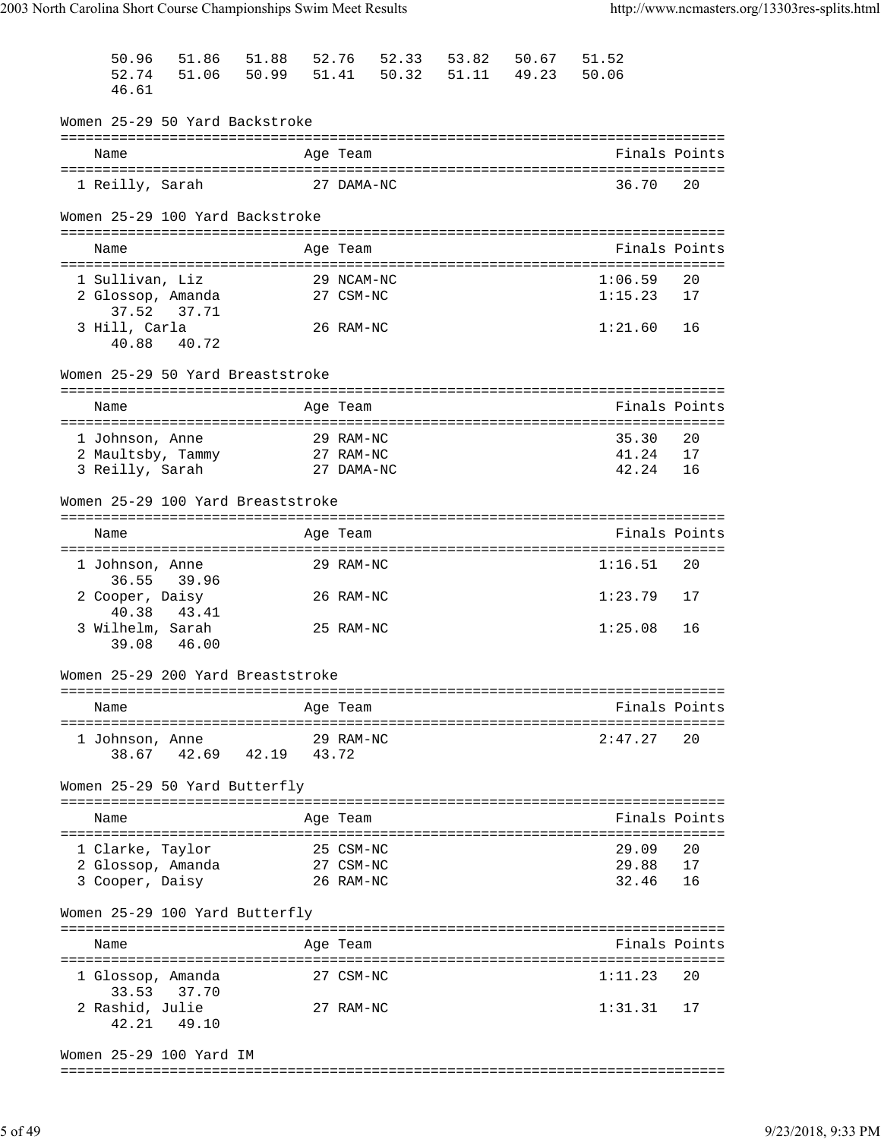| 50.96                                | 51.86       | 51.88 | 52.76 |                         | 52.33 | 53.82 | 50.67 | 51.52          |               |
|--------------------------------------|-------------|-------|-------|-------------------------|-------|-------|-------|----------------|---------------|
| 52.74                                | 51.06 50.99 |       |       | 51.41                   | 50.32 | 51.11 | 49.23 | 50.06          |               |
| 46.61                                |             |       |       |                         |       |       |       |                |               |
| Women 25-29 50 Yard Backstroke       |             |       |       |                         |       |       |       |                |               |
| Name                                 |             |       |       | Age Team                |       |       |       |                | Finals Points |
|                                      |             |       |       |                         |       |       |       |                |               |
| 1 Reilly, Sarah                      |             |       |       | 27 DAMA-NC              |       |       |       | 36.70          | 20            |
| Women 25-29 100 Yard Backstroke      |             |       |       |                         |       |       |       |                |               |
| Name                                 |             |       |       | Age Team                |       |       |       |                | Finals Points |
|                                      |             |       |       |                         |       |       |       |                |               |
| 1 Sullivan, Liz                      |             |       |       | 29 NCAM-NC              |       |       |       | 1:06.59        | 20            |
| 2 Glossop, Amanda<br>37.52           | 37.71       |       |       | 27 CSM-NC               |       |       |       | 1:15.23        | 17            |
| 3 Hill, Carla                        |             |       |       | 26 RAM-NC               |       |       |       | 1:21.60        | 16            |
| 40.88 40.72                          |             |       |       |                         |       |       |       |                |               |
| Women 25-29 50 Yard Breaststroke     |             |       |       |                         |       |       |       |                |               |
| Name                                 |             |       |       | Age Team                |       |       |       |                | Finals Points |
|                                      |             |       |       |                         |       |       |       |                |               |
| 1 Johnson, Anne                      |             |       |       | 29 RAM-NC               |       |       |       | 35.30          | 20            |
| 2 Maultsby, Tammy<br>3 Reilly, Sarah |             |       |       | 27 RAM-NC<br>27 DAMA-NC |       |       |       | 41.24<br>42.24 | 17<br>16      |
|                                      |             |       |       |                         |       |       |       |                |               |
| Women 25-29 100 Yard Breaststroke    |             |       |       |                         |       |       |       |                |               |
| Name                                 |             |       |       | Age Team                |       |       |       |                | Finals Points |
|                                      |             |       |       |                         |       |       |       |                |               |
| 1 Johnson, Anne                      |             |       |       | 29 RAM-NC               |       |       |       | 1:16.51        | 20            |
| 36.55<br>2 Cooper, Daisy             | 39.96       |       |       | 26 RAM-NC               |       |       |       | 1:23.79        | 17            |
| 40.38                                | 43.41       |       |       |                         |       |       |       |                |               |
| 3 Wilhelm, Sarah                     |             |       |       | 25 RAM-NC               |       |       |       | 1:25.08        | 16            |
| 39.08                                | 46.00       |       |       |                         |       |       |       |                |               |
| Women 25-29 200 Yard Breaststroke    |             |       |       |                         |       |       |       |                |               |
| Name                                 |             |       |       | Age Team                |       |       |       |                | Finals Points |
| =====================                |             |       |       |                         |       |       |       |                |               |
| 1 Johnson, Anne                      |             |       |       | 29 RAM-NC               |       |       |       | 2:47.27        | 20            |
| 38.67                                | 42.69       | 42.19 | 43.72 |                         |       |       |       |                |               |
| Women 25-29 50 Yard Butterfly        |             |       |       |                         |       |       |       |                |               |
| Name                                 |             |       |       | Age Team                |       |       |       |                | Finals Points |
| 1 Clarke, Taylor                     |             |       |       | 25 CSM-NC               |       |       |       | 29.09          | 20            |
| 2 Glossop, Amanda                    |             |       |       | 27 CSM-NC               |       |       |       | 29.88          | 17            |
| 3 Cooper, Daisy                      |             |       |       | 26 RAM-NC               |       |       |       | 32.46          | 16            |
| Women 25-29 100 Yard Butterfly       |             |       |       |                         |       |       |       |                |               |
| Name                                 |             |       |       | Age Team                |       |       |       |                | Finals Points |
| ==========================           |             |       |       |                         |       |       |       |                |               |
| 1 Glossop, Amanda                    |             |       |       | 27 CSM-NC               |       |       |       | 1:11.23        | 20            |
| 33.53 37.70<br>2 Rashid, Julie       |             |       |       | 27 RAM-NC               |       |       |       | 1:31.31        | 17            |
| 42.21                                | 49.10       |       |       |                         |       |       |       |                |               |
|                                      |             |       |       |                         |       |       |       |                |               |
| Women 25-29 100 Yard IM              |             |       |       |                         |       |       |       |                |               |

===============================================================================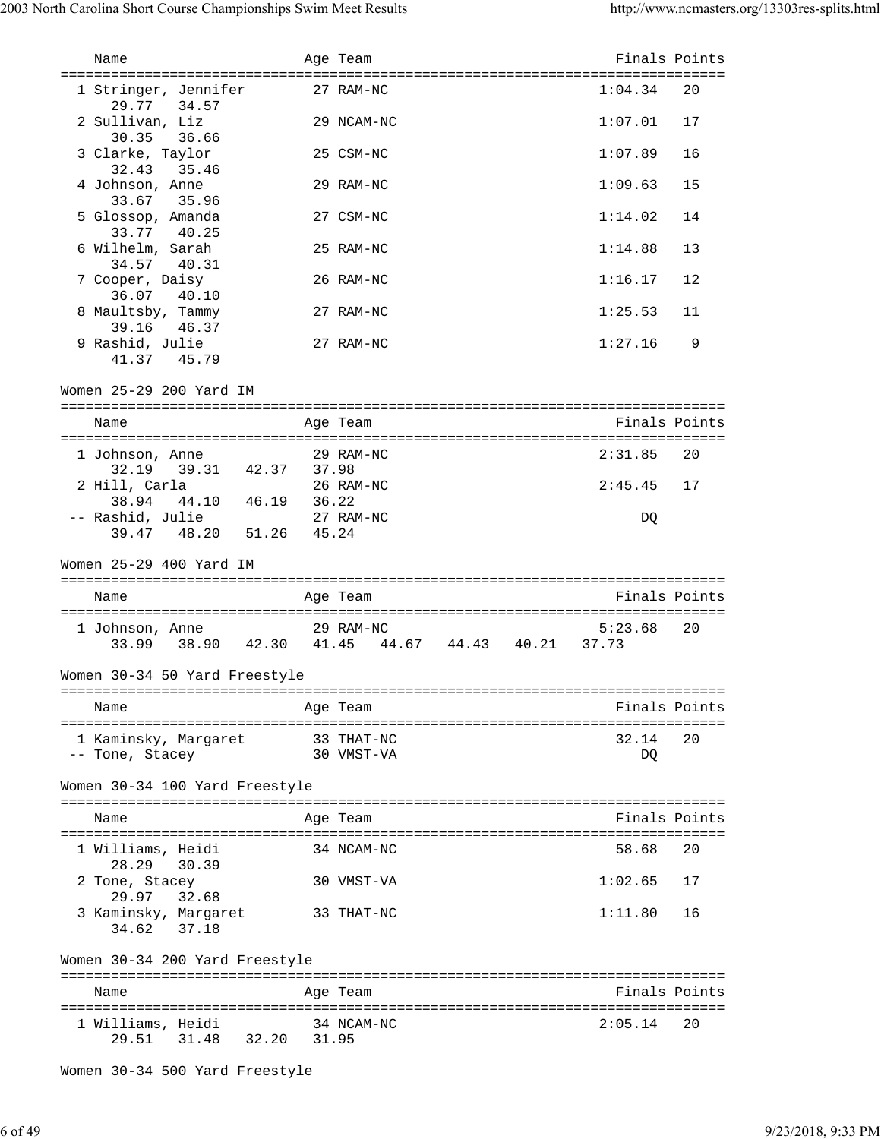| Name                                                  | Age Team                                        | Finals Points            |     |
|-------------------------------------------------------|-------------------------------------------------|--------------------------|-----|
|                                                       |                                                 |                          |     |
| 1 Stringer, Jennifer<br>29.77 34.57                   | 27 RAM-NC                                       | 1:04.34                  | 20  |
| 2 Sullivan, Liz<br>30.35 36.66                        | 29 NCAM-NC                                      | 1:07.01                  | 17  |
| 3 Clarke, Taylor<br>32.43 35.46                       | 25 CSM-NC                                       | 1:07.89                  | 16  |
| 4 Johnson, Anne<br>33.67 35.96                        | 29 RAM-NC                                       | 1:09.63                  | 15  |
| 5 Glossop, Amanda                                     | 27 CSM-NC                                       | 1:14.02                  | 14  |
| 33.77 40.25<br>6 Wilhelm, Sarah                       | 25 RAM-NC                                       | 1:14.88                  | 13  |
| 34.57 40.31<br>7 Cooper, Daisy                        | 26 RAM-NC                                       | 1:16.17                  | 12  |
| 36.07 40.10<br>8 Maultsby, Tammy                      | 27 RAM-NC                                       | 1:25.53                  | 11  |
| 39.16 46.37<br>9 Rashid, Julie                        | 27 RAM-NC                                       | 1:27.16                  | 9   |
| 41.37 45.79                                           |                                                 |                          |     |
| Women 25-29 200 Yard IM                               |                                                 |                          |     |
| Name                                                  | Age Team                                        | Finals Points            |     |
| 1 Johnson, Anne<br>32.19 39.31 42.37 37.98            | 29 RAM-NC                                       | 2:31.85                  | 20  |
| 2 Hill, Carla                                         | 26 RAM-NC                                       | $2:45.45$ 17             |     |
| 38.94 44.10 46.19 36.22<br>-- Rashid, Julie 27 RAM-NC |                                                 | DQ                       |     |
| 39.47 48.20 51.26 45.24                               |                                                 |                          |     |
| Women 25-29 400 Yard IM                               |                                                 |                          |     |
| Name                                                  | Age Team                                        | Finals Points            |     |
| 1 Johnson, Anne                                       | 29 RAM-NC                                       | 5:23.68                  | 20  |
|                                                       | 33.99 38.90 42.30 41.45 44.67 44.43 40.21 37.73 |                          |     |
| Women 30-34 50 Yard Freestyle                         |                                                 |                          |     |
| Name<br>===================================           | Age Team                                        | Finals Points            |     |
| 1 Kaminsky, Margaret                                  | 33 THAT-NC                                      | 32.14                    | 20  |
| -- Tone, Stacey                                       | 30 VMST-VA                                      | DQ                       |     |
| Women 30-34 100 Yard Freestyle                        |                                                 |                          |     |
| Name                                                  | Age Team                                        | Finals Points            |     |
|                                                       |                                                 |                          |     |
| 1 Williams, Heidi                                     | 34 NCAM-NC                                      | 58.68                    | -20 |
| 28.29<br>30.39<br>2 Tone, Stacey                      | 30 VMST-VA                                      | 1:02.65                  | 17  |
| 29.97<br>32.68<br>3 Kaminsky, Margaret                | 33 THAT-NC                                      | 1:11.80                  | 16  |
| 37.18<br>34.62                                        |                                                 |                          |     |
| Women 30-34 200 Yard Freestyle                        |                                                 |                          |     |
| Name<br>1 Williams, Heidi                             | Age Team                                        | Finals Points<br>2:05.14 | 20  |

Women 30-34 500 Yard Freestyle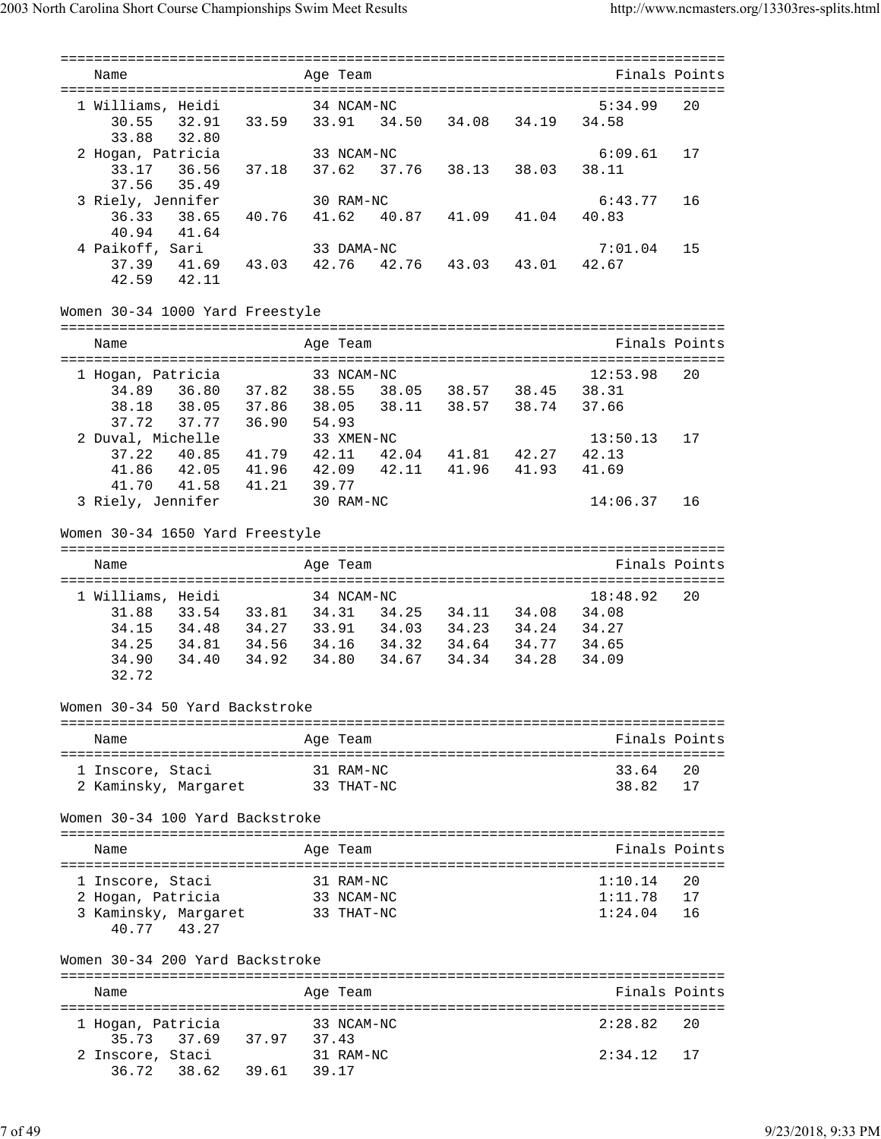| Name                                                   |       | Age Team   |                   |                         |       |               | Finals Points |
|--------------------------------------------------------|-------|------------|-------------------|-------------------------|-------|---------------|---------------|
|                                                        |       |            |                   |                         |       |               |               |
| 1 Williams, Heidi                                      |       | 34 NCAM-NC |                   |                         |       | 5:34.99       | 20            |
| 32.91 33.59 33.91<br>30.55                             |       |            |                   | 34.50 34.08             | 34.19 | 34.58         |               |
| 33.88<br>32.80                                         |       |            |                   |                         |       |               |               |
| 2 Hogan, Patricia                                      |       | 33 NCAM-NC |                   |                         |       | 6:09.61       | 17            |
|                                                        |       |            |                   |                         |       | 38.11         |               |
| 37.56<br>35.49                                         |       |            |                   |                         |       |               |               |
| 3 Riely, Jennifer                                      |       | 30 RAM-NC  |                   |                         |       | 6:43.77       | 16            |
| 38.65<br>40.76 41.62<br>36.33<br>40.94<br>41.64        |       |            |                   | 40.87  41.09  41.04     |       | 40.83         |               |
| 4 Paikoff, Sari                                        |       | 33 DAMA-NC |                   |                         |       | 7:01.04       | 15            |
| 41.69 43.03<br>37.39                                   | 42.76 |            |                   | 42.76  43.03  43.01     |       | 42.67         |               |
| 42.59<br>42.11                                         |       |            |                   |                         |       |               |               |
|                                                        |       |            |                   |                         |       |               |               |
| Women 30-34 1000 Yard Freestyle                        |       |            |                   |                         |       |               |               |
|                                                        |       |            |                   |                         |       |               |               |
| Name                                                   |       | Age Team   |                   |                         |       |               | Finals Points |
|                                                        |       |            |                   |                         |       |               |               |
| 1 Hogan, Patricia                                      |       | 33 NCAM-NC |                   |                         |       | 12:53.98      | 20            |
| 34.89  36.80  37.82  38.55  38.05  38.57  38.45  38.31 |       |            |                   |                         |       |               |               |
| 38.18<br>38.05 37.86 38.05                             |       |            |                   | 38.11 38.57 38.74 37.66 |       |               |               |
| 37.72<br>37.77 36.90                                   | 54.93 |            |                   |                         |       |               |               |
| 2 Duval, Michelle                                      |       | 33 XMEN-NC |                   |                         |       | 13:50.13      | 17            |
| 37.22<br>40.85 41.79 42.11 42.04 41.81 42.27           |       |            |                   |                         |       | 42.13         |               |
| 41.96  42.09  42.11<br>41.86 42.05                     |       |            |                   | 41.96 41.93             |       | 41.69         |               |
| 41.21 39.77<br>41.70<br>41.58                          |       |            |                   |                         |       |               |               |
| 3 Riely, Jennifer                                      |       | 30 RAM-NC  |                   |                         |       | 14:06.37      | 16            |
|                                                        |       |            |                   |                         |       |               |               |
| Women 30-34 1650 Yard Freestyle                        |       |            |                   |                         |       |               |               |
|                                                        |       |            |                   |                         |       |               |               |
| Name                                                   |       | Age Team   |                   |                         |       |               | Finals Points |
|                                                        |       |            |                   |                         |       |               |               |
| 1 Williams, Heidi                                      |       | 34 NCAM-NC |                   |                         |       | 18:48.92      | 20            |
| 33.54 33.81 34.31 34.25 34.11 34.08 34.08<br>31.88     |       |            |                   |                         |       |               |               |
| 34.15<br>34.48                                         |       |            | 34.27 33.91 34.03 | 34.23 34.24             |       | 34.27         |               |
| 34.25<br>34.81<br>34.56 34.16                          |       |            | 34.32             | 34.64 34.77             |       | 34.65         |               |
| 34.90<br>34.40<br>34.92                                | 34.80 |            | 34.67             | 34.34                   | 34.28 | 34.09         |               |
| 32.72                                                  |       |            |                   |                         |       |               |               |
|                                                        |       |            |                   |                         |       |               |               |
| Women 30-34 50 Yard Backstroke                         |       |            |                   |                         |       |               |               |
| Name                                                   |       | Age Team   |                   |                         |       |               | Finals Points |
|                                                        |       |            |                   |                         |       |               |               |
| 1 Inscore, Staci                                       |       | 31 RAM-NC  |                   |                         |       | 33.64         | 20            |
| 2 Kaminsky, Margaret                                   |       | 33 ТНАТ-NC |                   |                         |       | 38.82         | 17            |
|                                                        |       |            |                   |                         |       |               |               |
| Women 30-34 100 Yard Backstroke                        |       |            |                   |                         |       |               |               |
|                                                        |       |            |                   |                         |       |               |               |
| Name                                                   |       | Age Team   |                   |                         |       |               | Finals Points |
|                                                        |       |            |                   |                         |       |               |               |
| 1 Inscore, Staci                                       |       | 31 RAM-NC  |                   |                         |       | 1:10.14       | 20            |
| 2 Hogan, Patricia                                      |       | 33 NCAM-NC |                   |                         |       | 1:11.78       | 17            |
| 3 Kaminsky, Margaret                                   |       | 33 THAT-NC |                   |                         |       | 1:24.04       | 16            |
| 43.27<br>40.77                                         |       |            |                   |                         |       |               |               |
|                                                        |       |            |                   |                         |       |               |               |
| Women 30-34 200 Yard Backstroke                        |       |            |                   |                         |       |               |               |
|                                                        |       |            |                   |                         |       |               |               |
| Name                                                   |       | Aqe Team   |                   |                         |       | Finals Points |               |
|                                                        |       |            |                   |                         |       |               |               |
| 1 Hogan, Patricia                                      |       | 33 NCAM-NC |                   |                         |       | 2:28.82       | 20            |
| 35.73 37.69 37.97                                      | 37.43 |            |                   |                         |       |               |               |
| 2 Inscore, Staci                                       |       | 31 RAM-NC  |                   |                         |       | 2:34.12       | 17            |
| 36.72 38.62 39.61 39.17                                |       |            |                   |                         |       |               |               |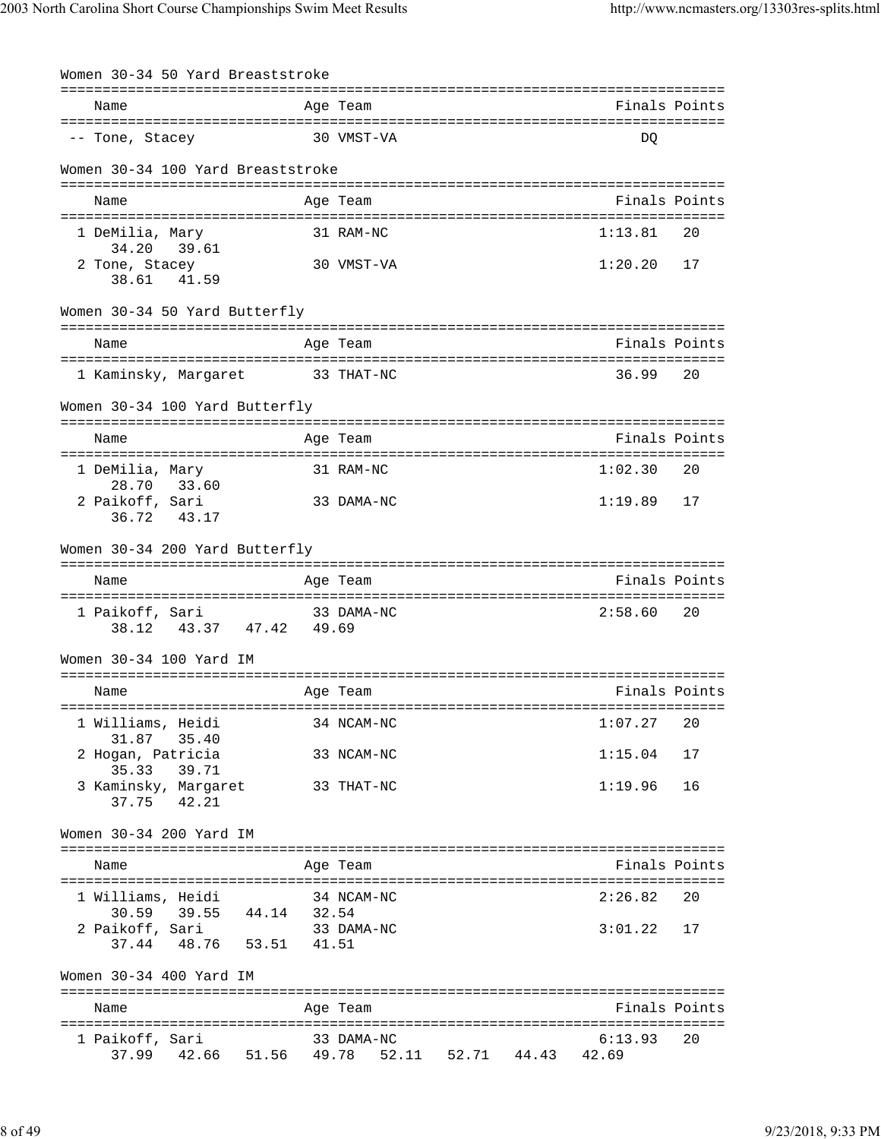| Women 30-34 50 Yard Breaststroke              |       |                   |                                                     |
|-----------------------------------------------|-------|-------------------|-----------------------------------------------------|
|                                               |       |                   | Finals Points                                       |
| Name                                          |       | Age Team          |                                                     |
| -- Tone, Stacey                               |       | 30 VMST-VA        | DQ                                                  |
| Women 30-34 100 Yard Breaststroke             |       |                   |                                                     |
|                                               |       |                   |                                                     |
| Name                                          |       | Age Team          | Finals Points                                       |
|                                               |       |                   | 1:13.81<br>20                                       |
| 1 DeMilia, Mary<br>34.20<br>39.61             |       | 31 RAM-NC         |                                                     |
| 2 Tone, Stacey                                |       | 30 VMST-VA        | 1:20.20<br>17                                       |
| 38.61<br>41.59                                |       |                   |                                                     |
| Women 30-34 50 Yard Butterfly                 |       |                   |                                                     |
| Name                                          |       | Age Team          | ==================================<br>Finals Points |
|                                               |       |                   |                                                     |
| 1 Kaminsky, Margaret                          |       | 33 THAT-NC        | 36.99<br>20                                         |
| Women 30-34 100 Yard Butterfly                |       |                   |                                                     |
|                                               |       |                   | Finals Points                                       |
| Name                                          |       | Age Team          |                                                     |
| 1 DeMilia, Mary                               |       | 31 RAM-NC         | 1:02.30<br>20                                       |
| 28.70<br>33.60                                |       |                   |                                                     |
| 2 Paikoff, Sari                               |       | 33 DAMA-NC        | 1:19.89<br>17                                       |
| 36.72 43.17                                   |       |                   |                                                     |
| Women 30-34 200 Yard Butterfly                |       |                   |                                                     |
|                                               |       |                   |                                                     |
| Name                                          |       | Age Team          | Finals Points                                       |
|                                               |       |                   |                                                     |
| 1 Paikoff, Sari<br>43.37 47.42 49.69<br>38.12 |       | 33 DAMA-NC        | 2:58.60<br>20                                       |
|                                               |       |                   |                                                     |
| Women 30-34 100 Yard IM                       |       |                   |                                                     |
|                                               |       |                   |                                                     |
| Name                                          |       | Age Team          | Finals Points                                       |
|                                               |       |                   |                                                     |
| 1 Williams, Heidi                             |       | 34 NCAM-NC        | 1:07.27<br>20                                       |
| 31.87<br>35.40                                |       |                   |                                                     |
| 2 Hogan, Patricia<br>35.33<br>39.71           |       | 33 NCAM-NC        | 1:15.04<br>17                                       |
| 3 Kaminsky, Margaret                          |       | 33 THAT-NC        | 1:19.96<br>16                                       |
| 37.75 42.21                                   |       |                   |                                                     |
| Women 30-34 200 Yard IM                       |       |                   |                                                     |
|                                               |       |                   |                                                     |
| Name                                          |       | Age Team          | Finals Points                                       |
|                                               |       |                   |                                                     |
| 1 Williams, Heidi                             |       | 34 NCAM-NC        | 2:26.82<br>20                                       |
| 30.59 39.55 44.14 32.54                       |       |                   |                                                     |
| 2 Paikoff, Sari<br>37.44 48.76 53.51          |       | 33 DAMA-NC        | 3:01.22<br>17                                       |
|                                               | 41.51 |                   |                                                     |
| Women 30-34 400 Yard IM                       |       |                   |                                                     |
| Name                                          |       | Age Team          | Finals Points                                       |
|                                               |       |                   |                                                     |
| 1 Paikoff, Sari                               |       | 33 DAMA-NC        | 20<br>6:13.93                                       |
| 37.99  42.66  51.56  49.78                    |       | 52.11 52.71 44.43 | 42.69                                               |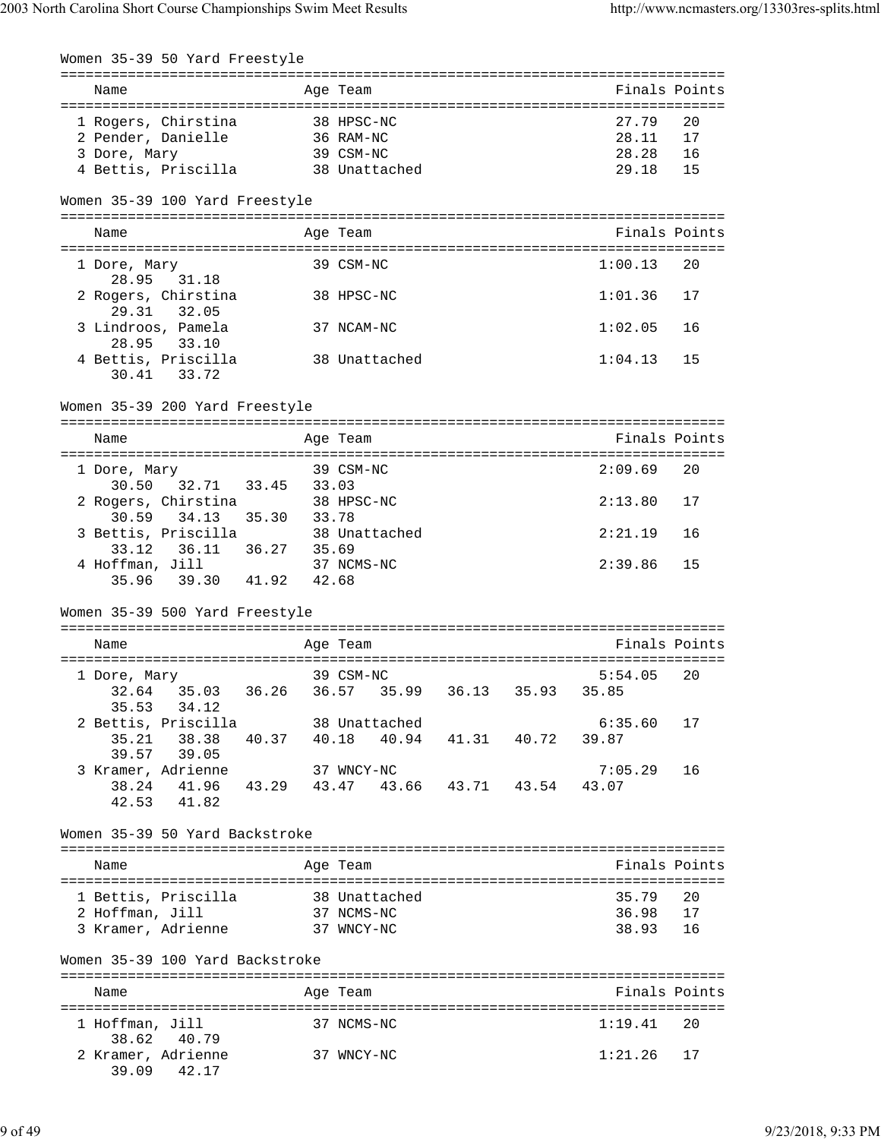|                       | Women 35-39 50 Yard Freestyle                                                                       |            |            |               |                                     |                                                                   |               |
|-----------------------|-----------------------------------------------------------------------------------------------------|------------|------------|---------------|-------------------------------------|-------------------------------------------------------------------|---------------|
| Name                  |                                                                                                     |            | Age Team   |               |                                     |                                                                   | Finals Points |
| 3 Dore, Mary          | 1 Rogers, Chirstina 38 HPSC-NC<br>2 Pender, Danielle 36 RAM-NC<br>4 Bettis, Priscilla 38 Unattached |            | 39 CSM-NC  |               |                                     | 27.79<br>28.11 17<br>28.28 16<br>29.18                            | 20<br>15      |
|                       | Women 35-39 100 Yard Freestyle                                                                      |            |            |               |                                     |                                                                   |               |
| Name                  |                                                                                                     |            | Age Team   |               |                                     |                                                                   | Finals Points |
| 1 Dore, Mary          |                                                                                                     |            | 39 CSM-NC  |               |                                     | 1:00.13                                                           | 20            |
|                       | 28.95 31.18<br>2 Rogers, Chirstina                                                                  |            | 38 HPSC-NC |               |                                     | 1:01.36                                                           | 17            |
|                       | 29.31 32.05<br>3 Lindroos, Pamela                                                                   |            | 37 NCAM-NC |               |                                     | 1:02.05                                                           | 16            |
|                       | 28.95 33.10<br>4 Bettis, Priscilla<br>30.41 33.72                                                   |            |            | 38 Unattached |                                     | 1:04.13                                                           | 15            |
|                       | Women 35-39 200 Yard Freestyle                                                                      |            |            |               |                                     |                                                                   |               |
| Name                  |                                                                                                     |            | Age Team   |               |                                     |                                                                   | Finals Points |
| 1 Dore, Mary          |                                                                                                     |            | 39 CSM-NC  |               |                                     | 2:09.69                                                           | 20            |
|                       | 30.50 32.71 33.45 33.03<br>qers, Chirstina 38 HPSC-NC<br>2 Rogers, Chirstina                        |            |            |               |                                     | 2:13.80                                                           | 17            |
|                       | $30.59$ $34.13$ $35.30$ $33.78$<br>3 Bettis, Priscilla 38 Unattached                                |            |            |               |                                     | 2:21.19                                                           | 16            |
|                       | 4 Hoffman, Jill 37 NCMS-NC                                                                          |            |            |               |                                     | 2:39.86                                                           | 15            |
|                       | 35.96 39.30 41.92 42.68                                                                             |            |            |               |                                     |                                                                   |               |
|                       | Women 35-39 500 Yard Freestyle                                                                      |            |            |               |                                     |                                                                   |               |
| Name                  |                                                                                                     |            | Age Team   |               |                                     |                                                                   | Finals Points |
| 1 Dore, Mary<br>35.53 | 34.12                                                                                               | 39 CSM-NC  |            |               |                                     | 5:54.05<br>32.64  35.03  36.26  36.57  35.99  36.13  35.93  35.85 | 20            |
| 35.21                 | 2 Bettis, Priscilla 38 Unattached<br>38.38<br>39.57 39.05                                           |            |            |               | 40.37 40.18 40.94 41.31 40.72 39.87 | $6:35.60$ 17                                                      |               |
|                       | 3 Kramer, Adrienne<br>38.24 41.96 43.29 43.47 43.66 43.71 43.54 43.07<br>42.53 41.82                |            | 37 WNCY-NC |               |                                     | $7:05.29$ 16                                                      |               |
|                       | Women 35-39 50 Yard Backstroke                                                                      |            |            |               |                                     |                                                                   |               |
| Name                  |                                                                                                     |            | Age Team   |               |                                     |                                                                   | Finals Points |
|                       | 1 Bettis, Priscilla                                                                                 |            |            | 38 Unattached |                                     | 35.79                                                             | 20            |
| 2 Hoffman, Jill       | 3 Kramer, Adrienne 37 WNCY-NC                                                                       |            | 37 NCMS-NC |               |                                     | 36.98 17<br>38.93                                                 | 16            |
|                       | Women 35-39 100 Yard Backstroke                                                                     |            |            |               |                                     |                                                                   |               |
| Name                  |                                                                                                     |            | Age Team   |               |                                     |                                                                   | Finals Points |
| 1 Hoffman, Jill       |                                                                                                     |            | 37 NCMS-NC |               |                                     | 1:19.41                                                           | 20            |
| 38.62                 | 40.79<br>2 Kramer, Adrienne<br>39.09 42.17                                                          | 37 WNCY-NC |            |               |                                     | $1:21.26$ 17                                                      |               |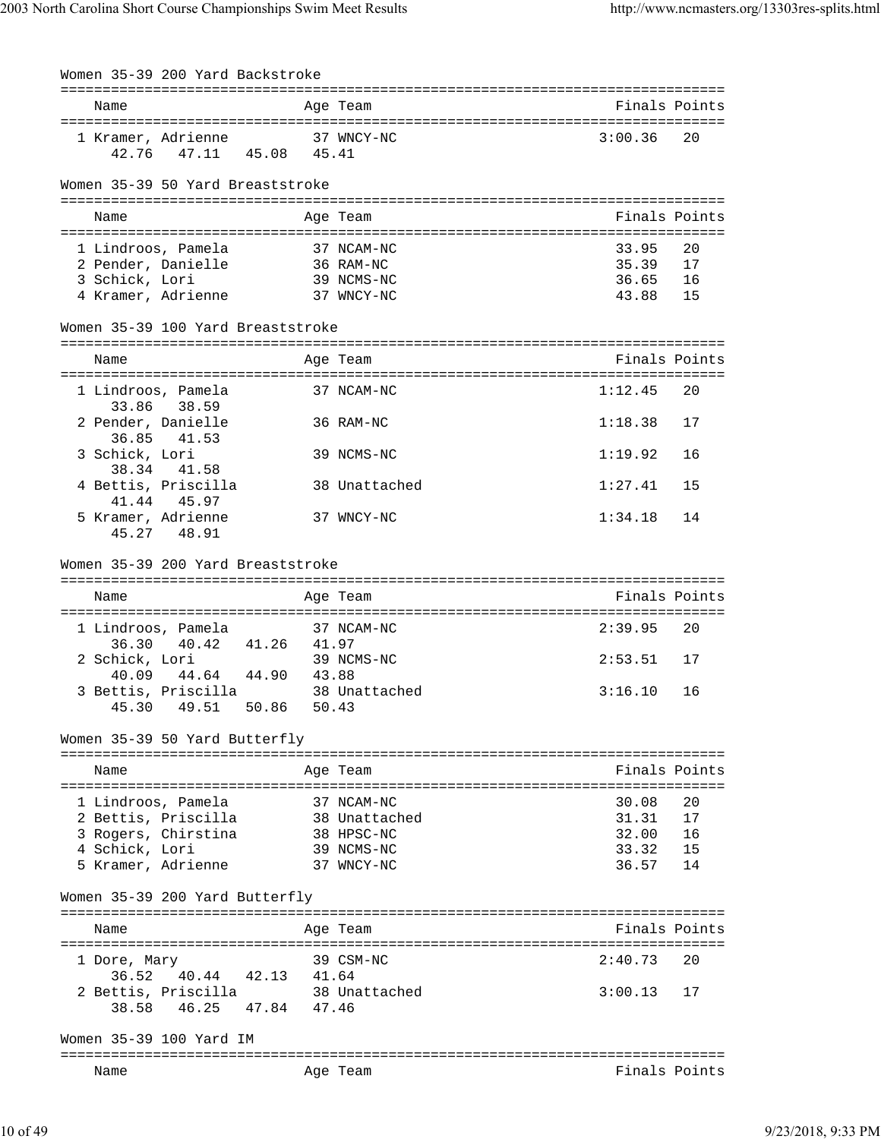|                | Women 35-39 200 Yard Backstroke                          |       |       |                                     |         |               |
|----------------|----------------------------------------------------------|-------|-------|-------------------------------------|---------|---------------|
| Name           |                                                          |       |       | Age Team                            |         | Finals Points |
|                | 1 Kramer, Adrienne 37 WNCY-NC<br>42.76 47.11 45.08 45.41 |       |       |                                     | 3:00.36 | 20            |
|                | Women 35-39 50 Yard Breaststroke                         |       |       |                                     |         |               |
| Name           |                                                          |       |       | Age Team                            |         | Finals Points |
|                | 1 Lindroos, Pamela                                       |       |       | 37 NCAM-NC                          | 33.95   | 20            |
|                | 2 Pender, Danielle                                       |       |       | 36 RAM-NC                           | 35.39   | 17            |
| 3 Schick, Lori |                                                          |       |       | 39 NCMS-NC                          | 36.65   | 16            |
|                | 4 Kramer, Adrienne 37 WNCY-NC                            |       |       |                                     | 43.88   | 15            |
|                | Women 35-39 100 Yard Breaststroke                        |       |       |                                     |         |               |
| Name           |                                                          |       |       | Age Team                            |         | Finals Points |
|                | 1 Lindroos, Pamela                                       |       |       | 37 NCAM-NC                          | 1:12.45 | 20            |
| 33.86          | 38.59<br>2 Pender, Danielle                              |       |       | 36 RAM-NC                           | 1:18.38 | 17            |
| 3 Schick, Lori | 36.85 41.53                                              |       |       | 39 NCMS-NC                          | 1:19.92 | 16            |
|                | 38.34 41.58<br>4 Bettis, Priscilla                       |       |       | 38 Unattached                       | 1:27.41 | 15            |
|                | 41.44 45.97                                              |       |       |                                     |         |               |
|                | 5 Kramer, Adrienne<br>45.27 48.91                        |       |       | 37 WNCY-NC                          | 1:34.18 | 14            |
|                | Women 35-39 200 Yard Breaststroke                        |       |       |                                     |         |               |
|                |                                                          |       |       |                                     |         |               |
| Name           |                                                          |       |       | Age Team                            |         | Finals Points |
|                |                                                          |       |       |                                     |         |               |
|                | 1 Lindroos, Pamela                                       |       |       | 37 NCAM-NC                          | 2:39.95 | 20            |
| 2 Schick, Lori | 36.30 40.42 41.26 41.97                                  |       |       | 39 NCMS-NC                          | 2:53.51 | 17            |
| 40.09          | 44.64 44.90 43.88                                        |       |       |                                     |         |               |
| 45.30          | 49.51                                                    | 50.86 | 50.43 | 3 Bettis, Priscilla 38 Unattached   | 3:16.10 | 16            |
|                | Women 35-39 50 Yard Butterfly                            |       |       |                                     |         |               |
|                | ------------------------                                 |       |       | ----------<br>--------------------- |         |               |
| Name           |                                                          |       |       | Age Team                            |         | Finals Points |
|                |                                                          |       |       | 37 NCAM-NC                          | 30.08   | 20            |
|                | 1 Lindroos, Pamela<br>2 Bettis, Priscilla                |       |       | 38 Unattached                       | 31.31   | 17            |
|                | 3 Rogers, Chirstina                                      |       |       | 38 HPSC-NC                          | 32.00   | 16            |
| 4 Schick, Lori |                                                          |       |       | 39 NCMS-NC                          | 33.32   | 15            |
|                | 5 Kramer, Adrienne                                       |       |       | 37 WNCY-NC                          | 36.57   | 14            |
|                | Women 35-39 200 Yard Butterfly                           |       |       |                                     |         |               |
| Name           | ;================================                        |       |       | Aqe Team<br>------------            |         | Finals Points |
| 1 Dore, Mary   |                                                          |       |       | 39 CSM-NC                           | 2:40.73 | 20            |
| 36.52          | 40.44<br>2 Bettis, Priscilla                             | 42.13 | 41.64 |                                     | 3:00.13 | 17            |
| 38.58          | 46.25 47.84                                              |       | 47.46 | 38 Unattached                       |         |               |
|                | Women 35-39 100 Yard IM                                  |       |       |                                     |         |               |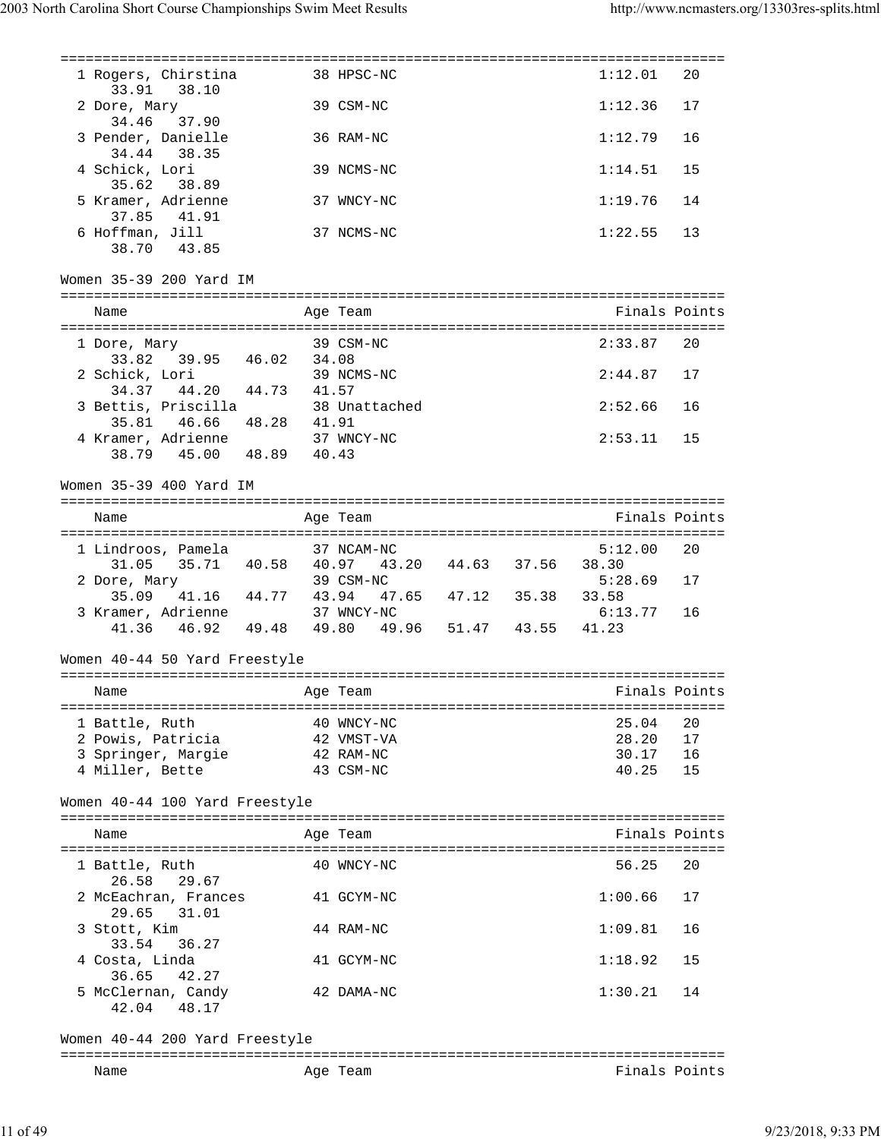=============================================================================== 1 Rogers, Chirstina 38 HPSC-NC 1:12.01 20 33.91 38.10 2 Dore, Mary 39 CSM-NC 1:12.36 17 34.46 37.90 3 Pender, Danielle 36 RAM-NC 1:12.79 16 34.44 38.35 4 Schick, Lori 39 NCMS-NC 1:14.51 15 35.62 38.89 5 Kramer, Adrienne 37 WNCY-NC 1:19.76 14 37.85 41.91 6 Hoffman, Jill 37 NCMS-NC 1:22.55 13 38.70 43.85 Women 35-39 200 Yard IM =============================================================================== Name Age Team Age Team Finals Points =============================================================================== 1 Dore, Mary 39 CSM-NC 2:33.87 20 33.82 39.95 46.02 34.08 2 Schick, Lori 39 NCMS-NC 2:44.87 17 34.37 44.20 44.73 41.57 3 Bettis, Priscilla 38 Unattached 2:52.66 16 35.81 46.66 48.28 41.91 4 Kramer, Adrienne 37 WNCY-NC 2:53.11 15 38.79 45.00 48.89 40.43 Women 35-39 400 Yard IM =============================================================================== Name Age Team Age Team Finals Points =============================================================================== 1 Lindroos, Pamela 37 NCAM-NC 5:12.00 20 31.05 35.71 40.58 40.97 43.20 44.63 37.56 38.30 2 Dore, Mary 39 CSM-NC 5:28.69 17 35.09 41.16 44.77 43.94 47.65 47.12 35.38 33.58 3 Kramer, Adrienne 37 WNCY-NC 6:13.77 16 41.36 46.92 49.48 49.80 49.96 51.47 43.55 41.23 Women 40-44 50 Yard Freestyle =============================================================================== Name Age Team Age Team Finals Points =============================================================================== 1 Battle, Ruth 40 WNCY-NC 25.04 20 2 Powis, Patricia 42 VMST-VA 28.20 17 3 Springer, Margie 42 RAM-NC 30.17 16 4 Miller, Bette 43 CSM-NC 40.25 15 Women 40-44 100 Yard Freestyle =============================================================================== Name **Age Team Age Team** Rinals Points =============================================================================== 1 Battle, Ruth 40 WNCY-NC 56.25 20 26.58 29.67 2 McEachran, Frances 41 GCYM-NC 1:00.66 17 29.65 31.01 3 Stott, Kim 44 RAM-NC 1:09.81 16 33.54 36.27 4 Costa, Linda 41 GCYM-NC 1:18.92 15 36.65 42.27 5 McClernan, Candy 42 DAMA-NC 1:30.21 14 42.04 48.17 Women 40-44 200 Yard Freestyle =============================================================================== Name **Age Team** Age Team **Finals Points**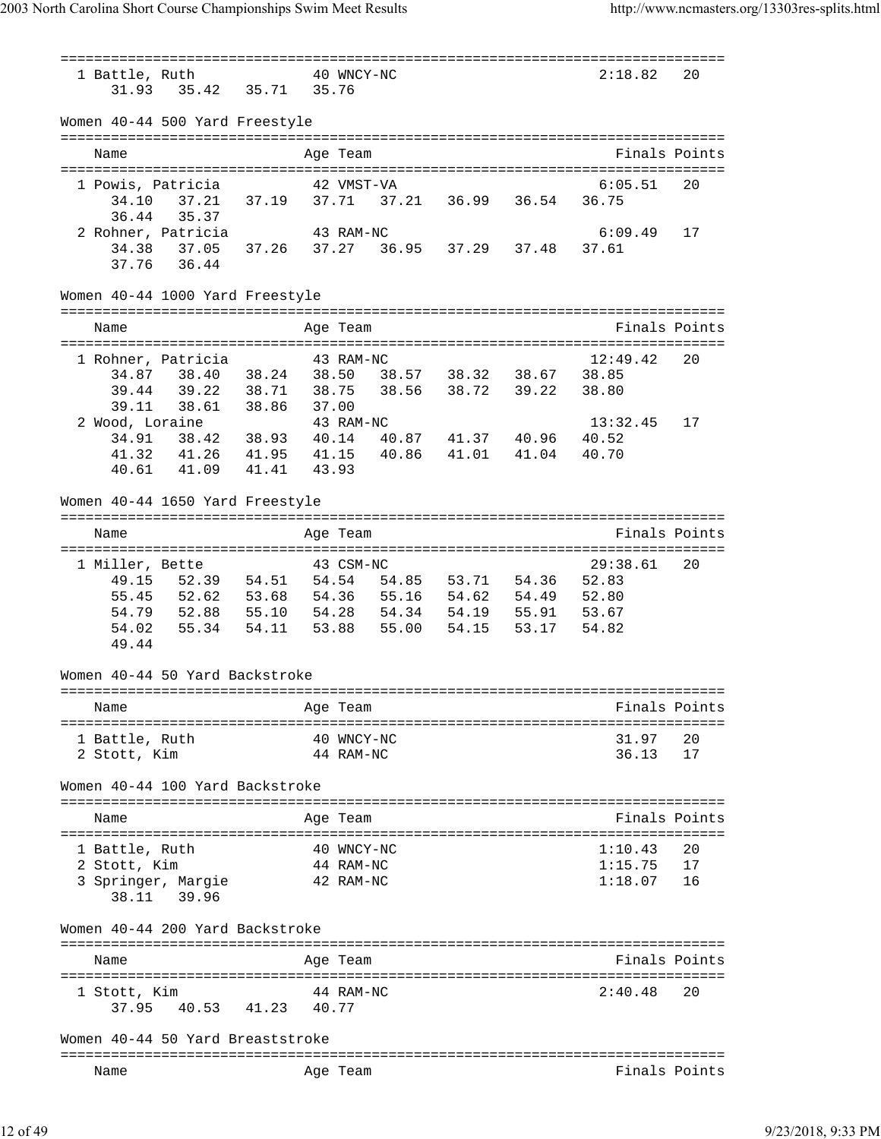=============================================================================== 1 Battle, Ruth 40 WNCY-NC 31.93 35.42 35.71 35.76 Women 40-44 500 Yard Freestyle =============================================================================== Name Age Team Finals Points =============================================================================== 1 Powis, Patricia 42 VMST-VA 6:05.51 20 34.10 37.21 37.19 37.71 37.21 36.99 36.54 36.75 36.44 35.37 2 Rohner, Patricia 43 RAM-NC 6:09.49 17 34.38 37.05 37.26 37.27 36.95 37.29 37.48 37.61 37.76 36.44 Women 40-44 1000 Yard Freestyle =============================================================================== Name Age Team Age Team Finals Points =============================================================================== 1 Rohner, Patricia 43 RAM-NC 12:49.42 20 34.87 38.40 38.24 38.50 38.57 38.32 38.67 38.85 39.44 39.22 38.71 38.75 38.56 38.72 39.22 38.80 39.11 38.61 38.86 37.00 2 Wood, Loraine 43 RAM-NC 13:32.45 17 34.91 38.42 38.93 40.14 40.87 41.37 40.96 40.52 41.32 41.26 41.95 41.15 40.86 41.01 41.04 40.70 40.61 41.09 41.41 43.93 Women 40-44 1650 Yard Freestyle =============================================================================== Name Age Team Finals Points =============================================================================== 1 Miller, Bette 43 CSM-NC 29:38.61 20 49.15 52.39 54.51 54.54 54.85 53.71 54.36 52.83 55.45 52.62 53.68 54.36 55.16 54.62 54.49 52.80 54.79 52.88 55.10 54.28 54.34 54.19 55.91 53.67 54.02 55.34 54.11 53.88 55.00 54.15 53.17 54.82 49.44 Women 40-44 50 Yard Backstroke =============================================================================== Name Age Team Age Team Finals Points =============================================================================== 1 Battle, Ruth 40 WNCY-NC 31.97 20 2 Stott, Kim 44 RAM-NC 36.13 17 Women 40-44 100 Yard Backstroke =============================================================================== Name Age Team Finals Points =============================================================================== 1 Battle, Ruth 40 WNCY-NC 1:10.43 20 2 Stott, Kim 44 RAM-NC 1:15.75 17 3 Springer, Margie 42 RAM-NC 38.11 39.96 Women 40-44 200 Yard Backstroke =============================================================================== Name **Age Team** Age Team Finals Points =============================================================================== 1 Stott, Kim 44 RAM-NC 2:40.48 20 37.95 40.53 41.23 40.77 Women 40-44 50 Yard Breaststroke =============================================================================== Name **Age Team** Age Team **Finals Points**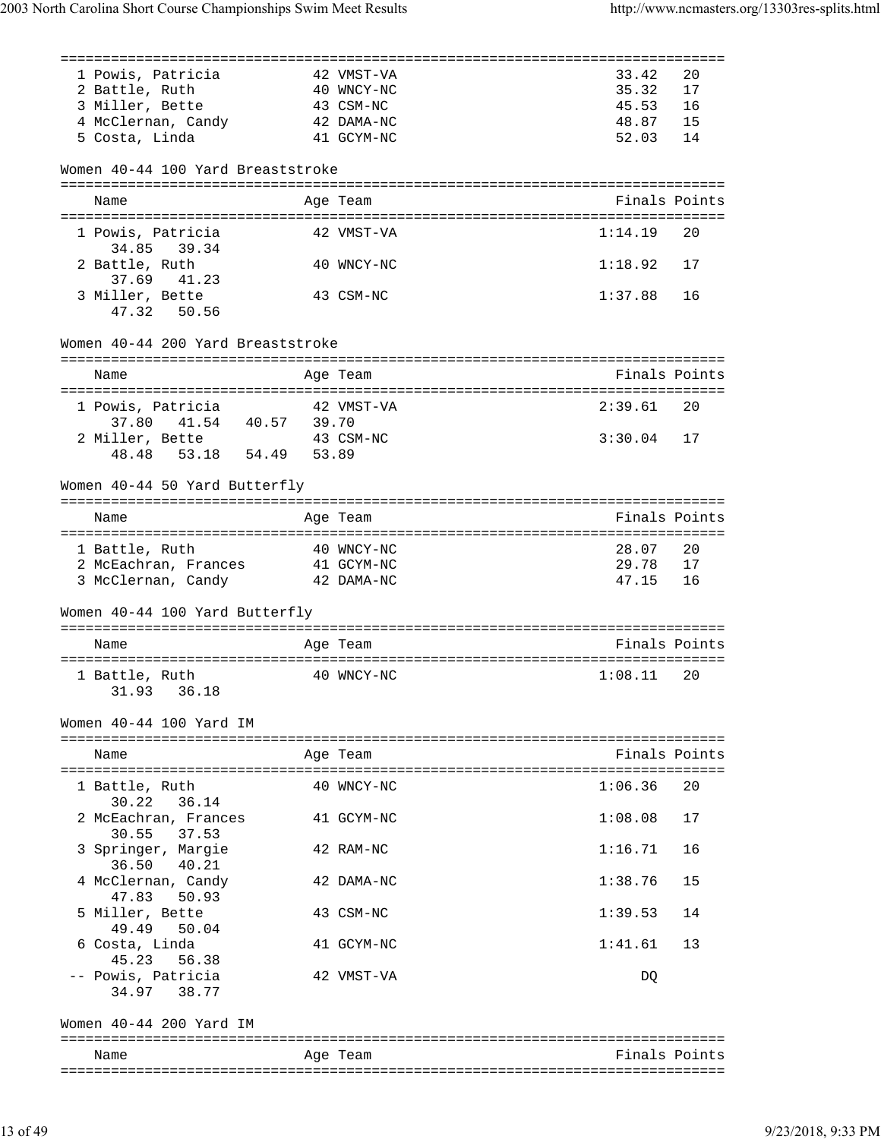| 1 Powis, Patricia                               | 42 VMST-VA | 33.42         | 20  |
|-------------------------------------------------|------------|---------------|-----|
| 2 Battle, Ruth                                  | 40 WNCY-NC | 35.32         | 17  |
| 3 Miller, Bette                                 | 43 CSM-NC  | 45.53         | -16 |
| 4 McClernan, Candy 42 DAMA-NC                   |            | 48.87 15      |     |
| 5 Costa, Linda                                  | 41 GCYM-NC | 52.03         | 14  |
| Women 40-44 100 Yard Breaststroke               |            |               |     |
| Name                                            | Age Team   | Finals Points |     |
| 1 Powis, Patricia<br>34.85 39.34                | 42 VMST-VA | 1:14.19       | 20  |
| 2 Battle, Ruth<br>37.69 41.23                   | 40 WNCY-NC | 1:18.92       | 17  |
| 3 Miller, Bette<br>47.32 50.56                  | 43 CSM-NC  | 1:37.88       | 16  |
| Women 40-44 200 Yard Breaststroke               |            |               |     |
| Name                                            | Age Team   | Finals Points |     |
| 1 Powis, Patricia<br>37.80  41.54  40.57  39.70 | 42 VMST-VA | 2:39.61 20    |     |
| 2 Miller, Bette                                 | 43 CSM-NC  | $3:30.04$ 17  |     |
| 48.48 53.18 54.49 53.89                         |            |               |     |
| Women 40-44 50 Yard Butterfly                   |            |               |     |
| Name                                            | Age Team   | Finals Points |     |
| 1 Battle, Ruth                                  | 40 WNCY-NC | 28.07 20      |     |
| 2 McEachran, Frances                            | 41 GCYM-NC | 29.78         | 17  |
| 3 McClernan, Candy                              | 42 DAMA-NC | 47.15 16      |     |
| Women 40-44 100 Yard Butterfly                  |            |               |     |
| Name                                            | Age Team   | Finals Points |     |
| 1 Battle, Ruth                                  | 40 WNCY-NC | 1:08.11       | 20  |
| 31.93 36.18                                     |            |               |     |
| Women 40-44 100 Yard IM                         |            |               |     |
| Name                                            | Age Team   | Finals Points |     |
|                                                 |            |               |     |
| 1 Battle, Ruth<br>30.22<br>36.14                | 40 WNCY-NC | 1:06.36       | 20  |
| 2 McEachran, Frances<br>30.55<br>37.53          | 41 GCYM-NC | 1:08.08       | 17  |
| 3 Springer, Margie<br>36.50<br>40.21            | 42 RAM-NC  | 1:16.71       | 16  |
| 4 McClernan, Candy<br>47.83<br>50.93            | 42 DAMA-NC | 1:38.76       | 15  |
| 5 Miller, Bette<br>49.49<br>50.04               | 43 CSM-NC  | 1:39.53       | 14  |
| 6 Costa, Linda<br>56.38<br>45.23                | 41 GCYM-NC | 1:41.61       | 13  |
| -- Powis, Patricia<br>34.97<br>38.77            | 42 VMST-VA | DQ            |     |
| Women 40-44 200 Yard IM                         |            |               |     |
| Name                                            | Age Team   | Finals Points |     |
|                                                 |            |               |     |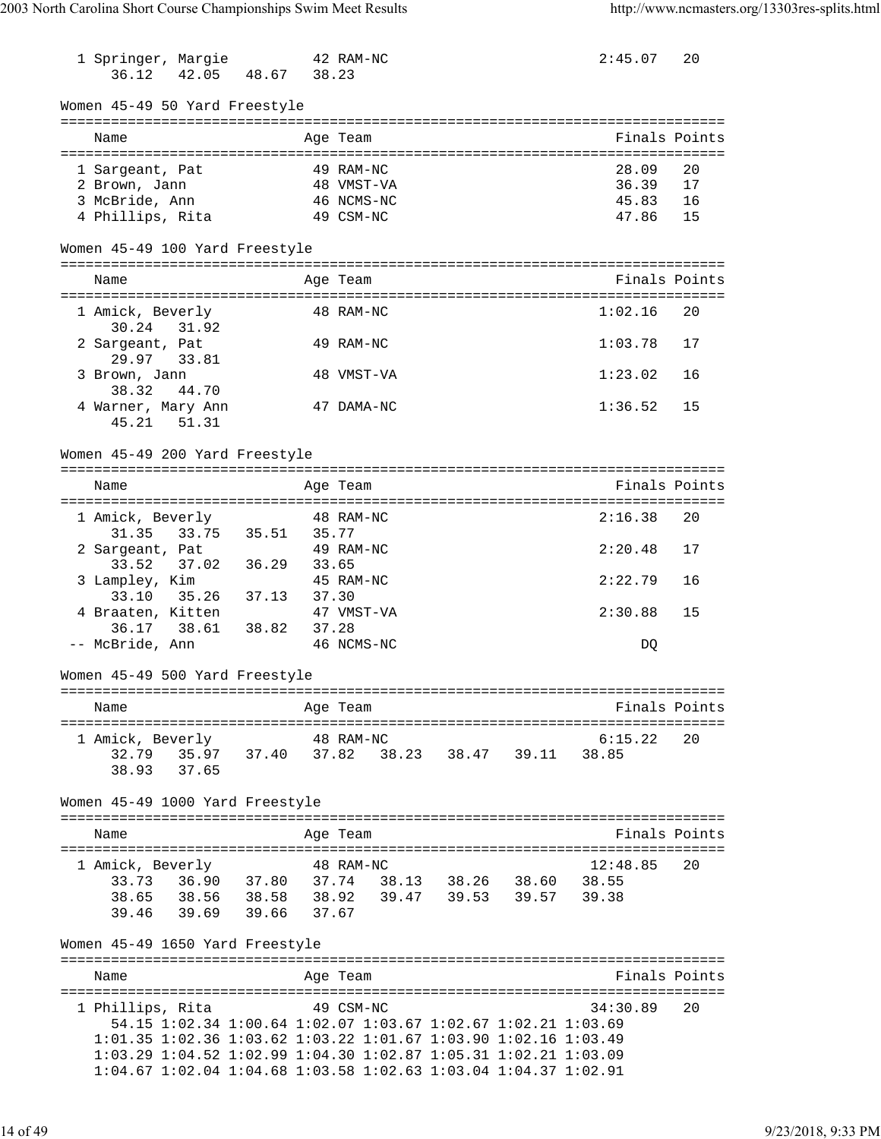1 Springer, Margie 42 RAM-NC 2:45.07 20 36.12 42.05 48.67 38.23 Women 45-49 50 Yard Freestyle =============================================================================== Name **Age Team** Age Team Finals Points =============================================================================== 1 Sargeant, Pat 49 RAM-NC 28.09 20 2 Brown, Jann 48 VMST-VA 36.39 17 3 McBride, Ann 46 NCMS-NC 45.83 16 a compared a mortgage of the MCMS-NC 45.83 16<br>4 Phillips, Rita 49 CSM-NC 47.86 15 Women 45-49 100 Yard Freestyle =============================================================================== Name **Age Team** Age Team Finals Points =============================================================================== 1 Amick, Beverly 48 RAM-NC 1:02.16 20 30.24 31.92 2 Sargeant, Pat 49 RAM-NC 1:03.78 17 29.97 33.81 3 Brown, Jann 48 VMST-VA 1:23.02 16 38.32 44.70 4 Warner, Mary Ann 47 DAMA-NC 1:36.52 15 45.21 51.31 Women 45-49 200 Yard Freestyle =============================================================================== Name Age Team Finals Points =============================================================================== 1 Amick, Beverly 48 RAM-NC 2:16.38 20 31.35 33.75 35.51 35.77 2 Sargeant, Pat 49 RAM-NC 2:20.48 17 33.52 37.02 36.29 33.65 3 Lampley, Kim 45 RAM-NC 2:22.79 16 33.10 35.26 37.13 37.30 4 Braaten, Kitten 47 VMST-VA 2:30.88 15 36.17 38.61 38.82 37.28<br>CBride, Ann 46 NCMS-NC -- McBride, Ann 46 NCMS-NC DQ Women 45-49 500 Yard Freestyle =============================================================================== Name Age Team Age Team Finals Points =============================================================================== 1 Amick, Beverly 48 RAM-NC 6:15.22 20 32.79 35.97 37.40 37.82 38.23 38.47 39.11 38.85 38.93 37.65 Women 45-49 1000 Yard Freestyle =============================================================================== Name Age Team Age Team Finals Points =============================================================================== 1 Amick, Beverly 38 RAM-NC 12:48.85 33.73 36.90 37.80 37.74 38.13 38.26 38.60 38.55 38.65 38.56 38.58 38.92 39.47 39.53 39.57 39.38 39.46 39.69 39.66 37.67 Women 45-49 1650 Yard Freestyle =============================================================================== Name **Age Team Age Team** Rinals Points =============================================================================== 1 Phillips, Rita 49 CSM-NC 54.15 1:02.34 1:00.64 1:02.07 1:03.67 1:02.67 1:02.21 1:03.69 1:01.35 1:02.36 1:03.62 1:03.22 1:01.67 1:03.90 1:02.16 1:03.49 1:03.29 1:04.52 1:02.99 1:04.30 1:02.87 1:05.31 1:02.21 1:03.09 1:04.67 1:02.04 1:04.68 1:03.58 1:02.63 1:03.04 1:04.37 1:02.91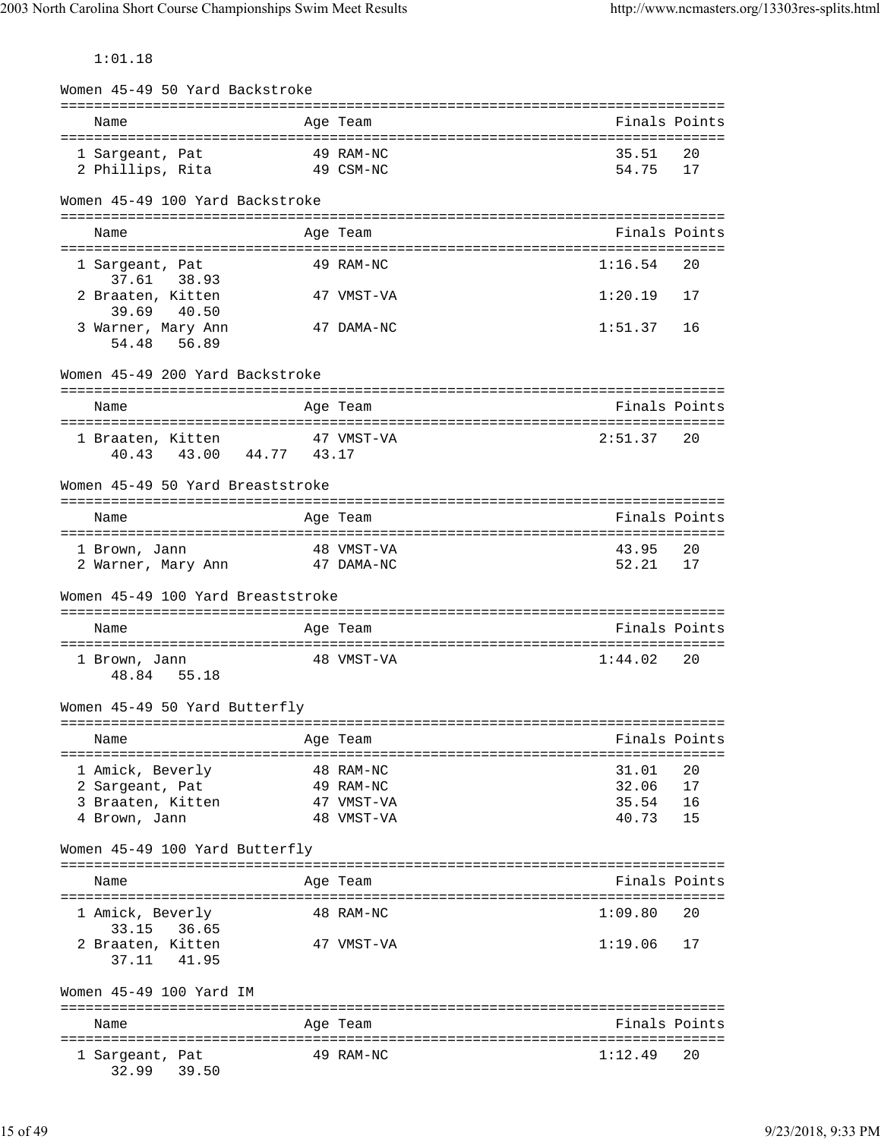1:01.18

| Women 45-49 50 Yard Backstroke                        |                                                         |                |               |
|-------------------------------------------------------|---------------------------------------------------------|----------------|---------------|
| Name                                                  | Age Team                                                |                | Finals Points |
| 1 Sargeant, Pat<br>2 Phillips, Rita                   | 49 RAM-NC<br>49 CSM-NC                                  | 35.51<br>54.75 | 20<br>17      |
| Women 45-49 100 Yard Backstroke                       |                                                         |                |               |
| Name                                                  | Age Team                                                |                | Finals Points |
| 1 Sargeant, Pat<br>37.61 38.93                        | 49 RAM-NC                                               | 1:16.54        | 20            |
| 2 Braaten, Kitten<br>39.69<br>40.50                   | 47 VMST-VA                                              | 1:20.19        | 17            |
| 3 Warner, Mary Ann<br>54.48<br>56.89                  | 47 DAMA-NC                                              | 1:51.37        | 16            |
| Women 45-49 200 Yard Backstroke                       |                                                         |                |               |
| ===================<br>Name                           | ===============<br>------------------------<br>Age Team |                | Finals Points |
| 1 Braaten, Kitten<br>43.00 44.77 43.17<br>40.43       | 47 VMST-VA                                              | 2:51.37        | 20            |
| Women 45-49 50 Yard Breaststroke                      |                                                         |                |               |
| Name                                                  | Age Team                                                |                | Finals Points |
| 1 Brown, Jann<br>2 Warner, Mary Ann                   | 48 VMST-VA<br>47 DAMA-NC                                | 43.95<br>52.21 | 20<br>17      |
| Women 45-49 100 Yard Breaststroke                     |                                                         |                |               |
| Name                                                  | Age Team                                                |                | Finals Points |
| 1 Brown, Jann<br>48.84 55.18                          | 48 VMST-VA                                              | 1:44.02        | 20            |
| Women 45-49 50 Yard Butterfly                         |                                                         |                |               |
| Name                                                  | Age Team                                                |                | Finals Points |
| 1 Amick, Beverly                                      | 48 RAM-NC                                               | 31.01          | 20            |
| 2 Sargeant, Pat                                       | 49 RAM-NC                                               | 32.06          | 17            |
| 3 Braaten, Kitten<br>4 Brown, Jann                    | 47 VMST-VA<br>48 VMST-VA                                | 35.54<br>40.73 | 16<br>15      |
| Women 45-49 100 Yard Butterfly                        |                                                         |                |               |
| --------------------------<br>Name                    | ==========<br>Age Team                                  |                | Finals Points |
| 1 Amick, Beverly                                      | 48 RAM-NC                                               | 1:09.80        | 20            |
| 33.15<br>36.65<br>2 Braaten, Kitten<br>37.11<br>41.95 | 47 VMST-VA                                              | 1:19.06        | 17            |
| Women 45-49 100 Yard IM                               |                                                         |                |               |
| Name                                                  | Age Team                                                |                | Finals Points |
| 1 Sargeant, Pat<br>39.50<br>32.99                     | 49 RAM-NC                                               | 1:12.49        | 20            |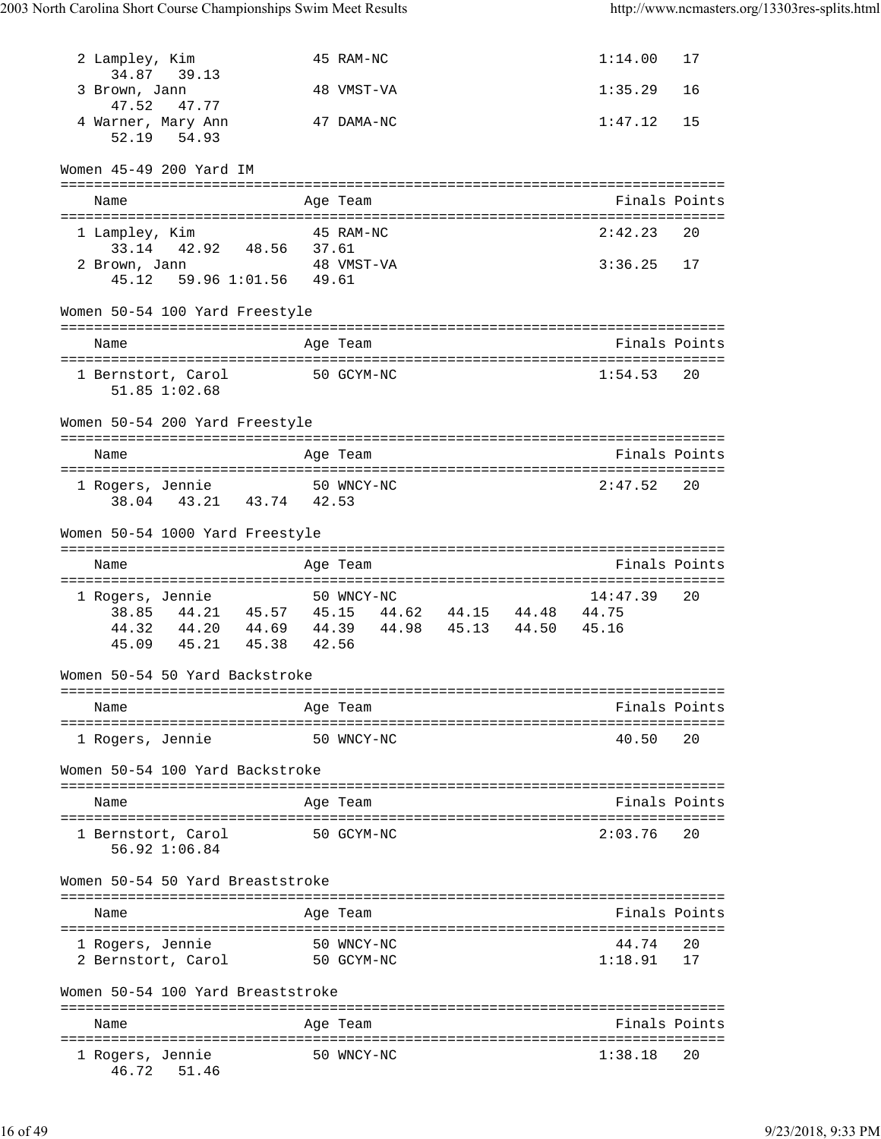| 2 Lampley, Kim<br>34.87 39.13                      | 45 RAM-NC                                                                                          | 1:14.00       | 17 |
|----------------------------------------------------|----------------------------------------------------------------------------------------------------|---------------|----|
| 3 Brown, Jann<br>47.52<br>47.77                    | 48 VMST-VA                                                                                         | 1:35.29       | 16 |
| 4 Warner, Mary Ann<br>52.19 54.93                  | 47 DAMA-NC                                                                                         | 1:47.12       | 15 |
| Women 45-49 200 Yard IM                            |                                                                                                    |               |    |
| Name                                               | Age Team                                                                                           | Finals Points |    |
| 1 Lampley, Kim                                     | 45 RAM-NC                                                                                          | 2:42.23       | 20 |
| 33.14 42.92 48.56 37.61                            |                                                                                                    |               |    |
| 2 Brown, Jann<br>59.96 1:01.56 49.61<br>45.12      | 48 VMST-VA                                                                                         | $3:36.25$ 17  |    |
| Women 50-54 100 Yard Freestyle                     |                                                                                                    |               |    |
| Name                                               | Age Team                                                                                           | Finals Points |    |
| 1 Bernstort, Carol 50 GCYM-NC<br>$51.85$ $1:02.68$ |                                                                                                    | $1:54.53$ 20  |    |
| Women 50-54 200 Yard Freestyle                     |                                                                                                    |               |    |
| Name                                               | Age Team                                                                                           | Finals Points |    |
| 1 Rogers, Jennie 50 WNCY-NC                        |                                                                                                    | 2:47.52       | 20 |
| 38.04 43.21 43.74 42.53                            |                                                                                                    |               |    |
| Women 50-54 1000 Yard Freestyle                    |                                                                                                    |               |    |
| Name                                               | Age Team                                                                                           | Finals Points |    |
| 1 Rogers, Jennie                                   | 50 WNCY-NC                                                                                         | 14:47.39      | 20 |
|                                                    | $38.85 \qquad 44.21 \qquad 45.57 \qquad 45.15 \qquad 44.62 \qquad 44.15 \qquad 44.48 \qquad 44.75$ |               |    |
|                                                    | 44.32  44.20  44.69  44.39  44.98  45.13  44.50  45.16<br>45.09  45.21  45.38  42.56               |               |    |
| Women 50-54 50 Yard Backstroke                     |                                                                                                    |               |    |
| Name                                               | Age Team                                                                                           | Finals Points |    |
| ===========================<br>1 Rogers, Jennie    | ===========================<br>50 WNCY-NC                                                          | 40.50         | 20 |
| Women 50-54 100 Yard Backstroke                    |                                                                                                    |               |    |
|                                                    |                                                                                                    |               |    |
| Name                                               | Age Team                                                                                           | Finals Points |    |
| 1 Bernstort, Carol<br>56.92 1:06.84                | 50 GCYM-NC                                                                                         | 2:03.76       | 20 |
| Women 50-54 50 Yard Breaststroke                   |                                                                                                    |               |    |
| Name                                               | Age Team                                                                                           | Finals Points |    |
| 1 Rogers, Jennie                                   | 50 WNCY-NC                                                                                         | 44.74         | 20 |
| 2 Bernstort, Carol                                 | 50 GCYM-NC                                                                                         | 1:18.91       | 17 |
| Women 50-54 100 Yard Breaststroke                  |                                                                                                    |               |    |
| Name                                               | Age Team                                                                                           | Finals Points |    |
| 1 Rogers, Jennie<br>46.72<br>51.46                 | 50 WNCY-NC                                                                                         | 1:38.18       | 20 |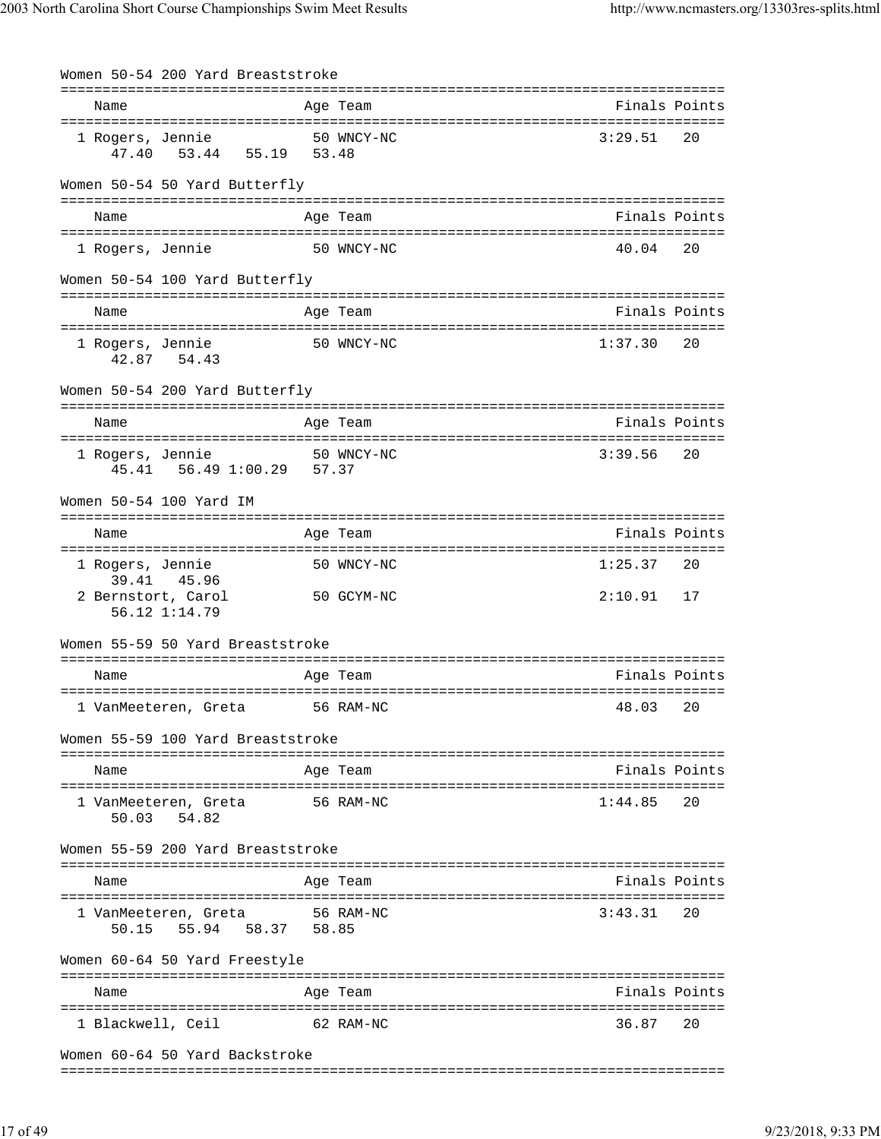| Women 50-54 200 Yard Breaststroke                |            |         |               |
|--------------------------------------------------|------------|---------|---------------|
| Name                                             | Age Team   |         | Finals Points |
| 1 Rogers, Jennie<br>47.40 53.44 55.19 53.48      | 50 WNCY-NC | 3:29.51 | 20            |
| Women 50-54 50 Yard Butterfly                    |            |         |               |
| Name                                             | Age Team   |         | Finals Points |
| 1 Rogers, Jennie                                 | 50 WNCY-NC | 40.04   | 20            |
| Women 50-54 100 Yard Butterfly                   |            |         |               |
| Name                                             | Age Team   |         | Finals Points |
| 1 Rogers, Jennie<br>42.87 54.43                  | 50 WNCY-NC | 1:37.30 | 20            |
| Women 50-54 200 Yard Butterfly                   |            |         |               |
| Name                                             | Age Team   |         | Finals Points |
| 1 Rogers, Jennie<br>45.41  56.49  1:00.29  57.37 | 50 WNCY-NC | 3:39.56 | 20            |
| Women 50-54 100 Yard IM                          |            |         |               |
| Name                                             | Age Team   |         | Finals Points |
| 1 Rogers, Jennie<br>39.41 45.96                  | 50 WNCY-NC | 1:25.37 | 20            |
| 2 Bernstort, Carol<br>56.12 1:14.79              | 50 GCYM-NC | 2:10.91 | 17            |
| Women 55-59 50 Yard Breaststroke                 |            |         |               |
| Name                                             | Age Team   |         | Finals Points |
| 1 VanMeeteren, Greta                             | 56 RAM-NC  | 48.03   | 20            |
| Women 55-59 100 Yard Breaststroke                |            |         |               |
| Name                                             | Age Team   |         | Finals Points |
| 1 VanMeeteren, Greta<br>50.03 54.82              | 56 RAM-NC  | 1:44.85 | 20            |
| Women 55-59 200 Yard Breaststroke                |            |         |               |
| Name                                             | Age Team   |         | Finals Points |
| 1 VanMeeteren, Greta<br>50.15 55.94 58.37 58.85  | 56 RAM-NC  | 3:43.31 | 20            |
| Women 60-64 50 Yard Freestyle                    |            |         |               |
| Name                                             | Age Team   |         | Finals Points |
| 1 Blackwell, Ceil                                | 62 RAM-NC  | 36.87   | 20            |
| Women 60-64 50 Yard Backstroke                   |            |         |               |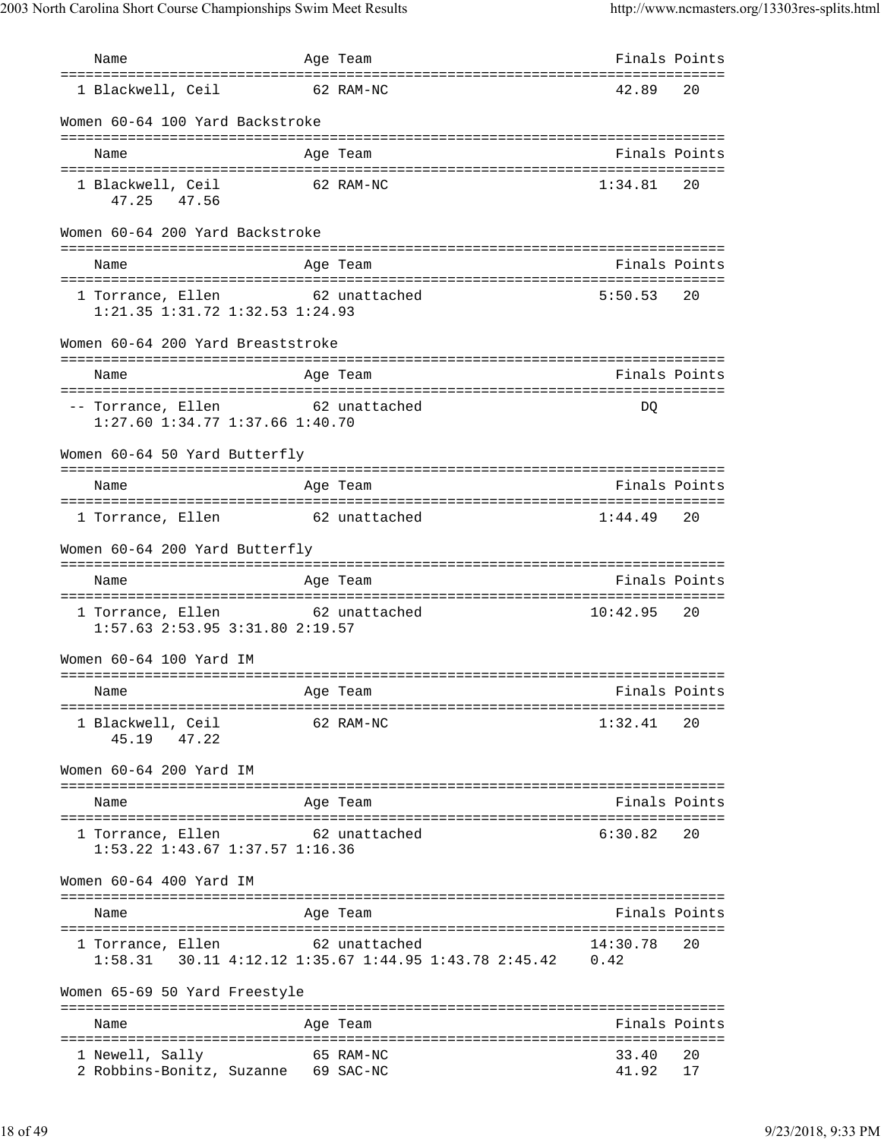| Name                                                                        |           | Age Team                                                          | Finals Points     |               |
|-----------------------------------------------------------------------------|-----------|-------------------------------------------------------------------|-------------------|---------------|
| ===================================<br>1 Blackwell, Ceil                    | 62 RAM-NC |                                                                   | 42.89             | 20            |
| Women 60-64 100 Yard Backstroke                                             |           |                                                                   |                   |               |
| Name                                                                        |           | Age Team                                                          | Finals Points     |               |
| 1 Blackwell, Ceil<br>47.25 47.56                                            | 62 RAM-NC |                                                                   | $1:34.81$ 20      |               |
| Women 60-64 200 Yard Backstroke                                             |           |                                                                   |                   |               |
| Name                                                                        |           | Age Team                                                          | Finals Points     |               |
| 1 Torrance, Ellen 62 unattached<br>$1:21.35$ $1:31.72$ $1:32.53$ $1:24.93$  |           |                                                                   | $5:50.53$ 20      |               |
| Women 60-64 200 Yard Breaststroke                                           |           |                                                                   |                   |               |
| Name                                                                        |           | Age Team                                                          | Finals Points     |               |
| -- Torrance, Ellen 62 unattached<br>$1:27.60$ $1:34.77$ $1:37.66$ $1:40.70$ |           |                                                                   | DQ                |               |
| Women 60-64 50 Yard Butterfly                                               |           |                                                                   |                   |               |
| Name                                                                        |           | Age Team                                                          | Finals Points     |               |
| 1 Torrance, Ellen                                                           |           | 62 unattached                                                     | 1:44.49           | 20            |
| Women 60-64 200 Yard Butterfly                                              |           |                                                                   |                   |               |
| Name                                                                        |           | Age Team                                                          | Finals Points     |               |
| 1 Torrance, Ellen 62 unattached<br>1:57.63 2:53.95 3:31.80 2:19.57          |           |                                                                   | $10:42.95$ 20     |               |
| Women 60-64 100 Yard IM                                                     |           |                                                                   |                   |               |
| Name                                                                        | Age Team  | Finals Points                                                     |                   |               |
| 1 Blackwell, Ceil<br>45.19 47.22                                            | 62 RAM-NC |                                                                   | 1:32.41           | 20            |
| Women 60-64 200 Yard IM                                                     |           |                                                                   |                   |               |
| Name                                                                        |           | Age Team                                                          | Finals Points     |               |
| 1 Torrance, Ellen 62 unattached<br>1:53.22 1:43.67 1:37.57 1:16.36          |           |                                                                   | 6:30.82           | 20            |
| Women 60-64 400 Yard IM                                                     |           |                                                                   |                   |               |
| Name                                                                        |           | Age Team                                                          | Finals Points     |               |
| 1 Torrance, Ellen 62 unattached                                             |           | 1:58.31  30.11  4:12.12  1:35.67  1:44.95  1:43.78  2:45.42  0.42 | 14:30.78          | 20            |
| Women 65-69 50 Yard Freestyle                                               |           |                                                                   |                   |               |
| Name                                                                        |           | Age Team                                                          |                   | Finals Points |
| 1 Newell, Sally<br>2 Robbins-Bonitz, Suzanne 69 SAC-NC                      | 65 RAM-NC |                                                                   | 33.40<br>41.92 17 | 20            |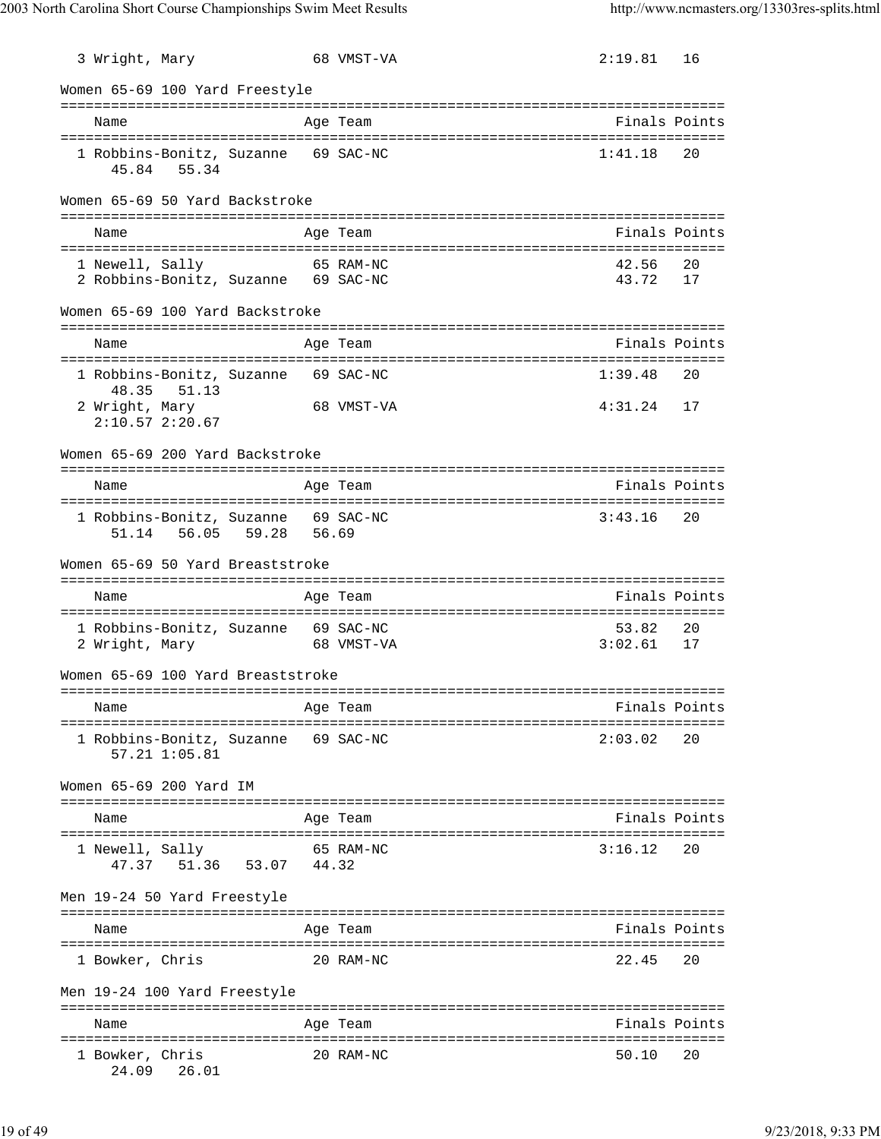| 3 Wright, Mary           |                                                      |       | 68 VMST-VA                                      | 2:19.81           | 16            |
|--------------------------|------------------------------------------------------|-------|-------------------------------------------------|-------------------|---------------|
|                          | Women 65-69 100 Yard Freestyle                       |       |                                                 |                   |               |
| Name                     |                                                      |       | Age Team                                        |                   | Finals Points |
| 45.84                    | 1 Robbins-Bonitz, Suzanne 69 SAC-NC<br>55.34         |       |                                                 | 1:41.18           | 20            |
|                          | Women 65-69 50 Yard Backstroke                       |       |                                                 |                   |               |
| Name                     |                                                      |       | Age Team                                        |                   | Finals Points |
| 1 Newell, Sally          | 2 Robbins-Bonitz, Suzanne 69 SAC-NC                  |       | 65 RAM-NC                                       | 42.56<br>43.72    | 20<br>17      |
|                          | Women 65-69 100 Yard Backstroke                      |       |                                                 |                   |               |
| Name                     |                                                      |       | Age Team                                        |                   | Finals Points |
|                          | 1 Robbins-Bonitz, Suzanne 69 SAC-NC<br>48.35 51.13   |       |                                                 | 1:39.48           | 20            |
| 2 Wright, Mary           | 2:10.572:20.67                                       |       | 68 VMST-VA                                      | 4:31.24           | 17            |
|                          | Women 65-69 200 Yard Backstroke                      |       |                                                 |                   |               |
| Name                     |                                                      |       | Age Team                                        |                   | Finals Points |
| 51.14                    | 1 Robbins-Bonitz, Suzanne 69 SAC-NC<br>56.05 59.28   | 56.69 |                                                 | 3:43.16           | 20            |
|                          | Women 65-69 50 Yard Breaststroke                     |       |                                                 |                   |               |
| Name                     |                                                      |       | Age Team                                        |                   | Finals Points |
| 2 Wright, Mary           | 1 Robbins-Bonitz, Suzanne 69 SAC-NC                  |       | 68 VMST-VA                                      | 53.82<br>3:02.61  | 20<br>17      |
|                          | Women 65-69 100 Yard Breaststroke                    |       |                                                 |                   |               |
| Name                     |                                                      |       | Age Team                                        | Finals Points     |               |
|                          | 1 Robbins-Bonitz, Suzanne 69 SAC-NC<br>57.21 1:05.81 |       |                                                 | 2:03.02           | 20            |
|                          | Women 65-69 200 Yard IM                              |       | ----------------------------------              |                   |               |
| Name                     |                                                      |       | Age Team                                        |                   | Finals Points |
| 1 Newell, Sally          | 47.37 51.36 53.07 44.32                              |       | 65 RAM-NC                                       | 3:16.12           | 20            |
|                          | Men 19-24 50 Yard Freestyle                          |       |                                                 |                   |               |
| Name                     |                                                      |       | Age Team                                        | Finals Points     |               |
| 1 Bowker, Chris          |                                                      |       | 20 RAM-NC                                       | 22.45             | 20            |
|                          | Men 19-24 100 Yard Freestyle                         |       | ==========<br>=============                     |                   |               |
| Name                     |                                                      |       | Age Team                                        | ----------------- | Finals Points |
| 1 Bowker, Chris<br>24.09 | 26.01                                                |       | ==================================<br>20 RAM-NC | 50.10             | 20            |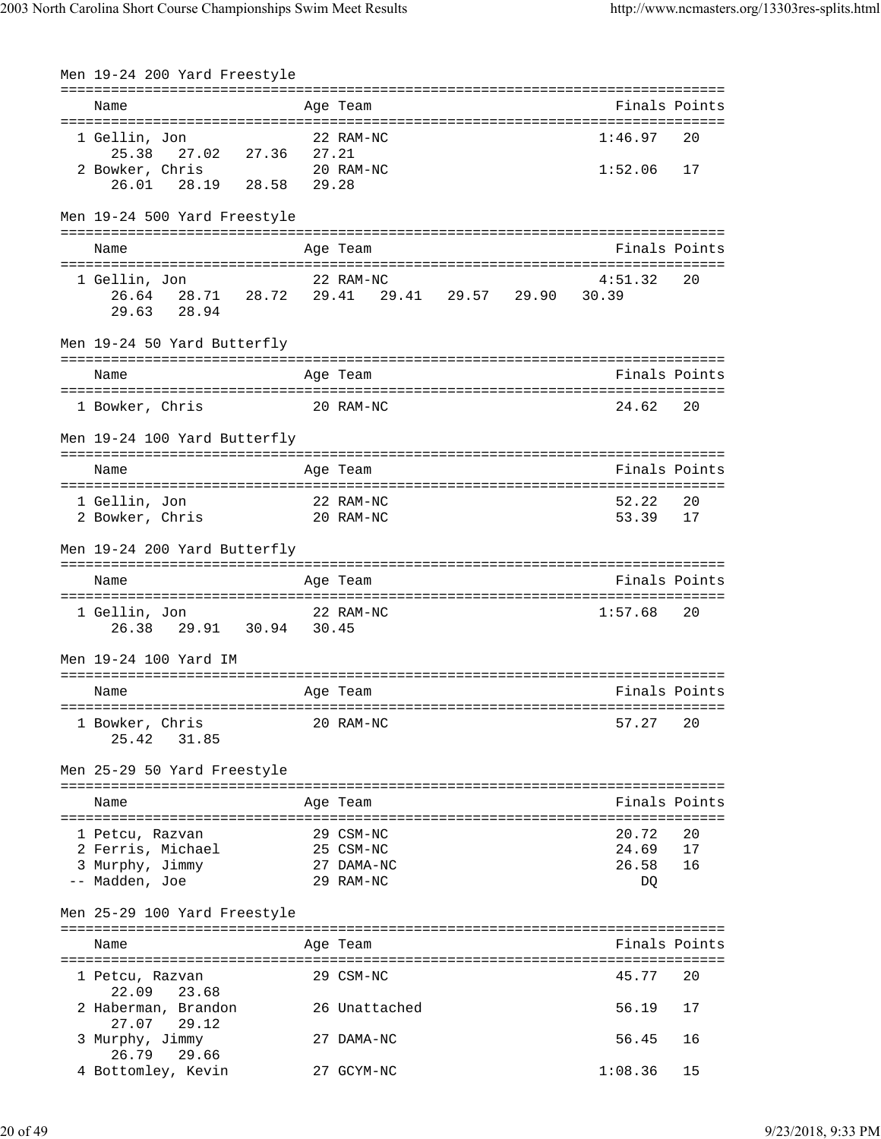| Men 19-24 200 Yard Freestyle                                              |                                                              |                               |                             |
|---------------------------------------------------------------------------|--------------------------------------------------------------|-------------------------------|-----------------------------|
| Name                                                                      | Age Team                                                     |                               | Finals Points               |
| 1 Gellin, Jon<br>27.02 27.36 27.21<br>25.38                               | 22 RAM-NC                                                    | 1:46.97                       | 20                          |
| 2 Bowker, Chris<br>20 RAM-NC<br>26.01 28.19 28.58 29.28                   |                                                              | 1:52.06                       | 17                          |
| Men 19-24 500 Yard Freestyle                                              |                                                              |                               |                             |
| Name                                                                      | Age Team                                                     |                               | Finals Points               |
| 1 Gellin, Jon<br>28.94<br>29.63                                           | 22 RAM-NC<br>26.64 28.71 28.72 29.41 29.41 29.57 29.90 30.39 | 4:51.32                       | 20                          |
| Men 19-24 50 Yard Butterfly                                               |                                                              |                               |                             |
| Name                                                                      | Age Team                                                     | Finals Points                 |                             |
| 1 Bowker, Chris<br>20 RAM-NC                                              |                                                              | 24.62                         | 20                          |
| Men 19-24 100 Yard Butterfly                                              |                                                              |                               |                             |
| Name                                                                      | Age Team                                                     | Finals Points                 |                             |
| 1 Gellin, Jon<br>22 RAM-NC<br>20 RAM-NC<br>2 Bowker, Chris                |                                                              | 52.22<br>53.39                | 20<br>17                    |
| Men 19-24 200 Yard Butterfly                                              |                                                              |                               |                             |
| Name                                                                      | ================================<br>Age Team                 | Finals Points                 |                             |
| 1 Gellin, Jon 22 RAM-NC<br>26.38 29.91 30.94 30.45                        |                                                              | 1:57.68                       | 20                          |
| Men 19-24 100 Yard IM                                                     |                                                              |                               |                             |
| Name                                                                      | Age Team                                                     | Finals Points                 |                             |
| -----------------------------------<br>1 Bowker, Chris<br>25.42<br>31.85  | 20 RAM-NC                                                    | 57.27                         | 20                          |
| Men 25-29 50 Yard Freestyle                                               |                                                              |                               |                             |
| Name                                                                      | Age Team                                                     |                               | Finals Points               |
| 1 Petcu, Razvan<br>2 Ferris, Michael<br>3 Murphy, Jimmy<br>-- Madden, Joe | 29 CSM-NC<br>25 CSM-NC<br>27 DAMA-NC<br>29 RAM-NC            | 20.72<br>24.69<br>26.58<br>DQ | =========<br>20<br>17<br>16 |
| Men 25-29 100 Yard Freestyle                                              |                                                              |                               |                             |
| Name                                                                      | Age Team                                                     |                               | Finals Points               |
| 1 Petcu, Razvan<br>22.09<br>23.68                                         | 29 CSM-NC                                                    | 45.77                         | 20                          |
| 2 Haberman, Brandon<br>27.07<br>29.12                                     | 26 Unattached                                                | 56.19                         | 17                          |
| 3 Murphy, Jimmy<br>29.66<br>26.79                                         | 27 DAMA-NC                                                   | 56.45                         | 16                          |
| 4 Bottomley, Kevin                                                        | 27 GCYM-NC                                                   | 1:08.36                       | 15                          |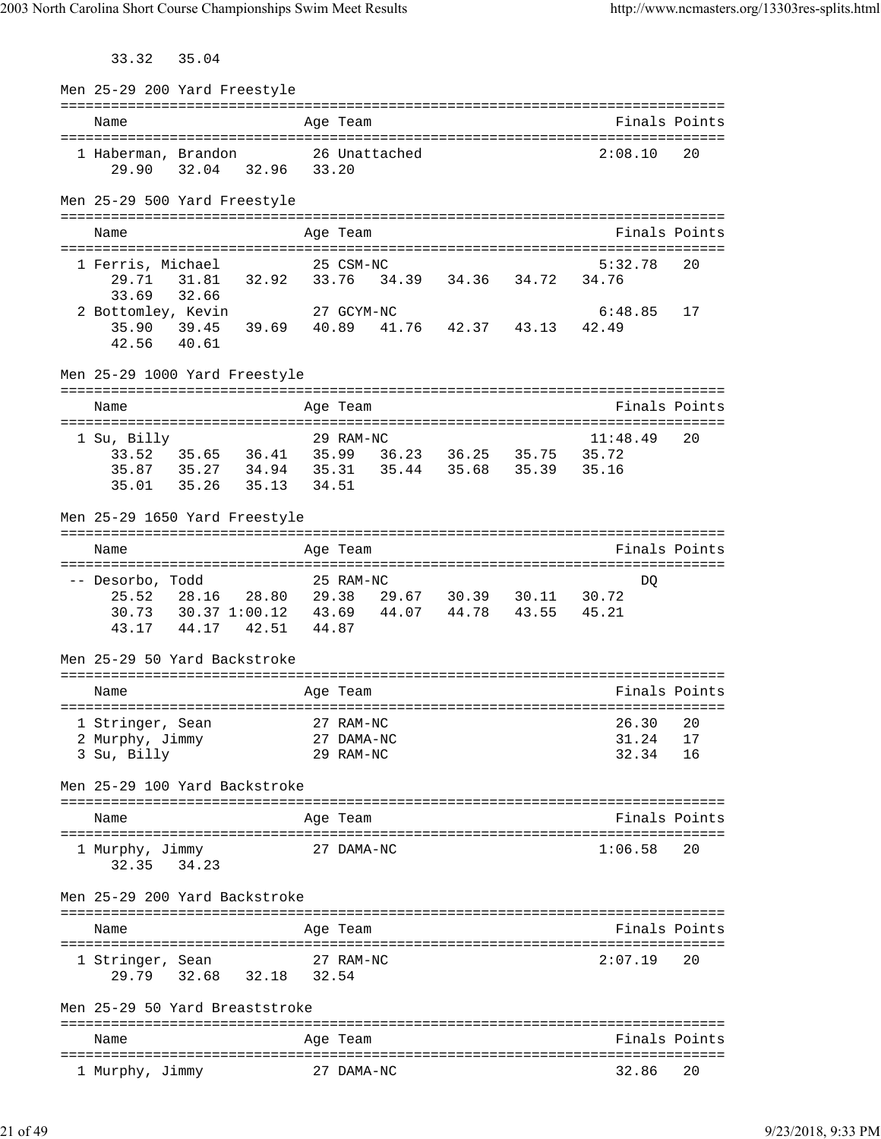33.32 35.04

| Men 25-29 200 Yard Freestyle                                                                          |       |                                                                                                                                               |                                     |  |                            |               |
|-------------------------------------------------------------------------------------------------------|-------|-----------------------------------------------------------------------------------------------------------------------------------------------|-------------------------------------|--|----------------------------|---------------|
| Name                                                                                                  |       |                                                                                                                                               | Age Team                            |  |                            | Finals Points |
| 1 Haberman, Brandon 26 Unattached<br>29.90                                                            |       | 32.04 32.96 33.20                                                                                                                             |                                     |  | 2:08.10                    | 20            |
| Men 25-29 500 Yard Freestyle                                                                          |       |                                                                                                                                               |                                     |  |                            |               |
| Name                                                                                                  |       |                                                                                                                                               | Age Team                            |  |                            | Finals Points |
| 1 Ferris, Michael<br>29.71<br>33.69                                                                   | 32.66 | 31.81 32.92 33.76 34.39 34.36 34.72 34.76                                                                                                     | 25 CSM-NC                           |  | 5:32.78                    | 20            |
| 2 Bottomley, Kevin<br>35.90<br>42.56 40.61                                                            |       | 27 GCYM-NC<br>$39.45$ 39.69 40.89 41.76 42.37 43.13 42.49                                                                                     |                                     |  | 6:48.85                    | 17            |
| Men 25-29 1000 Yard Freestyle                                                                         |       |                                                                                                                                               |                                     |  |                            |               |
| Name                                                                                                  |       |                                                                                                                                               | Age Team                            |  |                            | Finals Points |
| 1 Su, Billy<br>35.01                                                                                  | 35.26 | 33.52 35.65 36.41 35.99 36.23 36.25 35.75 35.72<br>35.87   35.27   34.94   35.31   35.44   35.68   35.39   35.16<br>35.13 34.51               | 29 RAM-NC                           |  | 11:48.49                   | 20            |
| Men 25-29 1650 Yard Freestyle                                                                         |       |                                                                                                                                               |                                     |  |                            |               |
| Name                                                                                                  |       |                                                                                                                                               | Age Team                            |  |                            | Finals Points |
| -- Desorbo, Todd<br>Men 25-29 50 Yard Backstroke                                                      |       | 25.52  28.16  28.80  29.38  29.67  30.39  30.11  30.72<br>30.73  30.37  1:00.12  43.69  44.07  44.78  43.55  45.21<br>43.17 44.17 42.51 44.87 | 25 RAM-NC                           |  | DQ                         |               |
|                                                                                                       |       |                                                                                                                                               |                                     |  |                            | Finals Points |
| Name<br>1 Stringer, Sean 27 RAM-NC<br>2 Murphy, Jimmy<br>3 Su, Billy<br>Men 25-29 100 Yard Backstroke |       |                                                                                                                                               | Age Team<br>27 DAMA-NC<br>29 RAM-NC |  | 26.30 20<br>31.24<br>32.34 | 17<br>16      |
| Name                                                                                                  |       |                                                                                                                                               | Age Team                            |  |                            | Finals Points |
| 1 Murphy, Jimmy<br>32.35 34.23                                                                        |       |                                                                                                                                               | 27 DAMA-NC                          |  | 1:06.58                    | 20            |
| Men 25-29 200 Yard Backstroke                                                                         |       |                                                                                                                                               |                                     |  |                            |               |
| Name                                                                                                  |       |                                                                                                                                               | Age Team                            |  |                            | Finals Points |
| 1 Stringer, Sean                                                                                      |       | 29.79 32.68 32.18 32.54                                                                                                                       | 27 RAM-NC                           |  | 2:07.19                    | 20            |
| Men 25-29 50 Yard Breaststroke                                                                        |       |                                                                                                                                               |                                     |  |                            |               |
| Name                                                                                                  |       |                                                                                                                                               | Age Team                            |  |                            | Finals Points |
| 1 Murphy, Jimmy                                                                                       |       |                                                                                                                                               | 27 DAMA-NC                          |  | 32.86                      | 20            |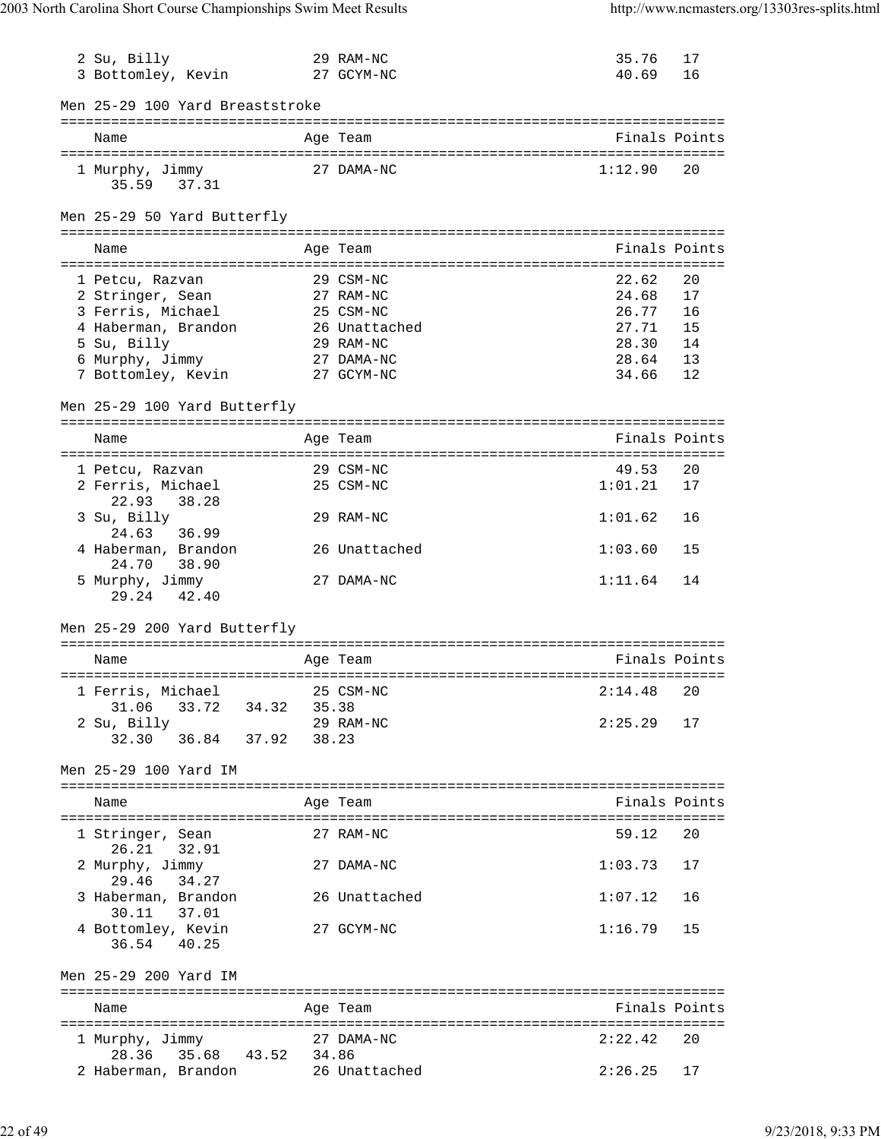| 2 Su, Billy<br>3 Bottomley, Kevin     |                | 29 RAM-NC<br>27 GCYM-NC | 35.76<br>40.69 | 17<br>16      |
|---------------------------------------|----------------|-------------------------|----------------|---------------|
|                                       |                |                         |                |               |
| Men 25-29 100 Yard Breaststroke       |                |                         |                |               |
| Name                                  |                | Age Team                |                | Finals Points |
| 1 Murphy, Jimmy<br>35.59 37.31        |                | 27 DAMA-NC              | 1:12.90        | 20            |
| Men 25-29 50 Yard Butterfly           |                |                         |                |               |
| Name                                  |                | Age Team                |                | Finals Points |
| 1 Petcu, Razvan                       |                | 29 CSM-NC               | 22.62          | 20            |
| 2 Stringer, Sean                      |                | 27 RAM-NC               | 24.68          | 17            |
| 3 Ferris, Michael                     |                | 25 CSM-NC               | 26.77          | 16            |
| 4 Haberman, Brandon                   |                | 26 Unattached           | 27.71          | 15            |
| 5 Su, Billy                           |                | 29 RAM-NC               | 28.30          | 14            |
| 6 Murphy, Jimmy                       |                | 27 DAMA-NC              | 28.64          | 13            |
| 7 Bottomley, Kevin                    | 27 GCYM-NC     |                         | 34.66          | 12            |
| Men 25-29 100 Yard Butterfly          |                |                         |                |               |
| Name                                  |                | Age Team                |                | Finals Points |
| 1 Petcu, Razvan                       |                | 29 CSM-NC               | 49.53          | 20            |
| 2 Ferris, Michael                     |                | 25 CSM-NC               | 1:01.21        | 17            |
| 22.93<br>38.28                        |                |                         |                |               |
| 3 Su, Billy                           |                | 29 RAM-NC               | 1:01.62        | 16            |
| 36.99<br>24.63<br>4 Haberman, Brandon |                | 26 Unattached           | 1:03.60        | 15            |
| 24.70 38.90<br>5 Murphy, Jimmy        |                | 27 DAMA-NC              | 1:11.64        | 14            |
| 29.24 42.40                           |                |                         |                |               |
| Men 25-29 200 Yard Butterfly          |                |                         |                |               |
| Name                                  |                | Age Team                |                | Finals Points |
|                                       |                |                         |                |               |
| 1 Ferris, Michael 25 CSM-NC           |                | 2:14.48                 |                | 20            |
| 33.72 34.32<br>31.06                  | 35.38          |                         |                |               |
| 2 Su, Billy                           |                | 29 RAM-NC               | 2:25.29        | 17            |
| 36.84 37.92<br>32.30                  | 38.23          |                         |                |               |
| Men 25-29 100 Yard IM                 |                |                         |                |               |
| Name                                  |                | Age Team                |                | Finals Points |
|                                       |                |                         |                |               |
| 1 Stringer, Sean<br>26.21 32.91       |                | 27 RAM-NC               | 59.12          | 20            |
| 2 Murphy, Jimmy                       |                | 27 DAMA-NC              | 1:03.73        | 17            |
| 29.46<br>34.27                        |                |                         |                |               |
| 3 Haberman, Brandon<br>30.11 37.01    |                | 26 Unattached           | 1:07.12        | 16            |
| 4 Bottomley, Kevin<br>36.54 40.25     |                | 27 GCYM-NC              | 1:16.79        | 15            |
| Men 25-29 200 Yard IM                 |                |                         |                |               |
|                                       |                |                         |                |               |
| Name                                  |                | Age Team                |                | Finals Points |
| 1 Murphy, Jimmy                       |                | 27 DAMA-NC              | 2:22.42        | 20            |
| 28.36 35.68                           | 34.86<br>43.52 |                         |                |               |
| 2 Haberman, Brandon                   |                | 26 Unattached           | 2:26.25        | 17            |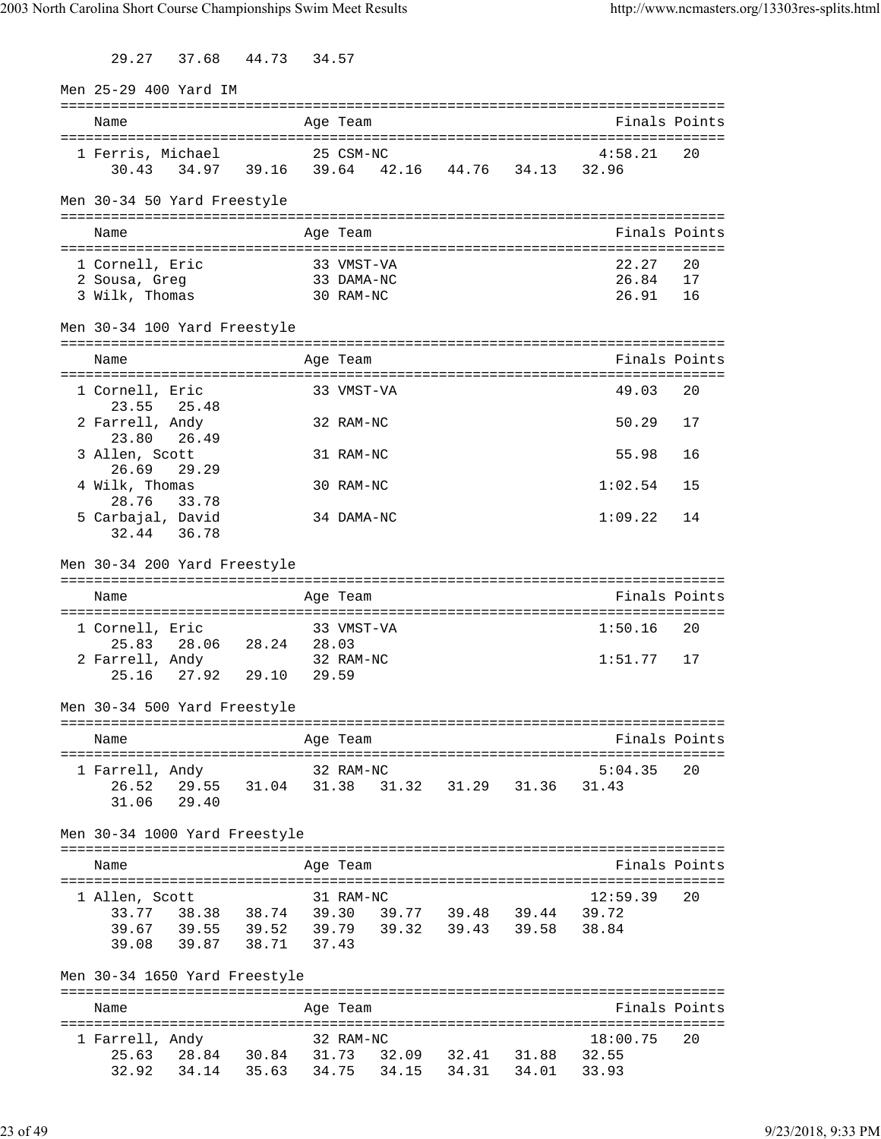29.27 37.68 44.73 34.57

| Men 25-29 400 Yard IM         |             |                                                                                                                               |       |            |       |                   |                   |               |
|-------------------------------|-------------|-------------------------------------------------------------------------------------------------------------------------------|-------|------------|-------|-------------------|-------------------|---------------|
| Name                          |             |                                                                                                                               |       | Age Team   |       |                   |                   | Finals Points |
| 1 Ferris, Michael             |             | 30.43 34.97 39.16 39.64 42.16 44.76 34.13 32.96                                                                               |       | 25 CSM-NC  |       |                   | 4:58.21           | 20            |
| Men 30-34 50 Yard Freestyle   |             |                                                                                                                               |       |            |       |                   |                   |               |
| Name                          |             |                                                                                                                               |       | Age Team   |       |                   |                   | Finals Points |
| 1 Cornell, Eric               |             | 33 VMST-VA                                                                                                                    |       |            |       |                   | 22.27             | 20            |
| 2 Sousa, Greg                 |             |                                                                                                                               |       | 33 DAMA-NC |       |                   | 26.84             | 17            |
| 3 Wilk, Thomas                |             | 30 RAM-NC                                                                                                                     |       |            |       |                   | 26.91             | 16            |
| Men 30-34 100 Yard Freestyle  |             |                                                                                                                               |       |            |       |                   |                   |               |
| Name                          |             |                                                                                                                               |       | Age Team   |       |                   |                   | Finals Points |
| 1 Cornell, Eric<br>23.55      | 25.48       |                                                                                                                               |       | 33 VMST-VA |       |                   | 49.03             | 20            |
| 2 Farrell, Andy<br>23.80      | 26.49       |                                                                                                                               |       | 32 RAM-NC  |       |                   | 50.29             | 17            |
| 3 Allen, Scott<br>26.69       | 29.29       |                                                                                                                               |       | 31 RAM-NC  |       |                   | 55.98             | 16            |
| 4 Wilk, Thomas<br>28.76       | 33.78       |                                                                                                                               |       | 30 RAM-NC  |       |                   | 1:02.54           | 15            |
| 5 Carbajal, David             | 32.44 36.78 |                                                                                                                               |       | 34 DAMA-NC |       |                   | 1:09.22           | 14            |
| Men 30-34 200 Yard Freestyle  |             |                                                                                                                               |       |            |       |                   |                   |               |
| Name                          |             |                                                                                                                               |       | Age Team   |       |                   | Finals Points     |               |
|                               |             |                                                                                                                               |       |            |       |                   |                   |               |
| 1 Cornell, Eric               |             | 25.83 28.06 28.24 28.03                                                                                                       |       | 33 VMST-VA |       |                   | 1:50.16           | 20            |
| 2 Farrell, Andy               |             |                                                                                                                               |       | 32 RAM-NC  |       |                   | 1:51.77           | 17            |
| 25.16                         |             | 27.92 29.10 29.59                                                                                                             |       |            |       |                   |                   |               |
| Men 30-34 500 Yard Freestyle  |             |                                                                                                                               |       |            |       |                   |                   |               |
|                               |             |                                                                                                                               |       |            |       |                   |                   |               |
| Name                          |             |                                                                                                                               |       | Age Team   |       |                   |                   | Finals Points |
|                               |             |                                                                                                                               |       | 32 RAM-NC  |       |                   | 5:04.35           | 20            |
| 1 Farrell, Andy<br>26.52      |             | 29.55 31.04 31.38                                                                                                             |       |            |       | 31.32 31.29 31.36 | 31.43             |               |
| 31.06                         | 29.40       |                                                                                                                               |       |            |       |                   |                   |               |
| Men 30-34 1000 Yard Freestyle |             |                                                                                                                               |       |            |       |                   |                   |               |
| Name                          |             |                                                                                                                               |       | Age Team   |       |                   |                   | Finals Points |
|                               |             |                                                                                                                               |       |            |       |                   |                   | 20            |
| 1 Allen, Scott<br>33.77       |             |                                                                                                                               |       | 31 RAM-NC  |       |                   | 12:59.39<br>39.72 |               |
| 39.67                         |             | 38.38  38.74  39.30  39.77  39.48  39.44  39.72<br>39.55  39.52  39.79  39.32  39.43  39.58  38.84<br>39.55 39.52 39.79 39.32 |       |            |       |                   |                   |               |
| 39.08                         |             | 39.87 38.71                                                                                                                   | 37.43 |            |       |                   |                   |               |
| Men 30-34 1650 Yard Freestyle |             |                                                                                                                               |       |            |       |                   |                   |               |
| Name                          |             |                                                                                                                               |       | Age Team   |       |                   |                   | Finals Points |
| 1 Farrell, Andy               |             |                                                                                                                               |       | 32 RAM-NC  |       |                   | 18:00.75          | 20            |
| 32.92                         |             | 25.63 28.84 30.84 31.73 32.09 32.41 31.88 32.55<br>34.14 35.63 34.75                                                          |       |            | 34.15 | 34.31 34.01       | 33.93             |               |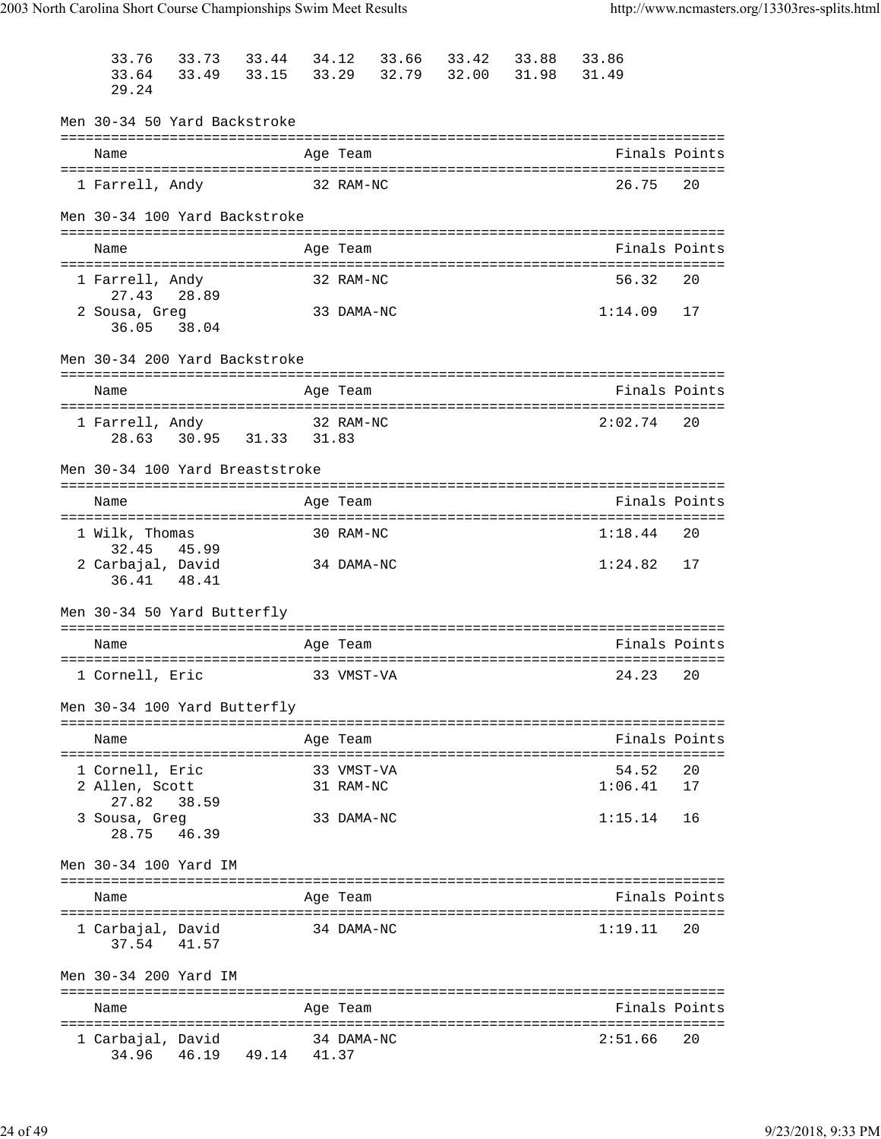| 33.76                           | 33.73                   | 33.44       | 34.12      | 33.66 | 33.42 | 33.88 | 33.86   |               |
|---------------------------------|-------------------------|-------------|------------|-------|-------|-------|---------|---------------|
| 33.64                           | 33.49                   | 33.15       | 33.29      | 32.79 | 32.00 | 31.98 | 31.49   |               |
| 29.24                           |                         |             |            |       |       |       |         |               |
| Men 30-34 50 Yard Backstroke    |                         |             |            |       |       |       |         |               |
| Name                            |                         |             | Age Team   |       |       |       |         | Finals Points |
|                                 |                         |             |            |       |       |       |         |               |
| 1 Farrell, Andy                 |                         |             | 32 RAM-NC  |       |       |       | 26.75   | 20            |
| Men 30-34 100 Yard Backstroke   |                         |             |            |       |       |       |         |               |
| Name                            |                         |             | Age Team   |       |       |       |         | Finals Points |
| 1 Farrell, Andy                 |                         |             | 32 RAM-NC  |       |       |       | 56.32   | 20            |
| 27.43<br>2 Sousa, Greg          | 28.89                   |             | 33 DAMA-NC |       |       |       | 1:14.09 | 17            |
| 36.05 38.04                     |                         |             |            |       |       |       |         |               |
| Men 30-34 200 Yard Backstroke   |                         |             |            |       |       |       |         |               |
| Name                            |                         |             | Age Team   |       |       |       |         | Finals Points |
|                                 |                         |             |            |       |       |       |         |               |
| 1 Farrell, Andy                 | 28.63 30.95 31.33 31.83 |             | 32 RAM-NC  |       |       |       | 2:02.74 | 20            |
|                                 |                         |             |            |       |       |       |         |               |
| Men 30-34 100 Yard Breaststroke |                         |             |            |       |       |       |         |               |
| Name                            |                         |             | Age Team   |       |       |       |         | Finals Points |
| 1 Wilk, Thomas                  |                         |             | 30 RAM-NC  |       |       |       | 1:18.44 | 20            |
| 32.45                           | 45.99                   |             |            |       |       |       |         |               |
| 2 Carbajal, David<br>36.41      | 48.41                   |             | 34 DAMA-NC |       |       |       | 1:24.82 | 17            |
|                                 |                         |             |            |       |       |       |         |               |
| Men 30-34 50 Yard Butterfly     |                         |             |            |       |       |       |         |               |
| Name                            |                         |             | Age Team   |       |       |       |         | Finals Points |
| 1 Cornell, Eric                 |                         |             | 33 VMST-VA |       |       |       | 24.23   | 20            |
|                                 |                         |             |            |       |       |       |         |               |
| Men 30-34 100 Yard Butterfly    |                         |             |            |       |       |       |         |               |
| Name                            |                         |             | Age Team   |       |       |       |         | Finals Points |
| 1 Cornell, Eric                 |                         |             | 33 VMST-VA |       |       |       | 54.52   | 20            |
| 2 Allen, Scott                  |                         |             | 31 RAM-NC  |       |       |       | 1:06.41 | 17            |
| 27.82                           | 38.59                   |             |            |       |       |       |         |               |
| 3 Sousa, Greg<br>28.75          | 46.39                   |             | 33 DAMA-NC |       |       |       | 1:15.14 | 16            |
| Men 30-34 100 Yard IM           |                         |             |            |       |       |       |         |               |
| Name                            |                         |             | Age Team   |       |       |       |         | Finals Points |
|                                 |                         |             |            |       |       |       |         |               |
| 1 Carbajal, David<br>37.54      | 41.57                   |             | 34 DAMA-NC |       |       |       | 1:19.11 | 20            |
| Men 30-34 200 Yard IM           |                         |             |            |       |       |       |         |               |
|                                 |                         |             |            |       |       |       |         |               |
| Name                            |                         |             | Age Team   |       |       |       |         | Finals Points |
| 1 Carbajal, David               |                         |             | 34 DAMA-NC |       |       |       | 2:51.66 | 20            |
| 34.96                           | 46.19                   | 49.14 41.37 |            |       |       |       |         |               |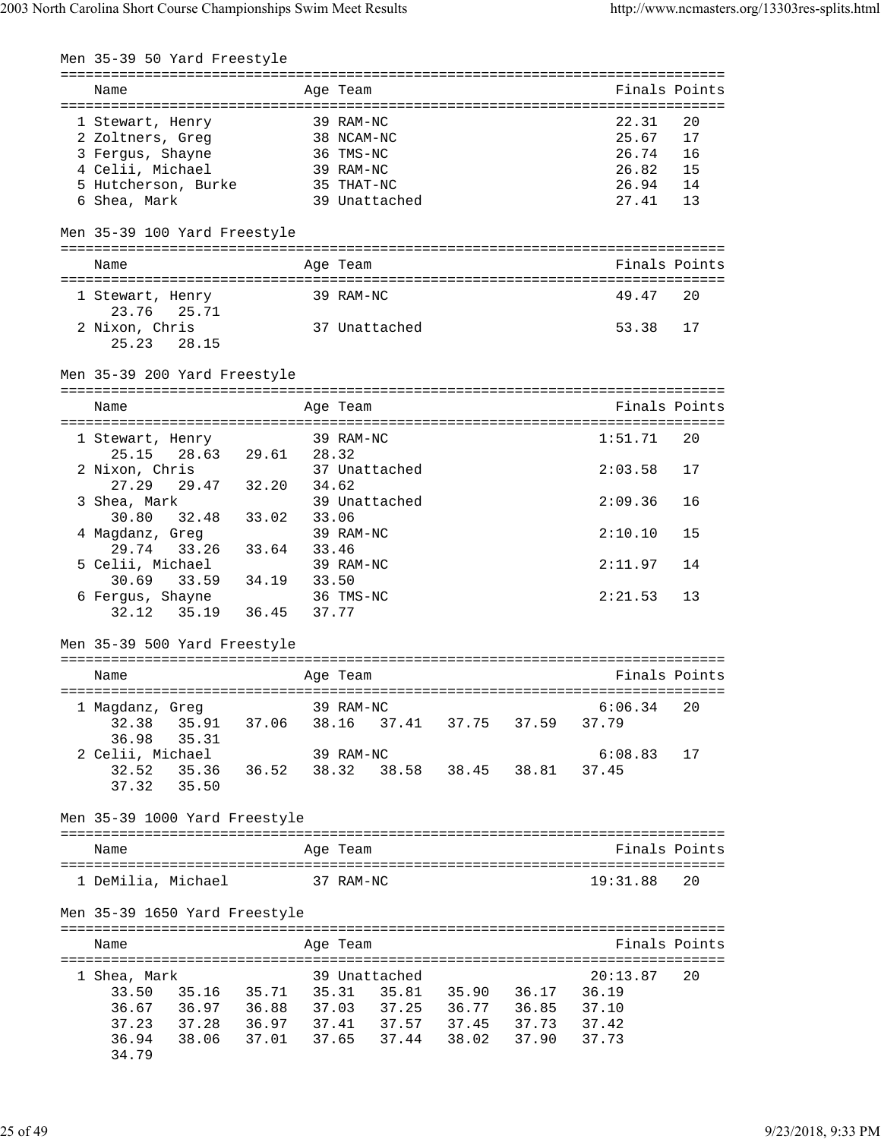| Men 35-39 50 Yard Freestyle                            |             |                               |                   |                                                    |    |
|--------------------------------------------------------|-------------|-------------------------------|-------------------|----------------------------------------------------|----|
| ------------------------------<br>Name                 |             | =================<br>Age Team |                   | =================================<br>Finals Points |    |
| 1 Stewart, Henry                                       |             | 39 RAM-NC                     |                   | 22.31                                              | 20 |
| 2 Zoltners, Greg                                       |             | 38 NCAM-NC                    |                   | 25.67                                              | 17 |
| 3 Fergus, Shayne                                       |             | 36 TMS-NC                     |                   | 26.74                                              | 16 |
| 4 Celii, Michael                                       |             | 39 RAM-NC                     |                   | 26.82                                              | 15 |
| 5 Hutcherson, Burke                                    |             | 35 THAT-NC                    |                   | 26.94                                              | 14 |
| 6 Shea, Mark                                           |             | 39 Unattached                 |                   | 27.41                                              | 13 |
| Men 35-39 100 Yard Freestyle                           |             |                               |                   |                                                    |    |
| Name                                                   |             | Age Team                      |                   | Finals Points                                      |    |
| 1 Stewart, Henry                                       |             | 39 RAM-NC                     |                   | 49.47                                              | 20 |
| 23.76<br>25.71                                         |             |                               |                   | 53.38                                              |    |
| 2 Nixon, Chris<br>28.15<br>25.23                       |             | 37 Unattached                 |                   |                                                    | 17 |
| Men 35-39 200 Yard Freestyle                           |             |                               |                   |                                                    |    |
| Name                                                   |             | Age Team                      |                   | Finals Points                                      |    |
|                                                        |             | 39 RAM-NC                     |                   | 1:51.71                                            | 20 |
| 1 Stewart, Henry<br>25.15                              |             |                               |                   |                                                    |    |
| 28.63                                                  | 29.61 28.32 |                               |                   |                                                    |    |
| 2 Nixon, Chris<br>29.47 32.20<br>27.29                 | 34.62       | 37 Unattached                 |                   | 2:03.58                                            | 17 |
|                                                        |             |                               |                   |                                                    |    |
| 3 Shea, Mark                                           |             | 39 Unattached                 |                   | 2:09.36                                            | 16 |
| 32.48<br>33.02<br>30.80<br>4 Magdanz, Greg             | 33.06       | 39 RAM-NC                     |                   | 2:10.10                                            | 15 |
| 29.74<br>33.26<br>33.64                                | 33.46       |                               |                   |                                                    |    |
| 5 Celii, Michael                                       |             | 39 RAM-NC                     |                   | 2:11.97                                            | 14 |
| 34.19<br>30.69<br>33.59                                | 33.50       |                               |                   |                                                    |    |
| 6 Fergus, Shayne<br>35.19<br>36.45<br>32.12            |             | 36 TMS-NC<br>37.77            |                   | 2:21.53                                            | 13 |
| Men 35-39 500 Yard Freestyle                           |             |                               |                   |                                                    |    |
|                                                        |             |                               |                   |                                                    |    |
| Name                                                   |             | Age Team                      |                   | Finals Points                                      |    |
|                                                        |             |                               |                   |                                                    |    |
| 1 Magdanz, Greg<br>32.38<br>35.91 37.06                |             | 39 RAM-NC<br>38.16            | 37.41 37.75 37.59 | 6:06.34<br>37.79                                   | 20 |
| 36.98<br>35.31                                         |             |                               |                   |                                                    |    |
| 2 Celii, Michael                                       |             | 39 RAM-NC                     |                   | 6:08.83                                            | 17 |
| 35.36 36.52<br>32.52                                   |             | 38.32                         | 38.58 38.45 38.81 | 37.45                                              |    |
| 37.32<br>35.50                                         |             |                               |                   |                                                    |    |
| Men 35-39 1000 Yard Freestyle                          |             |                               |                   |                                                    |    |
|                                                        |             |                               |                   |                                                    |    |
| Name                                                   |             | Age Team                      |                   | Finals Points                                      |    |
| 1 DeMilia, Michael                                     |             | 37 RAM-NC                     |                   | 19:31.88                                           | 20 |
| Men 35-39 1650 Yard Freestyle                          |             |                               |                   |                                                    |    |
| Name                                                   |             | Age Team                      |                   | Finals Points                                      |    |
|                                                        |             |                               |                   |                                                    |    |
| 1 Shea, Mark                                           |             | 39 Unattached                 |                   | 20:13.87                                           | 20 |
| 35.16 35.71 35.31 35.81 35.90 36.17<br>33.50           |             |                               |                   | 36.19                                              |    |
| 36.97 36.88 37.03 37.25 36.77 36.85<br>36.67           |             |                               |                   | 37.10                                              |    |
| 37.28   36.97   37.41   37.57   37.45   37.73<br>37.23 |             |                               |                   | 37.42                                              |    |
| 38.06 37.01 37.65<br>36.94                             |             |                               | 37.44 38.02 37.90 | 37.73                                              |    |
| 34.79                                                  |             |                               |                   |                                                    |    |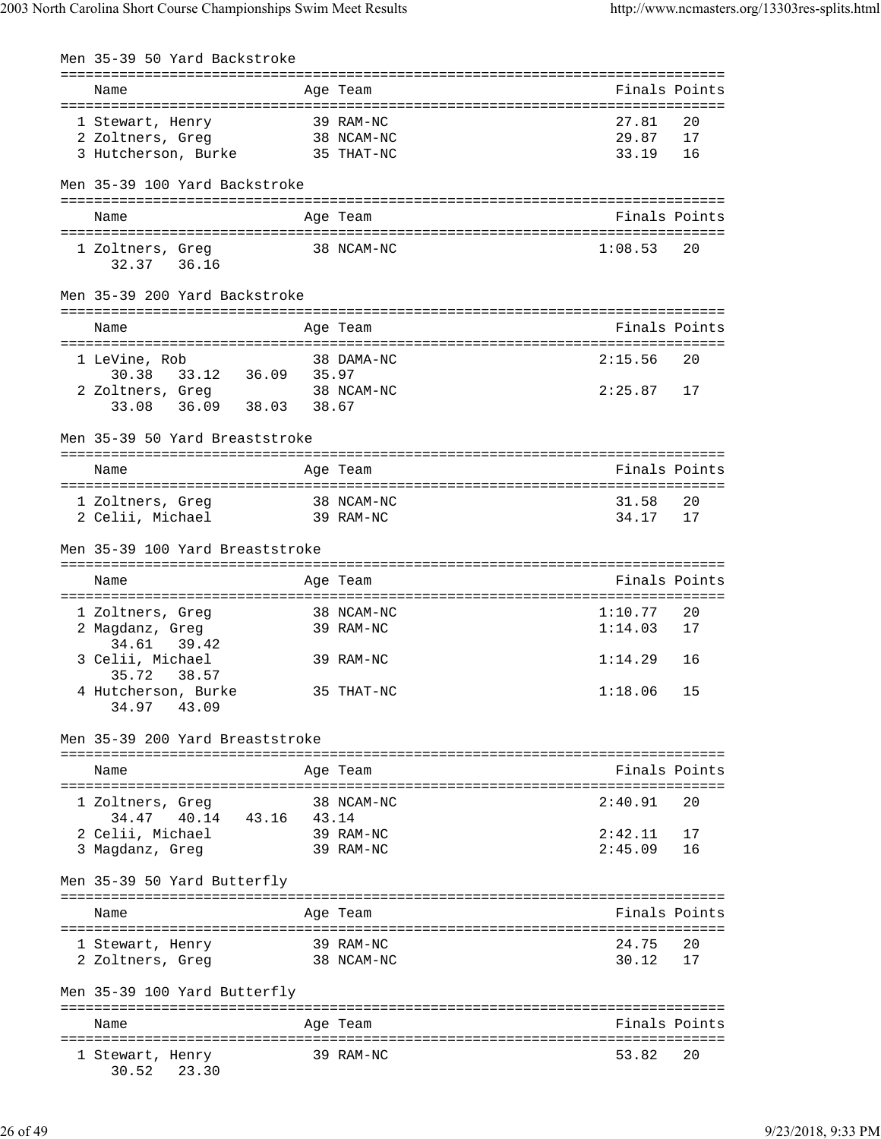Men 35-39 50 Yard Backstroke

|                                        |       | ===========<br>====================================== |               |    |
|----------------------------------------|-------|-------------------------------------------------------|---------------|----|
| Name                                   |       | Age Team                                              | Finals Points |    |
| 1 Stewart, Henry                       |       | 39 RAM-NC                                             | 27.81         | 20 |
| 2 Zoltners, Greg                       |       | 38 NCAM-NC                                            | 29.87         | 17 |
| 3 Hutcherson, Burke 35 THAT-NC         |       |                                                       | 33.19         |    |
|                                        |       |                                                       |               | 16 |
| Men 35-39 100 Yard Backstroke          |       |                                                       |               |    |
|                                        |       |                                                       |               |    |
| Name                                   |       | Age Team                                              | Finals Points |    |
| 1 Zoltners, Greg                       |       | 38 NCAM-NC                                            | 1:08.53       | 20 |
| 32.37 36.16                            |       |                                                       |               |    |
| Men 35-39 200 Yard Backstroke          |       |                                                       |               |    |
| Name                                   |       | Age Team                                              | Finals Points |    |
| 1 LeVine, Rob                          |       | 38 DAMA-NC                                            | 2:15.56       | 20 |
| 33.12 36.09 35.97<br>30.38             |       |                                                       |               |    |
| 2 Zoltners, Greg                       |       | 38 NCAM-NC                                            | $2:25.87$ 17  |    |
| 36.09 38.03 38.67<br>33.08             |       |                                                       |               |    |
| Men 35-39 50 Yard Breaststroke         |       |                                                       |               |    |
|                                        |       |                                                       |               |    |
| Name                                   |       | Age Team                                              | Finals Points |    |
| 1 Zoltners, Greg                       |       | 38 NCAM-NC                                            | 31.58         | 20 |
| 2 Celii, Michael                       |       | 39 RAM-NC                                             | 34.17         | 17 |
| Men 35-39 100 Yard Breaststroke        |       |                                                       |               |    |
| Name                                   |       | Age Team                                              | Finals Points |    |
|                                        |       |                                                       |               |    |
| 1 Zoltners, Greg                       |       | 38 NCAM-NC                                            | 1:10.77       | 20 |
| 2 Magdanz, Greg                        |       | 39 RAM-NC                                             | 1:14.03       | 17 |
| 34.61<br>39.42                         |       |                                                       |               |    |
| 3 Celii, Michael                       |       | 39 RAM-NC                                             | 1:14.29       | 16 |
| 35.72<br>38.57                         |       |                                                       |               |    |
| 4 Hutcherson, Burke<br>43.09<br>34.97  |       | 35 THAT-NC                                            | 1:18.06       | 15 |
| Men 35-39 200 Yard Breaststroke        |       |                                                       |               |    |
|                                        |       |                                                       |               |    |
| Name                                   |       | Aqe Team                                              | Finals Points |    |
|                                        |       |                                                       |               |    |
| 1 Zoltners, Greg                       |       | 38 NCAM-NC                                            | 2:40.91       | 20 |
| 34.47 40.14<br>43.16                   | 43.14 |                                                       |               |    |
| 2 Celii, Michael                       |       | 39 RAM-NC                                             | 2:42.11       | 17 |
| 3 Magdanz, Greg                        |       | 39 RAM-NC                                             | 2:45.09       | 16 |
| Men 35-39 50 Yard Butterfly            |       |                                                       |               |    |
| Name                                   |       | Age Team                                              | Finals Points |    |
| ====================================== |       | =================================<br>39 RAM-NC        | 24.75         | 20 |
| 1 Stewart, Henry<br>2 Zoltners, Greg   |       | 38 NCAM-NC                                            | 30.12         | 17 |
|                                        |       |                                                       |               |    |
| Men 35-39 100 Yard Butterfly           |       |                                                       |               |    |
|                                        |       |                                                       |               |    |
| Name                                   |       | Age Team                                              | Finals Points |    |
| 1 Stewart, Henry<br>30.52<br>23.30     |       | 39 RAM-NC                                             | 53.82         | 20 |
|                                        |       |                                                       |               |    |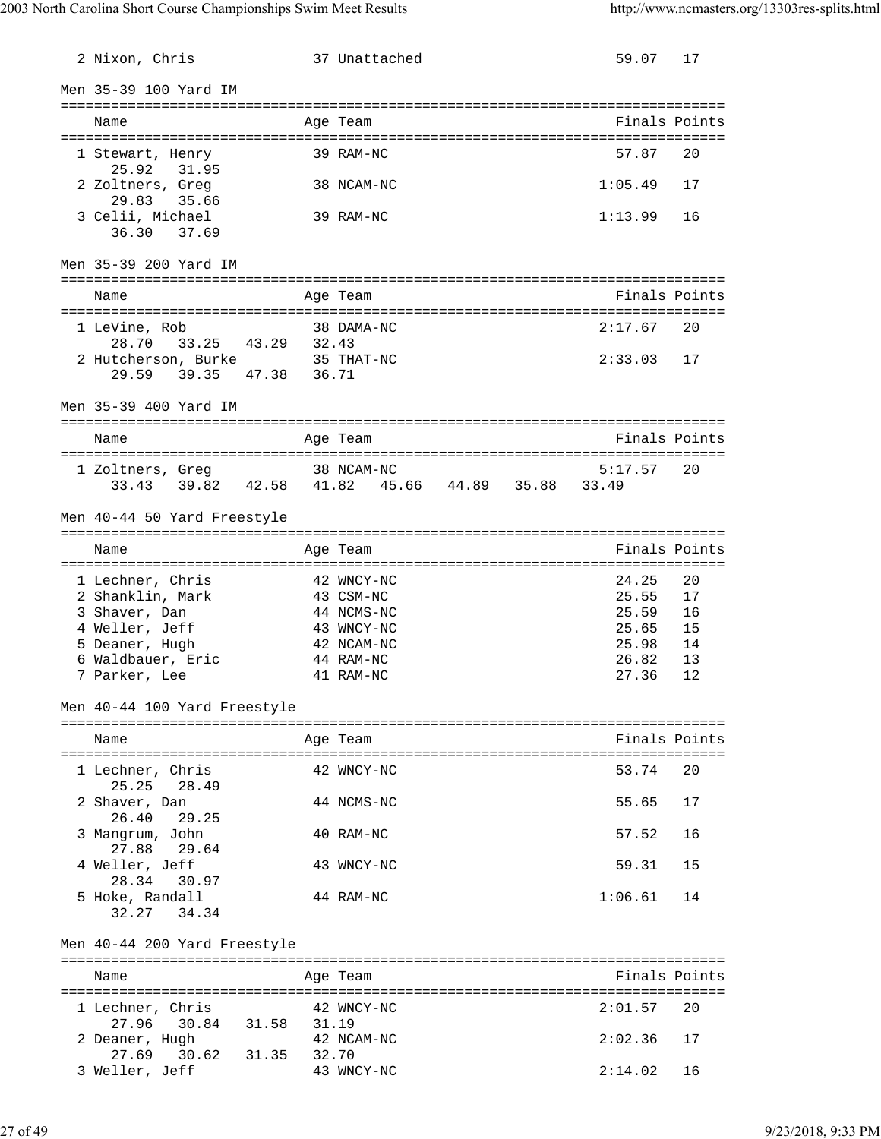| 2 Nixon, Chris                                    |       | 37 Unattached                                           | 59.07          | 17            |
|---------------------------------------------------|-------|---------------------------------------------------------|----------------|---------------|
| Men 35-39 100 Yard IM                             |       |                                                         |                |               |
| Name                                              |       | Age Team                                                |                | Finals Points |
|                                                   |       |                                                         |                |               |
| 1 Stewart, Henry<br>25.92<br>31.95                |       | 39 RAM-NC                                               | 57.87          | 20            |
| 2 Zoltners, Greg                                  |       | 38 NCAM-NC                                              | 1:05.49        | 17            |
| 29.83<br>35.66                                    |       |                                                         |                |               |
| 3 Celii, Michael<br>36.30<br>37.69                |       | 39 RAM-NC                                               | 1:13.99        | 16            |
|                                                   |       |                                                         |                |               |
| Men 35-39 200 Yard IM                             |       |                                                         |                |               |
| Name                                              |       |                                                         | Finals Points  |               |
|                                                   |       | Age Team                                                |                |               |
| 1 LeVine, Rob                                     |       | 38 DAMA-NC                                              | 2:17.67        | 20            |
| 33.25 43.29 32.43<br>28.70                        |       |                                                         |                |               |
| 2 Hutcherson, Burke<br>39.35 47.38 36.71<br>29.59 |       | 35 THAT-NC                                              | 2:33.03        | 17            |
|                                                   |       |                                                         |                |               |
| Men 35-39 400 Yard IM                             |       |                                                         |                |               |
| Name                                              |       | Age Team                                                |                | Finals Points |
|                                                   |       |                                                         |                |               |
| 1 Zoltners, Greq<br>33.43                         |       | 38 NCAM-NC<br>39.82 42.58 41.82 45.66 44.89 35.88 33.49 | 5:17.57        | 20            |
|                                                   |       |                                                         |                |               |
| Men 40-44 50 Yard Freestyle                       |       |                                                         |                |               |
| Name                                              |       | Age Team                                                |                | Finals Points |
|                                                   |       |                                                         |                |               |
| 1 Lechner, Chris                                  |       | 42 WNCY-NC                                              | 24.25          | 20            |
| 2 Shanklin, Mark                                  |       | 43 CSM-NC                                               | 25.55          | 17            |
| 3 Shaver, Dan<br>4 Weller, Jeff                   |       | 44 NCMS-NC<br>43 WNCY-NC                                | 25.59<br>25.65 | 16<br>15      |
| 5 Deaner, Hugh                                    |       | 42 NCAM-NC                                              | 25.98          | 14            |
| 6 Waldbauer, Eric                                 |       | 44 RAM-NC                                               | 26.82          | 13            |
| 7 Parker, Lee                                     |       | 41 RAM-NC                                               | 27.36          | 12            |
| Men 40-44 100 Yard Freestyle                      |       |                                                         |                |               |
|                                                   |       |                                                         |                |               |
| Name                                              |       | Age Team                                                |                | Finals Points |
| 1 Lechner, Chris                                  |       | 42 WNCY-NC                                              | 53.74          | 20            |
| 25.25<br>28.49<br>2 Shaver, Dan                   |       | 44 NCMS-NC                                              | 55.65          | 17            |
| 26.40<br>29.25<br>3 Mangrum, John                 |       | 40 RAM-NC                                               | 57.52          | 16            |
| 27.88<br>29.64                                    |       |                                                         |                | 15            |
| 4 Weller, Jeff<br>28.34<br>30.97                  |       | 43 WNCY-NC                                              | 59.31          |               |
| 5 Hoke, Randall                                   |       | 44 RAM-NC                                               | 1:06.61        | 14            |
| 32.27<br>34.34                                    |       |                                                         |                |               |
| Men 40-44 200 Yard Freestyle                      |       |                                                         |                |               |
| Name                                              |       | Age Team                                                |                | Finals Points |
|                                                   |       |                                                         |                |               |
| 1 Lechner, Chris<br>30.84 31.58<br>27.96          | 31.19 | 42 WNCY-NC                                              | 2:01.57        | 20            |
| 2 Deaner, Hugh                                    |       | 42 NCAM-NC                                              | 2:02.36        | 17            |
| 30.62 31.35<br>27.69                              | 32.70 |                                                         |                |               |
| 3 Weller, Jeff                                    |       | 43 WNCY-NC                                              | 2:14.02        | 16            |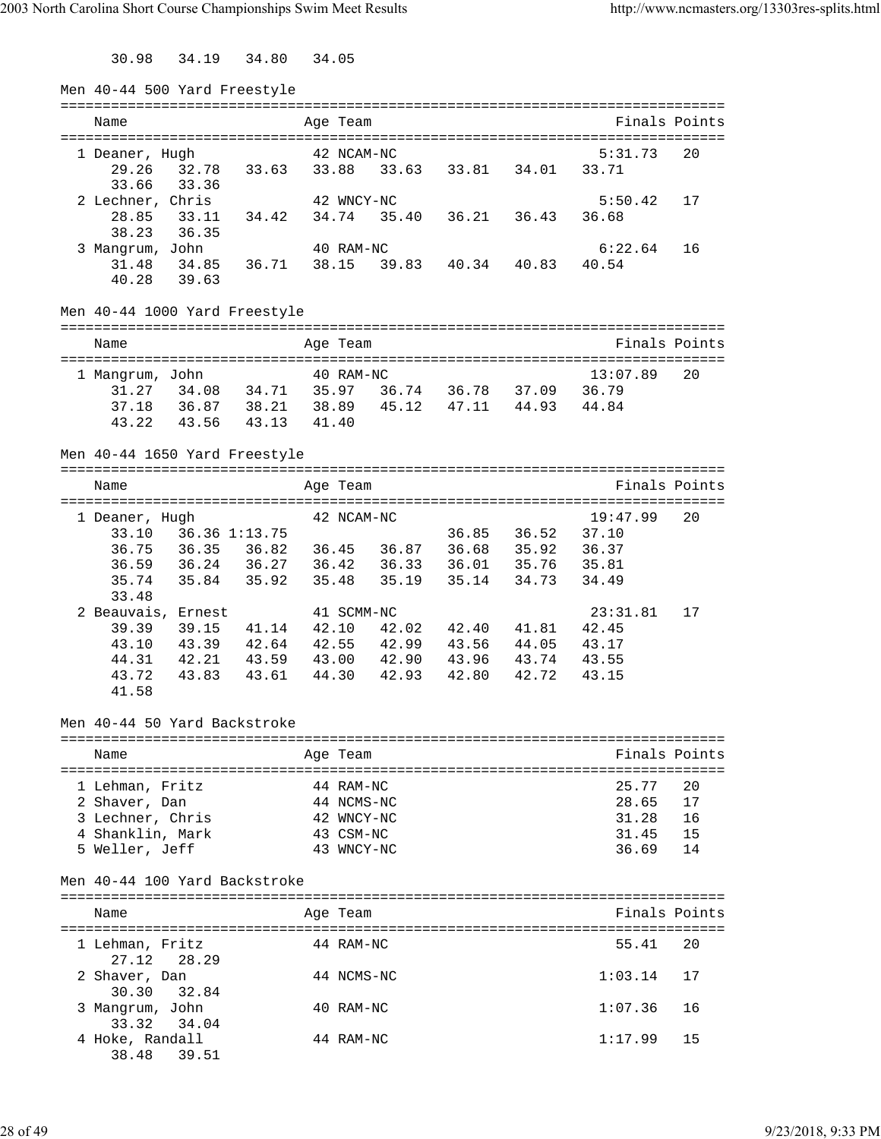30.98 34.19 34.80 34.05

| Men 40-44 500 Yard Freestyle                                                                                                                                                        |                                           |       |                                                                  |       |                               |                                        |                                           |                            |
|-------------------------------------------------------------------------------------------------------------------------------------------------------------------------------------|-------------------------------------------|-------|------------------------------------------------------------------|-------|-------------------------------|----------------------------------------|-------------------------------------------|----------------------------|
| Name                                                                                                                                                                                |                                           |       | Age Team                                                         |       |                               |                                        |                                           | Finals Points              |
| 1 Deaner, Hugh<br>29.26 32.78 33.63 33.88 33.63 33.81 34.01 33.71                                                                                                                   |                                           |       | 42 NCAM-NC                                                       |       |                               |                                        | 5:31.73                                   | 20                         |
| 33.36<br>33.66<br>2 Lechner, Chris<br>28.85                                                                                                                                         | 33.11 34.42 34.74 35.40 36.21 36.43 36.68 |       | 42 WNCY-NC                                                       |       |                               |                                        | 5:50.42                                   | 17                         |
| 38.23<br>36.35<br>3 Mangrum, John<br>31.48 34.85 36.71                                                                                                                              |                                           |       | 40 RAM-NC                                                        |       | 38.15 39.83 40.34 40.83 40.54 |                                        | 6:22.64                                   | 16                         |
| 40.28 39.63                                                                                                                                                                         |                                           |       |                                                                  |       |                               |                                        |                                           |                            |
| Men 40-44 1000 Yard Freestyle                                                                                                                                                       |                                           |       |                                                                  |       |                               |                                        |                                           |                            |
| Name                                                                                                                                                                                |                                           |       | Age Team                                                         |       |                               |                                        |                                           | Finals Points              |
| 1 Mangrum, John<br>31.27  34.08  34.71  35.97  36.74  36.78  37.09  36.79<br>37.18  36.87  38.21  38.89  45.12  47.11  44.93  44.84<br>43.22<br>43.56 43.13                         |                                           | 41.40 | 40 RAM-NC                                                        |       |                               |                                        | 13:07.89                                  | 20                         |
| Men 40-44 1650 Yard Freestyle                                                                                                                                                       |                                           |       |                                                                  |       |                               |                                        |                                           |                            |
| Name                                                                                                                                                                                |                                           |       | Age Team                                                         |       |                               |                                        |                                           | Finals Points              |
| 1 Deaner, Hugh<br>33.10 36.36 1:13.75<br>36.59 36.24 36.27 36.42 36.33 36.01 35.76 35.81<br>35.74<br>33.48<br>2 Beauvais, Ernest<br>39.39 39.15 41.14 42.10 42.02 42.40 41.81 42.45 | 35.84 35.92 35.48                         |       | 42 NCAM-NC<br>41 SCMM-NC                                         | 35.19 |                               | 36.85 36.52 37.10<br>35.14 34.73 34.49 | 19:47.99<br>23:31.81                      | 20<br>17                   |
| 43.10 43.39 42.64 42.55 42.99 43.56 44.05 43.17<br>44.31 42.21 43.59 43.00 42.90<br>43.72<br>41.58                                                                                  | 43.83  43.61  44.30                       |       |                                                                  | 42.93 | 43.96 43.74 43.55             | 42.80  42.72  43.15                    |                                           |                            |
| Men 40-44 50 Yard Backstroke                                                                                                                                                        |                                           |       |                                                                  |       |                               |                                        |                                           |                            |
| Name                                                                                                                                                                                |                                           |       | Age Team                                                         |       |                               |                                        |                                           | Finals Points              |
| 1 Lehman, Fritz<br>2 Shaver, Dan<br>3 Lechner, Chris<br>4 Shanklin, Mark<br>5 Weller, Jeff                                                                                          |                                           |       | 44 RAM-NC<br>44 NCMS-NC<br>42 WNCY-NC<br>43 CSM-NC<br>43 WNCY-NC |       |                               |                                        | 25.77<br>28.65<br>31.28<br>31.45<br>36.69 | 20<br>17<br>16<br>15<br>14 |
| Men 40-44 100 Yard Backstroke                                                                                                                                                       |                                           |       |                                                                  |       |                               |                                        |                                           |                            |
| Name                                                                                                                                                                                |                                           |       | Age Team                                                         |       |                               |                                        |                                           | Finals Points              |
| 1 Lehman, Fritz<br>28.29<br>27.12                                                                                                                                                   |                                           |       | 44 RAM-NC                                                        |       |                               |                                        | 55.41                                     | 20                         |
| 2 Shaver, Dan<br>30.30<br>32.84                                                                                                                                                     |                                           |       | 44 NCMS-NC                                                       |       |                               |                                        | 1:03.14                                   | 17                         |
| 3 Mangrum, John<br>33.32<br>34.04                                                                                                                                                   |                                           |       | 40 RAM-NC                                                        |       |                               |                                        | 1:07.36                                   | 16                         |
| 4 Hoke, Randall<br>38.48<br>39.51                                                                                                                                                   |                                           |       | 44 RAM-NC                                                        |       |                               |                                        | 1:17.99                                   | 15                         |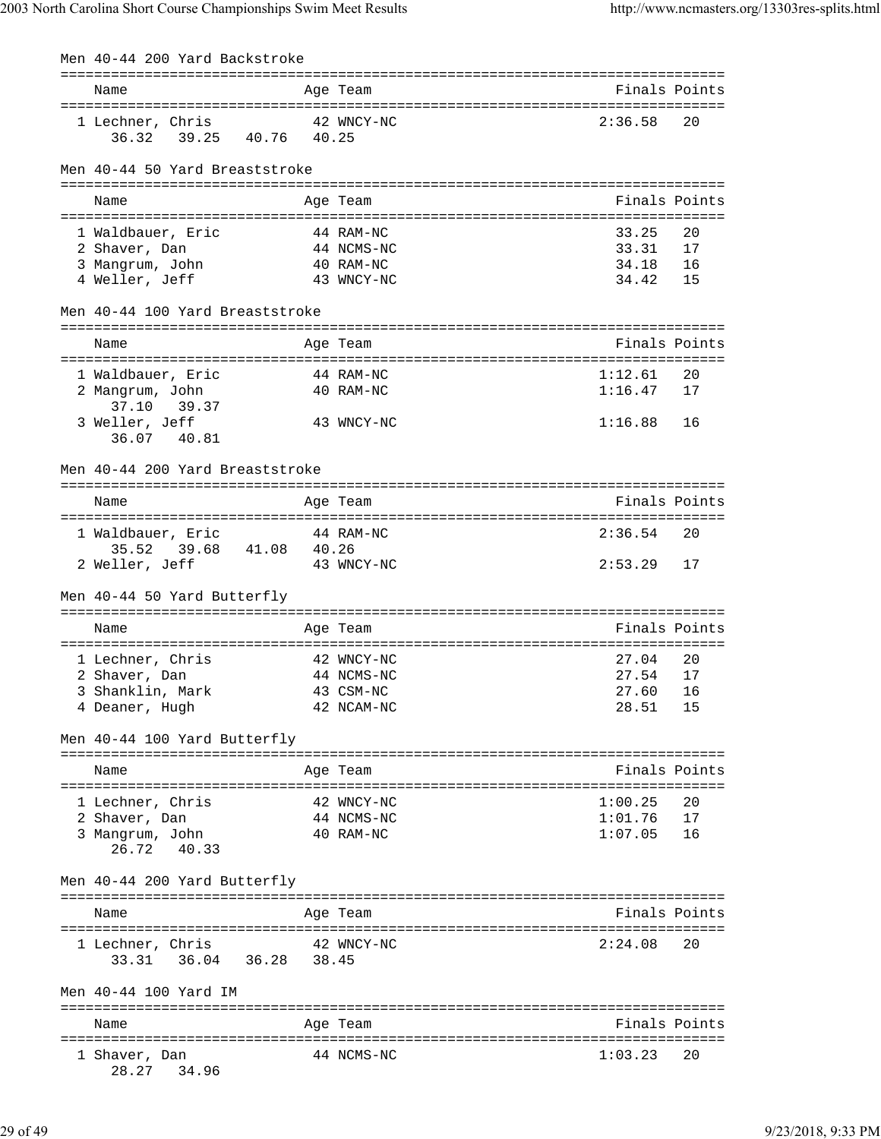Men 40-44 200 Yard Backstroke

| Name                                            | Age Team                | Finals Points  |          |
|-------------------------------------------------|-------------------------|----------------|----------|
|                                                 |                         |                |          |
| 1 Lechner, Chris                                | 42 WNCY-NC              | 2:36.58        | 20       |
| 39.25 40.76 40.25<br>36.32                      |                         |                |          |
|                                                 |                         |                |          |
| Men 40-44 50 Yard Breaststroke                  |                         |                |          |
|                                                 |                         |                |          |
| Name                                            | Age Team                | Finals Points  |          |
|                                                 |                         |                |          |
| 1 Waldbauer, Eric                               | 44 RAM-NC               | 33.25          | 20       |
| 2 Shaver, Dan                                   | 44 NCMS-NC              | 33.31          | 17       |
| 3 Mangrum, John                                 | 40 RAM-NC               | 34.18          | 16       |
| 4 Weller, Jeff                                  | 43 WNCY-NC              | 34.42          | 15       |
|                                                 |                         |                |          |
| Men 40-44 100 Yard Breaststroke                 |                         |                |          |
|                                                 |                         |                |          |
| Name                                            | Age Team                | Finals Points  |          |
|                                                 |                         |                |          |
| 1 Waldbauer, Eric                               | 44 RAM-NC               | 1:12.61        | 20       |
| 2 Mangrum, John                                 | 40 RAM-NC               | 1:16.47        | 17       |
| 37.10 39.37                                     |                         |                |          |
| 3 Weller, Jeff                                  | 43 WNCY-NC              | 1:16.88        | 16       |
| 36.07 40.81                                     |                         |                |          |
|                                                 |                         |                |          |
| Men 40-44 200 Yard Breaststroke                 |                         |                |          |
|                                                 |                         |                |          |
| Name                                            | Age Team                | Finals Points  |          |
|                                                 |                         | 2:36.54        | 20       |
| 1 Waldbauer, Eric<br>39.68 41.08 40.26<br>35.52 | 44 RAM-NC               |                |          |
| 2 Weller, Jeff                                  | 43 WNCY-NC              | 2:53.29        | 17       |
|                                                 |                         |                |          |
|                                                 |                         |                |          |
|                                                 |                         |                |          |
| Men 40-44 50 Yard Butterfly                     |                         |                |          |
|                                                 |                         |                |          |
| Name                                            | Age Team                | Finals Points  |          |
|                                                 | 42 WNCY-NC              | 27.04          | 20       |
| 1 Lechner, Chris                                |                         |                | 17       |
| 2 Shaver, Dan                                   | 44 NCMS-NC              | 27.54          |          |
| 3 Shanklin, Mark                                | 43 CSM-NC<br>42 NCAM-NC | 27.60<br>28.51 | 16<br>15 |
| 4 Deaner, Hugh                                  |                         |                |          |
|                                                 |                         |                |          |
| Men 40-44 100 Yard Butterfly                    |                         |                |          |
| Name                                            | Age Team                | Finals Points  |          |
|                                                 |                         |                |          |
| 1 Lechner, Chris                                | 42 WNCY-NC              | 1:00.25        | 20       |
| 2 Shaver, Dan                                   | 44 NCMS-NC              | 1:01.76        | 17       |
| 3 Mangrum, John                                 | 40 RAM-NC               | 1:07.05        | 16       |
| 26.72 40.33                                     |                         |                |          |
|                                                 |                         |                |          |
| Men 40-44 200 Yard Butterfly                    |                         |                |          |
|                                                 |                         |                |          |
| Name                                            | Age Team                | Finals Points  |          |
|                                                 |                         |                |          |
| 1 Lechner, Chris                                | 42 WNCY-NC              | 2:24.08        | 20       |
| 36.04 36.28 38.45<br>33.31                      |                         |                |          |
|                                                 |                         |                |          |
| Men 40-44 100 Yard IM                           |                         |                |          |
|                                                 |                         |                |          |
| Name                                            | Age Team                | Finals Points  |          |
|                                                 |                         |                |          |
| 1 Shaver, Dan<br>34.96<br>28.27                 | 44 NCMS-NC              | 1:03.23        | 20       |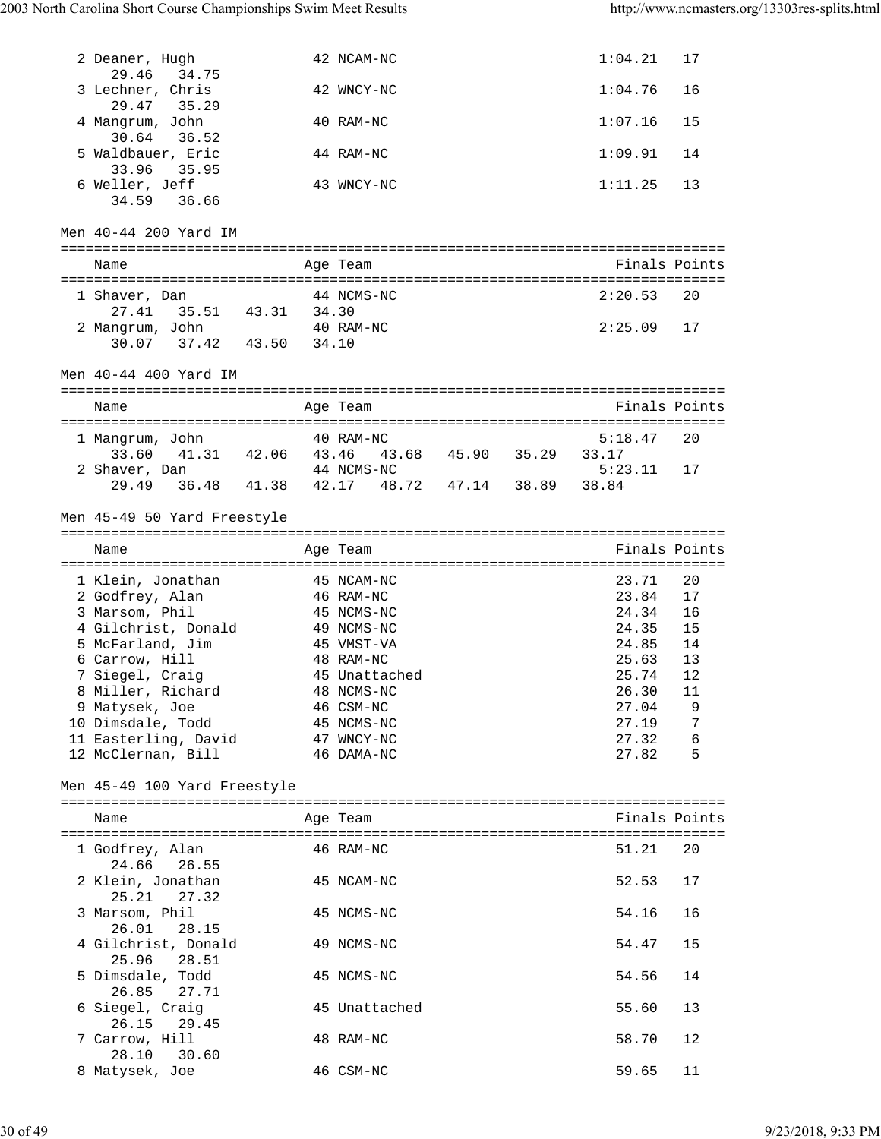| 2 Deaner, Hugh                                               |           | 42 NCAM-NC                                |  | 1:04.21        | 17            |
|--------------------------------------------------------------|-----------|-------------------------------------------|--|----------------|---------------|
| 29.46<br>34.75<br>3 Lechner, Chris                           |           | 42 WNCY-NC                                |  | 1:04.76        | 16            |
| 29.47<br>35.29<br>4 Mangrum, John                            |           | 40 RAM-NC                                 |  | 1:07.16        | 15            |
| 30.64 36.52<br>5 Waldbauer, Eric                             |           | 44 RAM-NC                                 |  | 1:09.91        | 14            |
| 33.96<br>35.95                                               |           |                                           |  |                |               |
| 6 Weller, Jeff<br>34.59 36.66                                |           | 43 WNCY-NC                                |  | 1:11.25        | 13            |
| Men 40-44 200 Yard IM                                        |           |                                           |  |                |               |
|                                                              |           |                                           |  |                |               |
| Name                                                         |           | Age Team                                  |  |                | Finals Points |
| van 44 NCMS-NC<br>35.51 43.31 34.30<br>John<br>1 Shaver, Dan |           |                                           |  | 2:20.53        | 20            |
| 27.41                                                        |           |                                           |  |                |               |
| 2 Mangrum, John<br>30.07 37.42 43.50 34.10                   |           | 40 RAM-NC                                 |  | 2:25.09        | 17            |
| Men 40-44 400 Yard IM                                        |           |                                           |  |                |               |
|                                                              |           |                                           |  |                |               |
| Name                                                         |           | Age Team                                  |  |                | Finals Points |
| 1 Mangrum, John                                              | 40 RAM-NC |                                           |  | 5:18.47        | 20            |
| 33.60                                                        |           | 41.31 42.06 43.46 43.68 45.90 35.29 33.17 |  |                |               |
| 2 Shaver, Dan 44 NCMS-NC                                     |           | 36.48 41.38 42.17 48.72 47.14 38.89 38.84 |  | 5:23.11        | 17            |
| 29.49                                                        |           |                                           |  |                |               |
| Men 45-49 50 Yard Freestyle                                  |           |                                           |  |                |               |
|                                                              |           |                                           |  |                |               |
| Name                                                         |           | Age Team                                  |  |                | Finals Points |
|                                                              |           |                                           |  |                |               |
| 1 Klein, Jonathan                                            |           | 45 NCAM-NC                                |  | 23.71          | 20            |
| 2 Godfrey, Alan                                              |           | 46 RAM-NC                                 |  | 23.84          | 17            |
| 3 Marsom, Phil                                               |           | 45 NCMS-NC                                |  | 24.34          | 16            |
| 4 Gilchrist, Donald                                          |           | 49 NCMS-NC                                |  | 24.35          | 15            |
| 5 McFarland, Jim                                             |           | 45 VMST-VA                                |  | 24.85          | 14            |
| 6 Carrow, Hill                                               |           | 48 RAM-NC                                 |  | 25.63          | 13            |
| 7 Siegel, Craig<br>8 Miller, Richard                         |           | 45 Unattached<br>48 NCMS-NC               |  | 25.74<br>26.30 | 12<br>11      |
| 9 Matysek, Joe                                               |           | 46 CSM-NC                                 |  | 27.04          | 9             |
| 10 Dimsdale, Todd                                            |           | 45 NCMS-NC                                |  | 27.19          | 7             |
| 11 Easterling, David                                         |           | 47 WNCY-NC                                |  | 27.32          | 6             |
| 12 McClernan, Bill                                           |           | 46 DAMA-NC                                |  | 27.82          | 5             |
| Men 45-49 100 Yard Freestyle                                 |           |                                           |  |                |               |
| Name                                                         |           | Age Team                                  |  |                | Finals Points |
|                                                              |           |                                           |  |                |               |
| 1 Godfrey, Alan<br>24.66 26.55                               |           | 46 RAM-NC                                 |  | 51.21          | 20            |
| 2 Klein, Jonathan                                            |           | 45 NCAM-NC                                |  | 52.53          | 17            |
| 25.21 27.32<br>3 Marsom, Phil                                |           | 45 NCMS-NC                                |  | 54.16          | 16            |
| 26.01<br>28.15<br>4 Gilchrist, Donald                        |           | 49 NCMS-NC                                |  | 54.47          | 15            |
| 28.51<br>25.96<br>5 Dimsdale, Todd                           |           | 45 NCMS-NC                                |  | 54.56          | 14            |
| 26.85<br>27.71<br>6 Siegel, Craig                            |           | 45 Unattached                             |  | 55.60          | 13            |
| 26.15<br>29.45<br>7 Carrow, Hill<br>28.10<br>30.60           |           | 48 RAM-NC                                 |  | 58.70          | 12            |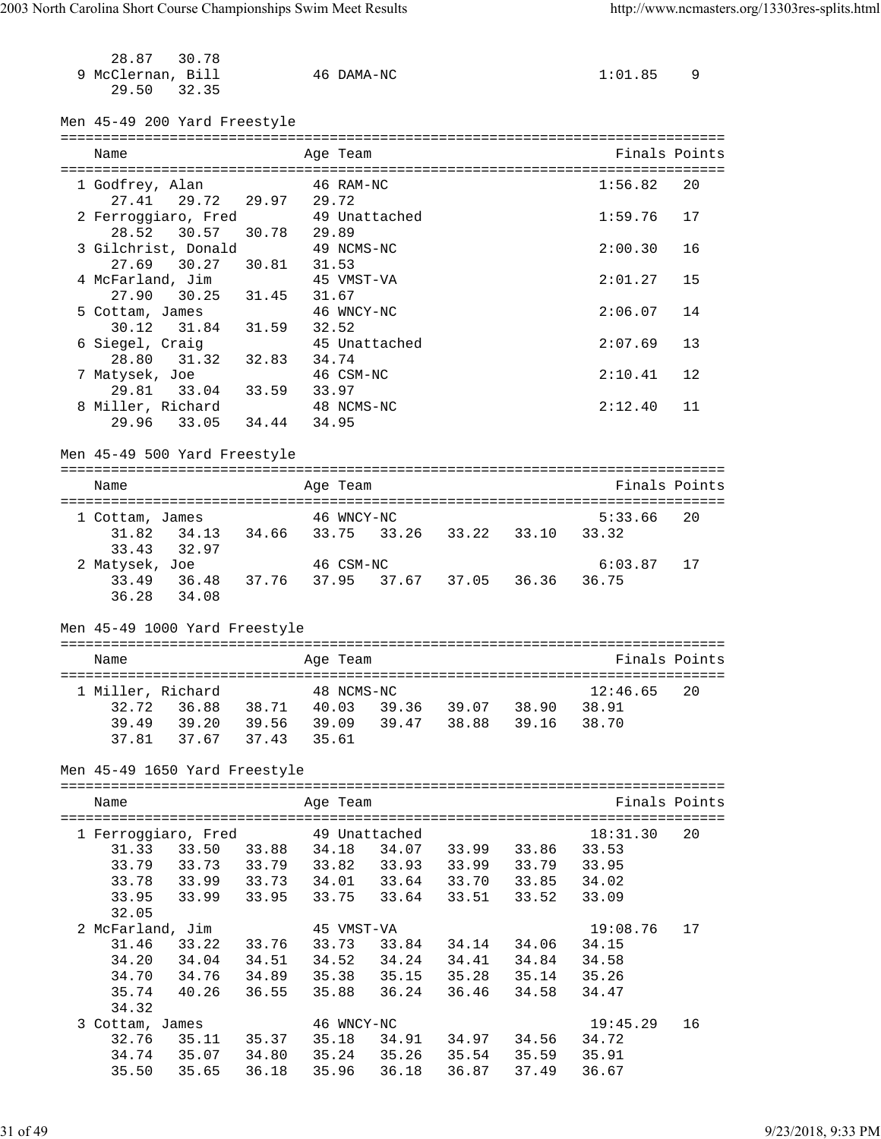| 28.87<br>9 McClernan, Bill<br>29.50 | 30.78<br>32.35                                                                                     |             |       | 46 DAMA-NC |               |                         |             | 1:01.85 9        |               |
|-------------------------------------|----------------------------------------------------------------------------------------------------|-------------|-------|------------|---------------|-------------------------|-------------|------------------|---------------|
|                                     | Men 45-49 200 Yard Freestyle                                                                       |             |       |            |               |                         |             |                  |               |
| Name                                |                                                                                                    |             |       | Age Team   |               |                         |             |                  | Finals Points |
| 1 Godfrey, Alan                     |                                                                                                    |             |       | 46 RAM-NC  |               |                         |             | 1:56.82          | 20            |
| 27.41                               | 29.72 29.97 29.72                                                                                  |             |       |            |               |                         |             |                  |               |
|                                     | 2 Ferroggiaro, Fred                                                                                |             |       |            | 49 Unattached |                         |             | 1:59.76          | 17            |
| 28.52                               | 30.57                                                                                              | 30.78       | 29.89 |            |               |                         |             |                  |               |
|                                     | 3 Gilchrist, Donald                                                                                |             |       | 49 NCMS-NC |               |                         |             | 2:00.30          | 16            |
| 27.69                               | 30.27                                                                                              | 30.81 31.53 |       |            |               |                         |             |                  |               |
|                                     | 4 McFarland, Jim<br>$30.25$ $31.45$ $31.67$                                                        |             |       | 45 VMST-VA |               |                         |             | 2:01.27          | 15            |
| 27.90                               |                                                                                                    |             |       |            |               |                         |             |                  |               |
| 5 Cottam, James<br>30.12            | 31.84 31.59 32.52                                                                                  |             |       | 46 WNCY-NC |               |                         |             | 2:06.07          | 14            |
| 6 Siegel, Craig                     |                                                                                                    |             |       |            | 45 Unattached |                         |             | 2:07.69          | 13            |
| 28.80                               | 31.32 32.83 34.74                                                                                  |             |       |            |               |                         |             |                  |               |
| 7 Matysek, Joe                      |                                                                                                    |             |       | 46 CSM-NC  |               |                         |             | 2:10.41          | 12            |
| 29.81                               | $10e$ and $10e$<br>33.04 33.59 33.97                                                               |             |       |            |               |                         |             |                  |               |
|                                     | 8 Miller, Richard                                                                                  |             |       | 48 NCMS-NC |               |                         |             | 2:12.40          | 11            |
|                                     | 29.96 33.05 34.44 34.95                                                                            |             |       |            |               |                         |             |                  |               |
|                                     | Men 45-49 500 Yard Freestyle                                                                       |             |       |            |               |                         |             |                  |               |
|                                     |                                                                                                    |             |       |            |               |                         |             |                  |               |
| Name                                |                                                                                                    |             |       | Age Team   |               |                         |             |                  | Finals Points |
|                                     |                                                                                                    |             |       |            |               |                         |             |                  |               |
| 1 Cottam, James<br>31.82            | 34.13 34.66 33.75 33.26 33.22 33.10                                                                |             |       | 46 WNCY-NC |               |                         |             | 5:33.66<br>33.32 | 20            |
| 33.43                               | 32.97                                                                                              |             |       |            |               |                         |             |                  |               |
|                                     | 2 Matysek, Joe                                                                                     |             |       | 46 CSM-NC  |               |                         |             | 6:03.87          | 17            |
|                                     | 33.49 36.48 37.76 37.95 37.67 37.05 36.36 36.75                                                    |             |       |            |               |                         |             |                  |               |
|                                     | 36.28 34.08                                                                                        |             |       |            |               |                         |             |                  |               |
|                                     | Men 45-49 1000 Yard Freestyle                                                                      |             |       |            |               |                         |             |                  |               |
|                                     |                                                                                                    |             |       |            |               |                         |             |                  |               |
| Name                                |                                                                                                    |             |       | Age Team   |               |                         |             |                  | Finals Points |
|                                     |                                                                                                    |             |       |            |               |                         |             |                  |               |
|                                     | 1 Miller, Richard 48 NCMS-NC                                                                       |             |       |            |               |                         |             | $12:46.65$ 20    |               |
| 32.72                               | 36.88 38.71 40.03 39.36 39.07 38.90 38.91                                                          |             |       |            |               |                         |             |                  |               |
|                                     | 39.49 39.20 39.56 39.09 39.47 38.88 39.16 38.70<br>37.81 37.67 37.43 35.61                         |             |       |            |               |                         |             |                  |               |
|                                     |                                                                                                    |             |       |            |               |                         |             |                  |               |
|                                     | Men 45-49 1650 Yard Freestyle                                                                      |             |       |            |               |                         |             |                  |               |
|                                     |                                                                                                    |             |       |            |               |                         |             |                  |               |
| Name                                |                                                                                                    |             |       | Age Team   |               |                         |             |                  | Finals Points |
|                                     | 1 Ferroggiaro, Fred 549 Unattached                                                                 |             |       |            |               |                         |             | 18:31.30         | 20            |
|                                     | 31.33 33.50 33.88 34.18 34.07 33.99 33.86 33.53                                                    |             |       |            |               |                         |             |                  |               |
|                                     |                                                                                                    |             |       |            |               |                         |             |                  |               |
|                                     | 33.79 33.73 33.79 33.82 33.93 33.99 33.79 33.95<br>33.78 33.99 33.73 34.01 33.64 33.70 33.85 34.02 |             |       |            |               |                         |             |                  |               |
| 33.95                               | 33.99 33.95 33.75 33.64 33.51 33.52 33.09                                                          |             |       |            |               |                         |             |                  |               |
| 32.05                               |                                                                                                    |             |       |            |               |                         |             |                  |               |
| 2 McFarland, Jim                    |                                                                                                    |             |       | 45 VMST-VA |               |                         |             | 19:08.76         | 17            |
| 31.46                               | 33.22 33.76 33.73                                                                                  |             |       |            |               | 33.84 34.14 34.06 34.15 |             |                  |               |
|                                     | 34.20 34.04 34.51 34.52 34.24 34.41 34.84                                                          |             |       |            |               |                         |             | 34.58            |               |
| 34.70                               | 34.76 34.89 35.38 35.15 35.28 35.14 35.26                                                          |             |       |            |               |                         |             |                  |               |
| 35.74                               | 40.26 36.55                                                                                        |             |       |            | 35.88 36.24   |                         | 36.46 34.58 | 34.47            |               |
| 34.32                               | 3 Cottam, James                                                                                    |             |       | 46 WNCY-NC |               |                         |             | 19:45.29         | 16            |
| 32.76                               |                                                                                                    |             |       |            |               |                         |             |                  |               |
|                                     | 35.11 35.37 35.18 34.91 34.97 34.56 34.72                                                          |             |       |            |               |                         |             |                  |               |
|                                     | 34.74 35.07 34.80 35.24 35.26 35.54 35.59 35.91<br>35.50 35.65 36.18 35.96 36.18 36.87 37.49 36.67 |             |       |            |               |                         |             |                  |               |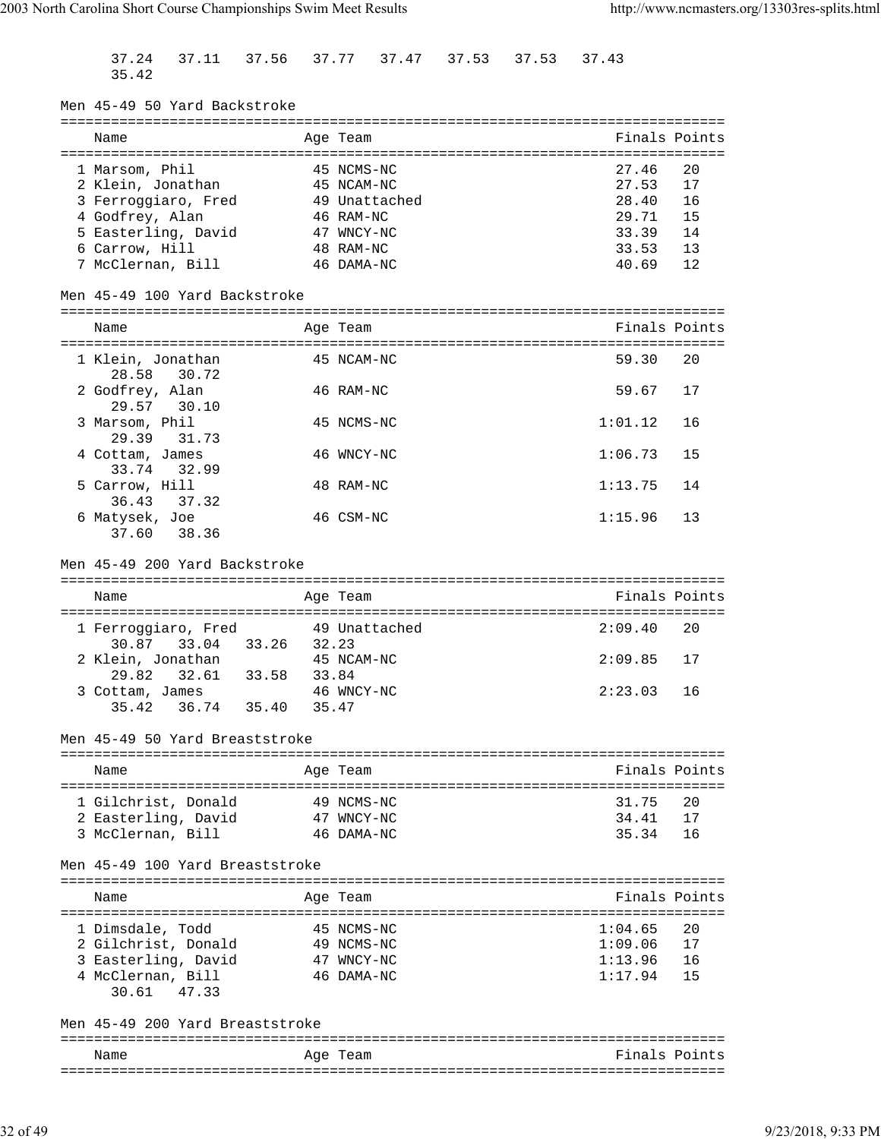37.24 37.11 37.56 37.77 37.47 37.53 37.53 37.43 35.42 Men 45-49 50 Yard Backstroke =============================================================================== Name Age Team Age Team Finals Points =============================================================================== 1 Marsom, Phil 45 NCMS-NC 27.46 20 2 Klein, Jonathan 45 NCAM-NC 27.53 17 3 Ferroggiaro, Fred 49 Unattached 28.40 16 4 Godfrey, Alan 46 RAM-NC 29.71 15 5 Easterling, David 47 WNCY-NC 33.39 14 6 Carrow, Hill 48 RAM-NC 33.53 13 7 McClernan, Bill 46 DAMA-NC 40.69 12 Men 45-49 100 Yard Backstroke =============================================================================== Name Age Team Finals Points =============================================================================== 1 Klein, Jonathan  $\overline{45}$  NCAM-NC  $\overline{59.30}$   $\overline{20}$  28.58 30.72 2 Godfrey, Alan 46 RAM-NC 59.67 17 29.57 30.10 3 Marsom, Phil 45 NCMS-NC 1:01.12 16 29.39 31.73 4 Cottam, James 46 WNCY-NC 1:06.73 15 33.74 32.99 5 Carrow, Hill 48 RAM-NC 1:13.75 14 36.43 37.32 6 Matysek, Joe 46 CSM-NC 1:15.96 13 37.60 38.36 Men 45-49 200 Yard Backstroke =============================================================================== Name **Age Team Age Team** Rinals Points =============================================================================== 1 Ferroggiaro, Fred 49 Unattached 30.87 33.04 33.26 32.23<br>2 Klein, Jonathan 45 NCAM 2 Klein, Jonathan 45 NCAM-NC 2:09.85 17 29.82 32.61 33.58 33.84 3 Cottam, James 46 WNCY-NC 2:23.03 16 35.42 36.74 35.40 35.47 Men 45-49 50 Yard Breaststroke =============================================================================== Name **Age Team** Age Team **Finals Points** =============================================================================== 1 Gilchrist, Donald 49 NCMS-NC 40 31.75 20 2 Easterling, David 47 WNCY-NC 34.41 17 3 McClernan, Bill 46 DAMA-NC 35.34 16 Men 45-49 100 Yard Breaststroke =============================================================================== Name Age Team Age Team Finals Points =============================================================================== 1 Dimsdale, Todd 45 NCMS-NC 1:04.65 20 2 Gilchrist, Donald 49 NCMS-NC 1:09.06 17 3 Easterling, David 47 WNCY-NC 1:13.96 16 4 McClernan, Bill 46 DAMA-NC 1:17.94 15 30.61 47.33 Men 45-49 200 Yard Breaststroke =============================================================================== Name Age Team Finals Points ===============================================================================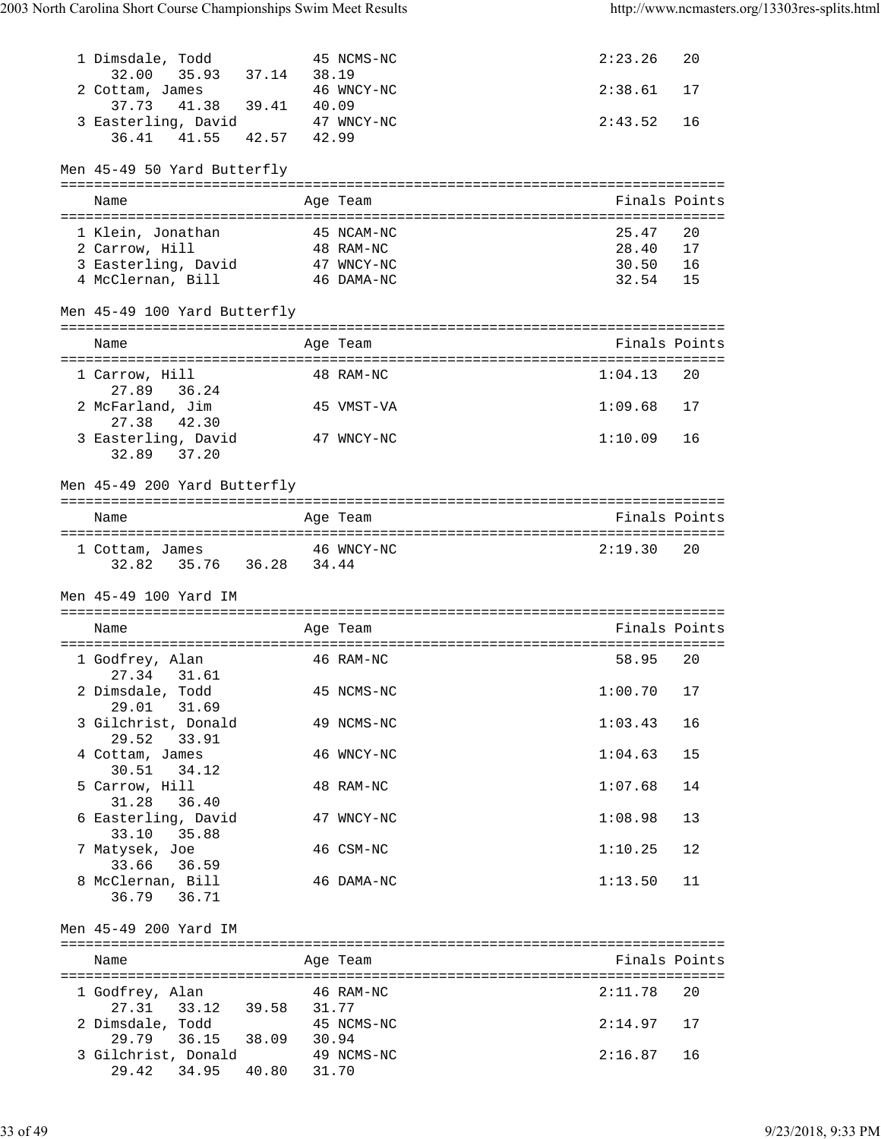| 1 Dimsdale, Todd<br>35.93 37.14 38.19<br>32.00                  | 45 NCMS-NC                | 2:23.26<br>20     |
|-----------------------------------------------------------------|---------------------------|-------------------|
| 2 Cottam, James<br>37.73  41.38  39.41  40.09                   | 46 WNCY-NC                | 2:38.61<br>17     |
| 3 Easterling, David 47 WNCY-NC<br>42.57 42.99<br>41.55<br>36.41 |                           | 2:43.52<br>16     |
| Men 45-49 50 Yard Butterfly                                     |                           |                   |
| Name                                                            | Age Team                  | Finals Points     |
|                                                                 |                           |                   |
| 1 Klein, Jonathan                                               | 45 NCAM-NC<br>48 RAM-NC   | 25.47<br>20       |
| 2 Carrow, Hill                                                  |                           | 28.40<br>17       |
| 3 Easterling, David 47 WNCY-NC                                  |                           | 30.50<br>16       |
| 4 McClernan, Bill 46 DAMA-NC                                    |                           | 32.54<br>15       |
| Men 45-49 100 Yard Butterfly                                    |                           |                   |
| Name                                                            | Age Team                  | Finals Points     |
|                                                                 |                           |                   |
| 1 Carrow, Hill                                                  | 48 RAM-NC                 | 1:04.13<br>20     |
| 27.89<br>36.24<br>2 McFarland, Jim                              | 45 VMST-VA                | 1:09.68<br>17     |
| 42.30<br>27.38                                                  |                           |                   |
| 3 Easterling, David<br>32.89 37.20                              | 47 WNCY-NC                | 1:10.09<br>16     |
|                                                                 |                           |                   |
| Men 45-49 200 Yard Butterfly                                    |                           |                   |
| Name                                                            | Age Team                  | Finals Points     |
|                                                                 |                           |                   |
| 1 Cottam, James                                                 | 46 WNCY-NC                | 2:19.30<br>20     |
|                                                                 |                           |                   |
| 32.82 35.76 36.28 34.44                                         |                           |                   |
|                                                                 |                           |                   |
| Men 45-49 100 Yard IM                                           |                           |                   |
| Name                                                            | Age Team                  | Finals Points     |
|                                                                 |                           |                   |
| 1 Godfrey, Alan                                                 | 46 RAM-NC                 | 58.95<br>20       |
| 27.34 31.61<br>2 Dimsdale, Todd                                 | 45 NCMS-NC                | $1:00.70$ 17      |
| 29.01 31.69                                                     |                           |                   |
| 3 Gilchrist, Donald                                             | 49 NCMS-NC                | 1:03.43<br>16     |
| 29.52 33.91<br>4 Cottam, James                                  | 46 WNCY-NC                | 1:04.63<br>15     |
| 30.51 34.12                                                     |                           |                   |
| 5 Carrow, Hill                                                  | 48 RAM-NC                 | 1:07.68<br>14     |
| 31.28<br>36.40                                                  |                           |                   |
| 6 Easterling, David                                             | 47 WNCY-NC                | 1:08.98<br>13     |
| 33.10<br>35.88<br>7 Matysek, Joe                                | 46 CSM-NC                 | $12 \overline{ }$ |
| 33.66 36.59                                                     |                           | 1:10.25           |
| 8 McClernan, Bill                                               | 46 DAMA-NC                | 11<br>1:13.50     |
| 36.79 36.71                                                     |                           |                   |
| Men 45-49 200 Yard IM                                           |                           |                   |
|                                                                 |                           |                   |
| Name                                                            | Age Team                  | Finals Points     |
| 1 Godfrey, Alan                                                 | 46 RAM-NC                 | 2:11.78<br>20     |
| 27.31 33.12 39.58 31.77                                         |                           |                   |
| 2 Dimsdale, Todd                                                | 45 NCMS-NC                | 2:14.97<br>17     |
| 29.79 36.15 38.09 30.94                                         |                           |                   |
| 3 Gilchrist, Donald<br>29.42 34.95                              | 49 NCMS-NC<br>40.80 31.70 | 2:16.87<br>16     |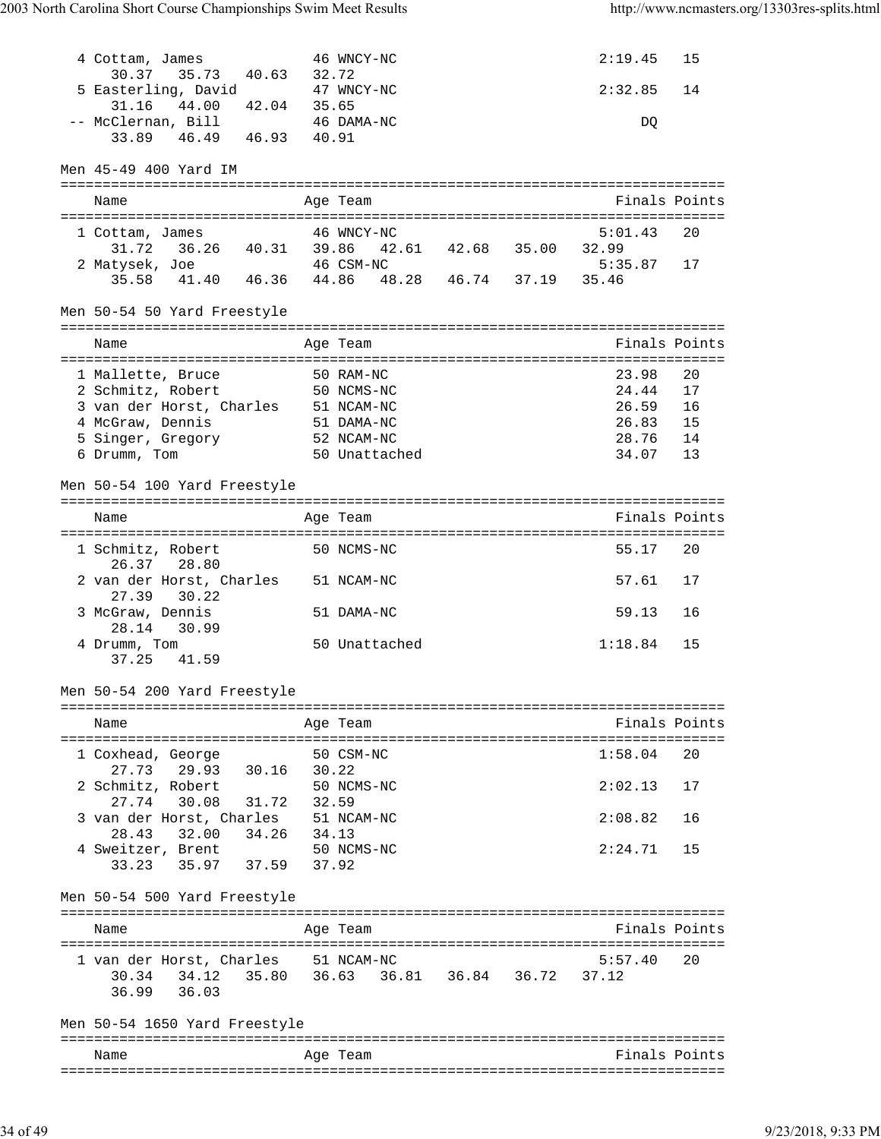| 4 Cottam, James<br>30.37 35.73 40.63 32.72<br>5 Easterling, David<br>31.16<br>44.00<br>42.04 | 46 WNCY-NC<br>47 WNCY-NC<br>35.65                            | 2:19.45<br>15<br>2:32.85<br>14 |
|----------------------------------------------------------------------------------------------|--------------------------------------------------------------|--------------------------------|
| -- McClernan, Bill<br>46.49  46.93  40.91<br>33.89<br>Men 45-49 400 Yard IM                  | 46 DAMA-NC                                                   | DQ                             |
|                                                                                              |                                                              |                                |
| Name                                                                                         | Age Team                                                     | Finals Points                  |
| 1 Cottam, James                                                                              | 46 WNCY-NC                                                   | 5:01.43<br>20                  |
| 2 Matysek, Joe                                                                               | 31.72  36.26  40.31  39.86  42.61  42.68  35.00<br>46 CSM-NC | 32.99<br>$5:35.87$ 17          |
|                                                                                              | 35.58 41.40 46.36 44.86 48.28 46.74 37.19 35.46              |                                |
|                                                                                              |                                                              |                                |
| Men 50-54 50 Yard Freestyle                                                                  |                                                              |                                |
| Name                                                                                         | Age Team                                                     | Finals Points                  |
| 1 Mallette, Bruce                                                                            | 50 RAM-NC                                                    | 23.98<br>20                    |
| 2 Schmitz, Robert                                                                            | 50 NCMS-NC                                                   | 24.44<br>17                    |
| 3 van der Horst, Charles 51 NCAM-NC                                                          |                                                              | 26.59 16<br>26.83 15           |
| 4 McGraw, Dennis                                                                             | 51 DAMA-NC                                                   |                                |
| 5 Singer, Gregory 52 NCAM-NC                                                                 |                                                              | 28.76 14                       |
| 6 Drumm, Tom                                                                                 | 50 Unattached                                                | 34.07<br>13                    |
| Men 50-54 100 Yard Freestyle                                                                 |                                                              |                                |
| Name                                                                                         | Age Team                                                     | Finals Points                  |
|                                                                                              |                                                              |                                |
| 1 Schmitz, Robert<br>26.37 28.80                                                             | 50 NCMS-NC                                                   | 55.17<br>20                    |
| 2 van der Horst, Charles 51 NCAM-NC<br>27.39<br>30.22                                        |                                                              | 57.61<br>17                    |
| 3 McGraw, Dennis<br>28.14<br>30.99                                                           | 51 DAMA-NC                                                   | 59.13<br>16                    |
| 4 Drumm, Tom<br>37.25<br>41.59                                                               | 50 Unattached                                                | 1:18.84<br>15                  |
| Men 50-54 200 Yard Freestyle                                                                 |                                                              |                                |
| Name                                                                                         | Age Team                                                     | Finals Points                  |
|                                                                                              |                                                              |                                |
| 1 Coxhead, George                                                                            | 50 CSM-NC                                                    | 1:58.04<br>20                  |
| 29.93 30.16 30.22<br>27.73<br>2 Schmitz, Robert                                              | 50 NCMS-NC                                                   | 2:02.13<br>17                  |
| $27.74$ 30.08 31.72                                                                          | 32.59                                                        |                                |
| 3 van der Horst, Charles 51 NCAM-NC                                                          |                                                              | 2:08.82<br>16                  |
| 32.00 34.26 34.13<br>28.43                                                                   |                                                              |                                |
| 4 Sweitzer, Brent 50 NCMS-NC                                                                 |                                                              | 2:24.71<br>15                  |
| 33.23 35.97 37.59 37.92                                                                      |                                                              |                                |
| Men 50-54 500 Yard Freestyle                                                                 |                                                              |                                |
| Name                                                                                         | Age Team                                                     | Finals Points                  |
|                                                                                              |                                                              |                                |
| 1 van der Horst, Charles 51 NCAM-NC<br>30.34                                                 | 34.12 35.80 36.63 36.81 36.84 36.72                          | 5:57.40<br>20<br>37.12         |
| 36.03<br>36.99                                                                               |                                                              |                                |
| Men 50-54 1650 Yard Freestyle                                                                |                                                              |                                |
|                                                                                              |                                                              |                                |
| Name                                                                                         | Age Team                                                     | Finals Points                  |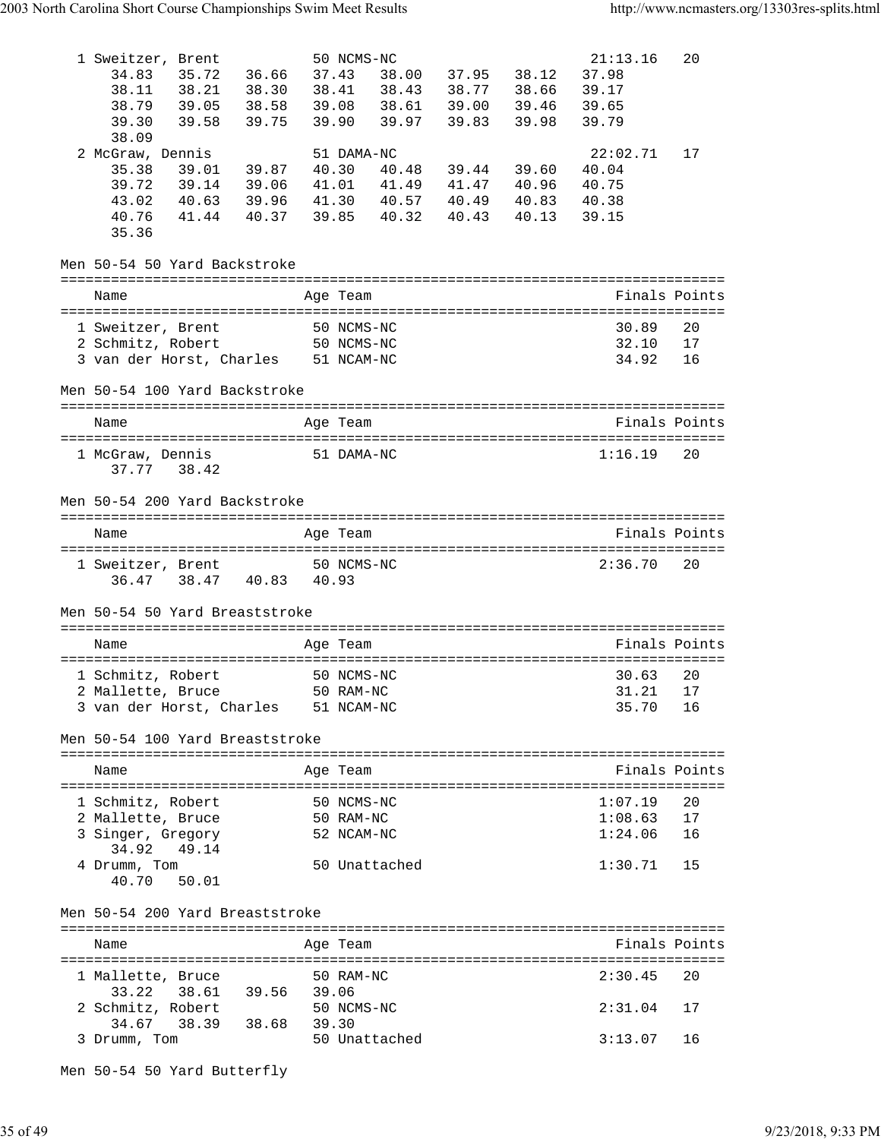| 1 Sweitzer, Brent<br>34.83<br>35.72<br>38.11 38.21 38.30<br>38.79 39.05 38.58<br>39.58<br>39.30<br>38.09       | 36.66<br>38.58<br>39.75                                           | 50 NCMS-NC<br>37.43<br>39.90 | 38.41 38.43<br>39.97 | 38.00 37.95 38.12<br>39.83                            | 39.46<br>39.98 | 21:13.16<br>37.98<br>39.17<br>39.65<br>39.79 | 20             |
|----------------------------------------------------------------------------------------------------------------|-------------------------------------------------------------------|------------------------------|----------------------|-------------------------------------------------------|----------------|----------------------------------------------|----------------|
| 2 McGraw, Dennis<br>35.38<br>39.01<br>39.72 39.14 39.06<br>43.02<br>41.44<br>40.76<br>35.36                    | 39.87<br>40.63 39.96 41.30 40.57 40.49 40.83<br>40.37 39.85 40.32 | 51 DAMA-NC                   | 40.30 40.48          | 39.44 39.60<br>41.01 41.49 41.47 40.96<br>40.43 40.13 |                | 22:02.71<br>40.04<br>40.75<br>40.38<br>39.15 | 17             |
| Men 50-54 50 Yard Backstroke                                                                                   |                                                                   |                              |                      |                                                       |                |                                              |                |
| Name                                                                                                           |                                                                   | Age Team                     |                      |                                                       |                |                                              | Finals Points  |
| 1 Sweitzer, Brent<br>2 Schmitz, Robert<br>3 van der Horst, Charles 51 NCAM-NC<br>Men 50-54 100 Yard Backstroke | 50 NCMS-NC<br>50 NCMS-NC                                          |                              |                      |                                                       |                | 30.89<br>32.10<br>34.92                      | 20<br>17<br>16 |
|                                                                                                                |                                                                   |                              |                      |                                                       |                |                                              |                |
| Name                                                                                                           |                                                                   | Age Team                     |                      |                                                       |                |                                              | Finals Points  |
| 1 McGraw, Dennis<br>37.77<br>38.42                                                                             | 51 DAMA-NC                                                        |                              |                      |                                                       |                | 1:16.19                                      | 20             |
| Men 50-54 200 Yard Backstroke                                                                                  |                                                                   |                              |                      |                                                       |                |                                              |                |
| Name                                                                                                           |                                                                   | Age Team                     |                      |                                                       |                |                                              | Finals Points  |
| 1 Sweitzer, Brent 50 NCMS-NC<br>36.47 38.47 40.83 40.93                                                        |                                                                   |                              |                      |                                                       |                | 2:36.70                                      | 20             |
| Men 50-54 50 Yard Breaststroke                                                                                 |                                                                   |                              |                      |                                                       |                |                                              |                |
| Name                                                                                                           |                                                                   | Age Team                     |                      |                                                       |                |                                              | Finals Points  |
| 1 Schmitz, Robert<br>2 Mallette, Bruce 50 RAM-NC<br>3 van der Horst, Charles 51 NCAM-NC                        | 50 NCMS-NC                                                        |                              |                      |                                                       |                | 30.63<br>31.21 17<br>35.70                   | 20<br>16       |
|                                                                                                                |                                                                   |                              |                      |                                                       |                |                                              |                |
| Men 50-54 100 Yard Breaststroke                                                                                |                                                                   |                              |                      |                                                       |                |                                              |                |
| Name                                                                                                           |                                                                   | Age Team                     |                      |                                                       |                |                                              | Finals Points  |
| 1 Schmitz, Robert<br>2 Mallette, Bruce<br>3 Singer, Gregory<br>49.14<br>34.92                                  | 50 NCMS-NC<br>50 RAM-NC                                           | 52 NCAM-NC                   |                      |                                                       |                | 1:07.19<br>1:08.63<br>1:24.06                | 20<br>17<br>16 |
| 4 Drumm, Tom<br>40.70 50.01                                                                                    |                                                                   | 50 Unattached                |                      |                                                       |                | 1:30.71                                      | 15             |
| Men 50-54 200 Yard Breaststroke                                                                                |                                                                   |                              |                      |                                                       |                |                                              |                |
| Name                                                                                                           |                                                                   | Age Team                     |                      |                                                       |                |                                              | Finals Points  |
| 1 Mallette, Bruce                                                                                              |                                                                   | 50 RAM-NC                    |                      |                                                       |                | 2:30.45                                      | 20             |
| 33.22<br>2 Schmitz, Robert<br>34.67 38.39 38.68 39.30                                                          | 38.61 39.56 39.06                                                 | 50 NCMS-NC                   |                      |                                                       |                | 2:31.04                                      | 17             |

Men 50-54 50 Yard Butterfly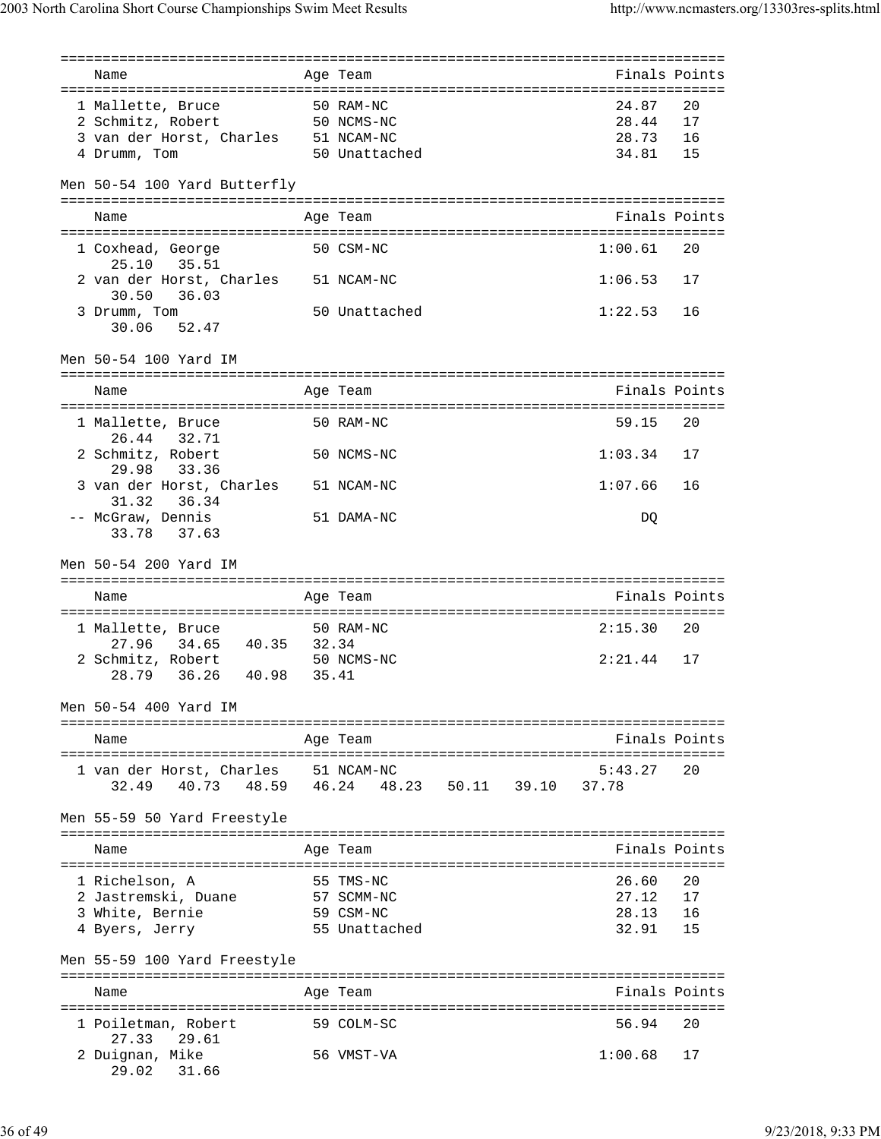| Name                                                           |       | Age Team                   |  | Finals Points    |          |
|----------------------------------------------------------------|-------|----------------------------|--|------------------|----------|
| 1 Mallette, Bruce                                              |       | 50 RAM-NC                  |  | 24.87            | 20       |
| 2 Schmitz, Robert                                              |       | 50 NCMS-NC                 |  | 28.44            | 17       |
|                                                                |       |                            |  | 28.73 16         |          |
| 3 van der Horst, Charles 51 NCAM-NC<br>4 Drumm, Tom            |       | 50 Unattached              |  | 34.81 15         |          |
|                                                                |       |                            |  |                  |          |
| Men 50-54 100 Yard Butterfly                                   |       |                            |  |                  |          |
| Name                                                           |       | Age Team                   |  | Finals Points    |          |
| 1 Coxhead, George<br>35.51<br>25.10                            |       | 50 CSM-NC                  |  | 1:00.61          | 20       |
| 2 van der Horst, Charles 51 NCAM-NC<br>36.03<br>30.50          |       |                            |  | $1:06.53$ 17     |          |
| 3 Drumm, Tom<br>30.06 52.47                                    |       | 50 Unattached              |  | 1:22.53          | 16       |
| Men 50-54 100 Yard IM                                          |       |                            |  |                  |          |
| Name                                                           |       | Age Team                   |  | Finals Points    |          |
| 1 Mallette, Bruce                                              |       | 50 RAM-NC                  |  | 59.15            | 20       |
| 26.44<br>32.71                                                 |       |                            |  | 1:03.34          |          |
| 2 Schmitz, Robert<br>29.98<br>33.36                            |       | 50 NCMS-NC                 |  |                  | 17       |
| 3 van der Horst, Charles<br>31.32 36.34                        |       | 51 NCAM-NC                 |  | 1:07.66          | 16       |
| -- McGraw, Dennis<br>33.78 37.63                               |       | 51 DAMA-NC                 |  | DQ               |          |
| Men 50-54 200 Yard IM                                          |       |                            |  |                  |          |
|                                                                |       |                            |  |                  |          |
|                                                                |       |                            |  |                  |          |
| Name                                                           |       | Age Team                   |  | Finals Points    |          |
| 1 Mallette, Bruce                                              |       | 50 RAM-NC                  |  | 2:15.30          | 20       |
| 34.65 40.35 32.34<br>27.96                                     |       |                            |  |                  |          |
| 2 Schmitz, Robert<br>36.26 40.98 35.41<br>28.79                |       | 50 NCMS-NC                 |  | 2:21.44          | 17       |
| Men 50-54 400 Yard IM                                          |       |                            |  |                  |          |
| ----------------------------                                   |       |                            |  |                  |          |
| Name                                                           |       | Age Team                   |  | Finals Points    |          |
|                                                                |       |                            |  |                  |          |
| 1 van der Horst, Charles 51 NCAM-NC<br>32.49<br>40.73<br>48.59 | 46.24 | 48.23 50.11 39.10          |  | 5:43.27<br>37.78 | 20       |
|                                                                |       |                            |  |                  |          |
| Men 55-59 50 Yard Freestyle                                    |       |                            |  |                  |          |
| Name                                                           |       | Age Team                   |  | Finals Points    |          |
|                                                                |       |                            |  |                  |          |
| 1 Richelson, A                                                 |       | 55 TMS-NC                  |  | 26.60            | 20       |
| 2 Jastremski, Duane                                            |       | 57 SCMM-NC                 |  | 27.12            | 17       |
| 3 White, Bernie                                                |       | 59 CSM-NC<br>55 Unattached |  | 28.13<br>32.91   | 16<br>15 |
| 4 Byers, Jerry                                                 |       |                            |  |                  |          |
| Men 55-59 100 Yard Freestyle                                   |       |                            |  |                  |          |
|                                                                |       |                            |  | Finals Points    |          |
| Name                                                           |       | Age Team                   |  |                  |          |
| 1 Poiletman, Robert<br>27.33<br>29.61                          |       | 59 COLM-SC                 |  | 56.94            | 20       |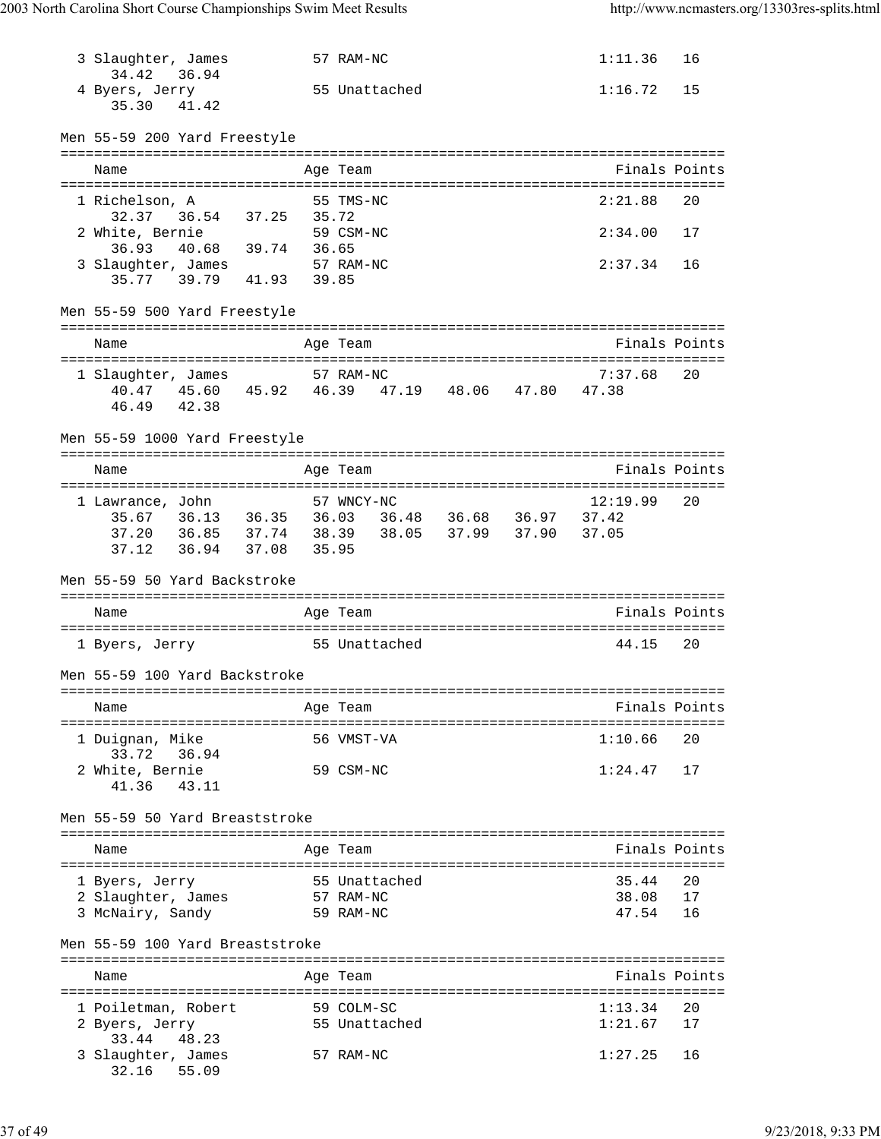| 3 Slaughter, James<br>34.42            | 36.94                   |       | 57 RAM-NC              |                                                 | 1:11.36                     | 16            |
|----------------------------------------|-------------------------|-------|------------------------|-------------------------------------------------|-----------------------------|---------------|
| 4 Byers, Jerry<br>35.30                | 41.42                   |       | 55 Unattached          |                                                 | 1:16.72                     | 15            |
| Men 55-59 200 Yard Freestyle           |                         |       |                        |                                                 |                             |               |
| Name                                   |                         |       | Age Team               |                                                 |                             | Finals Points |
| 1 Richelson, A                         |                         |       | 55 TMS-NC              |                                                 | 2:21.88                     | 20            |
| 32.37<br>2 White, Bernie               | 36.54 37.25             | 35.72 | 59 CSM-NC              |                                                 | 2:34.00                     | 17            |
| 36.93<br>3 Slaughter, James            | 40.68 39.74             | 36.65 | 57 RAM-NC              |                                                 | 2:37.34                     | 16            |
|                                        | 35.77 39.79 41.93 39.85 |       |                        |                                                 |                             |               |
| Men 55-59 500 Yard Freestyle           |                         |       |                        |                                                 |                             |               |
| Name                                   |                         |       | Age Team               |                                                 |                             | Finals Points |
| 1 Slaughter, James                     |                         |       | 57 RAM-NC              |                                                 | 7:37.68                     | 20            |
| 40.47                                  |                         |       |                        | 45.60 45.92 46.39 47.19 48.06                   | 47.80 47.38                 |               |
| 46.49                                  | 42.38                   |       |                        |                                                 |                             |               |
| Men 55-59 1000 Yard Freestyle          |                         |       |                        |                                                 |                             |               |
| Name                                   |                         |       | Age Team               |                                                 |                             | Finals Points |
| 1 Lawrance, John                       |                         |       | 57 WNCY-NC             |                                                 | 12:19.99                    | 20            |
|                                        |                         |       |                        | 35.67 36.13 36.35 36.03 36.48 36.68 36.97 37.42 |                             |               |
|                                        |                         | 38.39 |                        | 38.05 37.99 37.90                               | 37.05                       |               |
| 37.12                                  | 36.94 37.08             | 35.95 |                        |                                                 |                             |               |
|                                        |                         |       |                        |                                                 |                             |               |
| Men 55-59 50 Yard Backstroke           |                         |       |                        |                                                 |                             |               |
|                                        |                         |       |                        |                                                 | =========================== |               |
| Name                                   |                         |       | Age Team               |                                                 |                             | Finals Points |
| 1 Byers, Jerry                         |                         |       | 55 Unattached          |                                                 | 44.15                       | 20            |
| Men 55-59 100 Yard Backstroke          |                         |       |                        |                                                 |                             |               |
| Name                                   |                         |       | ===:                   |                                                 |                             | Finals Points |
|                                        |                         |       | Age Team               |                                                 |                             |               |
| 1 Duignan, Mike<br>33.72               | 36.94                   |       | 56 VMST-VA             |                                                 | 1:10.66                     | 20            |
| 2 White, Bernie                        |                         |       | 59 CSM-NC              |                                                 | 1:24.47                     | 17            |
| 41.36                                  | 43.11                   |       |                        |                                                 |                             |               |
| Men 55-59 50 Yard Breaststroke         |                         |       |                        |                                                 |                             |               |
| Name                                   |                         |       | Age Team               |                                                 |                             | Finals Points |
|                                        |                         |       |                        |                                                 |                             |               |
| 1 Byers, Jerry                         |                         |       | 55 Unattached          |                                                 | 35.44                       | 20            |
| 2 Slaughter, James<br>3 McNairy, Sandy |                         |       | 57 RAM-NC<br>59 RAM-NC |                                                 | 38.08<br>47.54              | 17<br>16      |
| Men 55-59 100 Yard Breaststroke        |                         |       |                        |                                                 |                             |               |
|                                        |                         |       |                        |                                                 |                             |               |
| Name                                   |                         |       | Age Team               |                                                 |                             | Finals Points |
| 1 Poiletman, Robert                    |                         |       | 59 COLM-SC             |                                                 | 1:13.34                     | 20            |
| 2 Byers, Jerry<br>33.44                | 48.23                   |       | 55 Unattached          |                                                 | 1:21.67                     | 17            |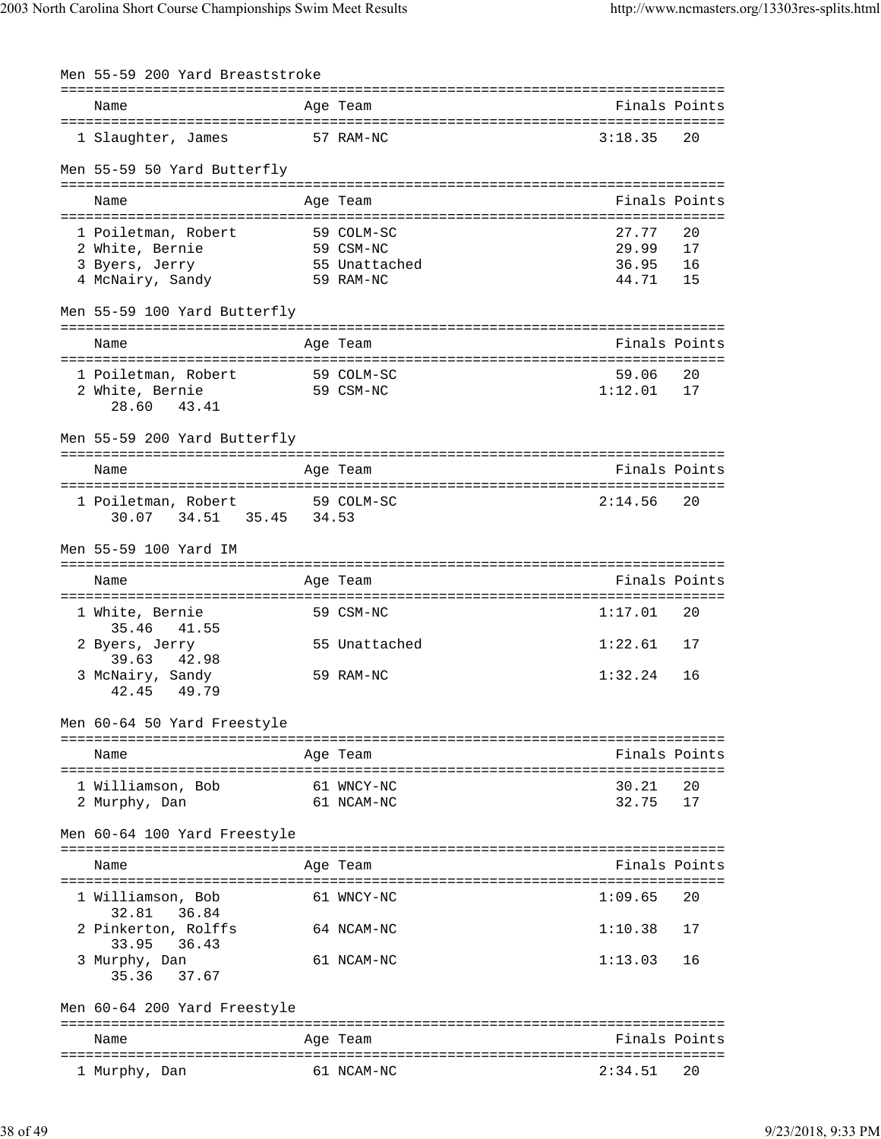| Men 55-59 200 Yard Breaststroke                     |               |               |               |
|-----------------------------------------------------|---------------|---------------|---------------|
|                                                     |               |               | ============= |
| Name                                                | Age Team      |               | Finals Points |
| 1 Slaughter, James                                  | 57 RAM-NC     | 3:18.35       | 20            |
| Men 55-59 50 Yard Butterfly                         |               |               |               |
| Name                                                | Age Team      |               | Finals Points |
|                                                     |               |               |               |
| 1 Poiletman, Robert                                 | 59 COLM-SC    | 27.77         | 20            |
| 2 White, Bernie                                     | 59 CSM-NC     | 29.99         | 17            |
| 3 Byers, Jerry                                      | 55 Unattached | 36.95         | 16            |
| 4 McNairy, Sandy                                    | 59 RAM-NC     | 44.71         | 15            |
| Men 55-59 100 Yard Butterfly                        |               |               |               |
| Name                                                | Age Team      |               | Finals Points |
| :===========================<br>1 Poiletman, Robert | 59 COLM-SC    | 59.06         | 20            |
| 2 White, Bernie                                     | 59 CSM-NC     | 1:12.01       | 17            |
| 28.60<br>43.41                                      |               |               |               |
| Men 55-59 200 Yard Butterfly                        |               |               |               |
|                                                     |               |               |               |
| Name                                                | Age Team      | Finals Points |               |
|                                                     |               |               |               |
| 1 Poiletman, Robert<br>34.51 35.45 34.53<br>30.07   | 59 COLM-SC    | 2:14.56       | 20            |
|                                                     |               |               |               |
| Men 55-59 100 Yard IM                               |               |               |               |
| Name                                                | Age Team      |               | Finals Points |
|                                                     |               |               |               |
| 1 White, Bernie<br>35.46<br>41.55                   | 59 CSM-NC     | 1:17.01       | 20            |
| 2 Byers, Jerry                                      | 55 Unattached | 1:22.61       | 17            |
| 39.63<br>42.98                                      |               |               |               |
| 3 McNairy, Sandy<br>42.45<br>49.79                  | 59 RAM-NC     | 1:32.24       | 16            |
|                                                     |               |               |               |
| Men 60-64 50 Yard Freestyle                         |               |               |               |
|                                                     |               |               |               |
| Name                                                | Age Team      |               | Finals Points |
| 1 Williamson, Bob                                   | 61 WNCY-NC    | 30.21         | 20            |
| 2 Murphy, Dan                                       | 61 NCAM-NC    | 32.75         | 17            |
|                                                     |               |               |               |
| Men 60-64 100 Yard Freestyle                        |               |               |               |
|                                                     |               |               |               |
| Name                                                | Age Team      |               | Finals Points |
| 1 Williamson, Bob                                   | 61 WNCY-NC    | 1:09.65       | 20            |
| 32.81<br>36.84                                      |               |               |               |
| 2 Pinkerton, Rolffs                                 | 64 NCAM-NC    | 1:10.38       | 17            |
| 33.95<br>36.43                                      |               |               |               |
| 3 Murphy, Dan                                       | 61 NCAM-NC    | 1:13.03       | 16            |
| 35.36<br>37.67                                      |               |               |               |
| Men 60-64 200 Yard Freestyle                        |               |               |               |
|                                                     |               |               |               |
| Name                                                | Age Team      |               | Finals Points |
|                                                     |               |               |               |
| 1 Murphy, Dan                                       | 61 NCAM-NC    | 2:34.51       | 20            |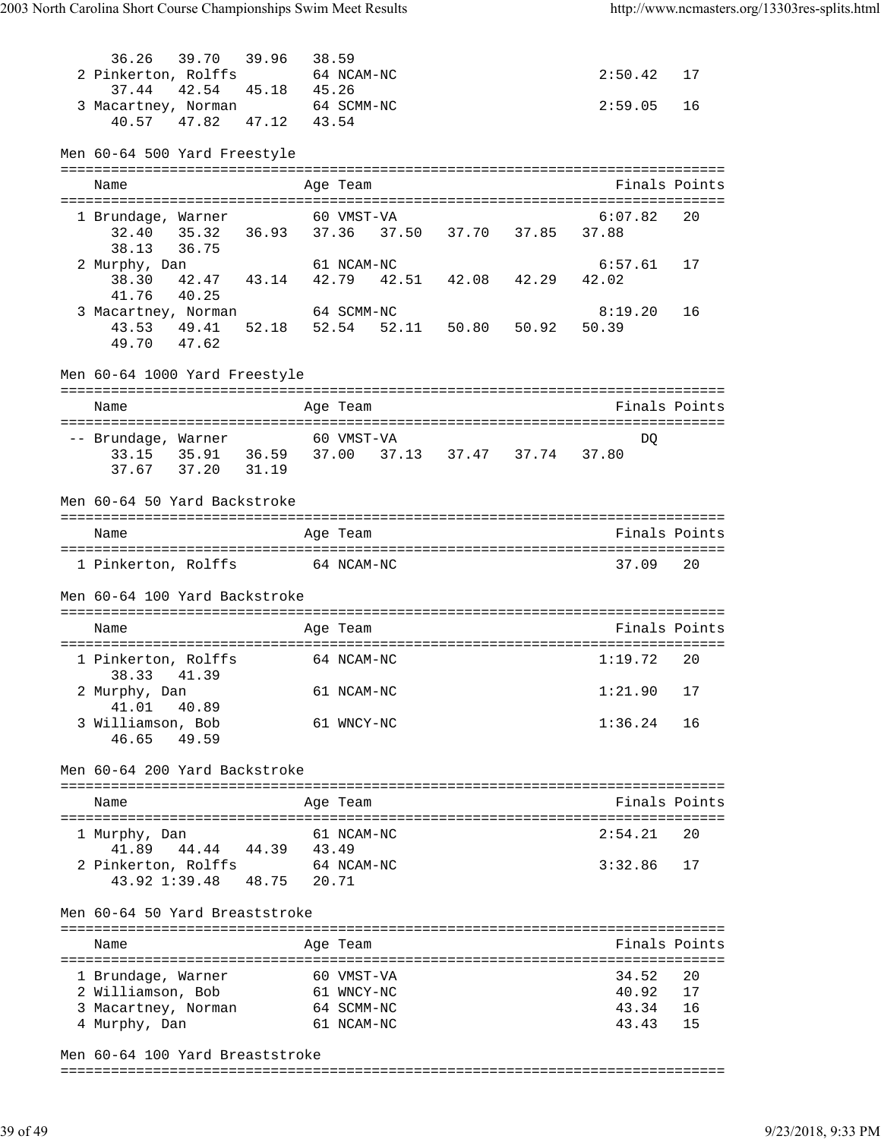| 36.26<br>2 Pinkerton, Rolffs<br>37.44<br>42.54                                              | 39.70 39.96 38.59<br>45.18                | 45.26 | 64 NCAM-NC               |                         | 2:50.42          | 17            |
|---------------------------------------------------------------------------------------------|-------------------------------------------|-------|--------------------------|-------------------------|------------------|---------------|
| 3 Macartney, Norman 64 SCMM-NC<br>40.57<br>47.82                                            | 47.12                                     | 43.54 |                          |                         | 2:59.05          | 16            |
| Men 60-64 500 Yard Freestyle                                                                |                                           |       |                          |                         |                  |               |
| Name                                                                                        |                                           |       | Age Team                 |                         |                  | Finals Points |
| 1 Brundage, Warner<br>32.40<br>36.75<br>38.13                                               | 60 VMST-VA                                |       |                          |                         | 6:07.82          | 20            |
| 2 Murphy, Dan<br>38.30<br>41.76<br>40.25                                                    | 42.47 43.14 42.79 42.51 42.08 42.29 42.02 |       | 61 NCAM-NC               |                         | 6:57.61          | 17            |
| 3 Macartney, Norman<br>43.53 49.41 52.18<br>49.70 47.62                                     |                                           |       | 64 SCMM-NC               | 52.54 52.11 50.80 50.92 | 8:19.20<br>50.39 | 16            |
| Men 60-64 1000 Yard Freestyle                                                               |                                           |       |                          |                         |                  |               |
| Name                                                                                        |                                           |       | Age Team                 |                         |                  | Finals Points |
| -- Brundage, Warner<br>33.15 35.91 36.59 37.00 37.13 37.47 37.74 37.80<br>37.67 37.20 31.19 | 60 VMST-VA                                |       |                          |                         | DQ               |               |
| Men 60-64 50 Yard Backstroke                                                                |                                           |       |                          |                         |                  |               |
| Name                                                                                        |                                           |       | Age Team                 |                         |                  | Finals Points |
| 1 Pinkerton, Rolffs 64 NCAM-NC                                                              |                                           |       |                          |                         | 37.09            | 20            |
| Men 60-64 100 Yard Backstroke                                                               |                                           |       |                          |                         |                  |               |
| Name                                                                                        |                                           |       | Age Team                 |                         |                  | Finals Points |
| 1 Pinkerton, Rolffs<br>38.33 41.39                                                          |                                           |       | 64 NCAM-NC               |                         | 1:19.72          | 20            |
| 2 Murphy, Dan<br>41.01<br>40.89                                                             |                                           |       | 61 NCAM-NC               |                         | $1:21.90$ 17     |               |
| 3 Williamson, Bob<br>46.65<br>49.59                                                         |                                           |       | 61 WNCY-NC               |                         | 1:36.24          | 16            |
| Men 60-64 200 Yard Backstroke                                                               |                                           |       |                          |                         |                  |               |
| Name                                                                                        |                                           |       | Age Team                 |                         |                  | Finals Points |
| 1 Murphy, Dan                                                                               |                                           |       | 61 NCAM-NC               |                         | 2:54.21          | 20            |
| 41.89<br>2 Pinkerton, Rolffs 64 NCAM-NC<br>43.92 1:39.48 48.75                              | 44.44 44.39 43.49                         | 20.71 |                          |                         | 3:32.86          | 17            |
| Men 60-64 50 Yard Breaststroke                                                              |                                           |       |                          |                         |                  |               |
| Name                                                                                        |                                           |       | Age Team                 |                         |                  | Finals Points |
| 1 Brundage, Warner                                                                          |                                           |       | 60 VMST-VA               |                         | 34.52            | 20            |
| 2 Williamson, Bob<br>3 Macartney, Norman                                                    |                                           |       | 61 WNCY-NC<br>64 SCMM-NC |                         | 40.92<br>43.34   | 17<br>16      |
| 4 Murphy, Dan                                                                               |                                           |       | 61 NCAM-NC               |                         | 43.43            | 15            |

Men 60-64 100 Yard Breaststroke

===============================================================================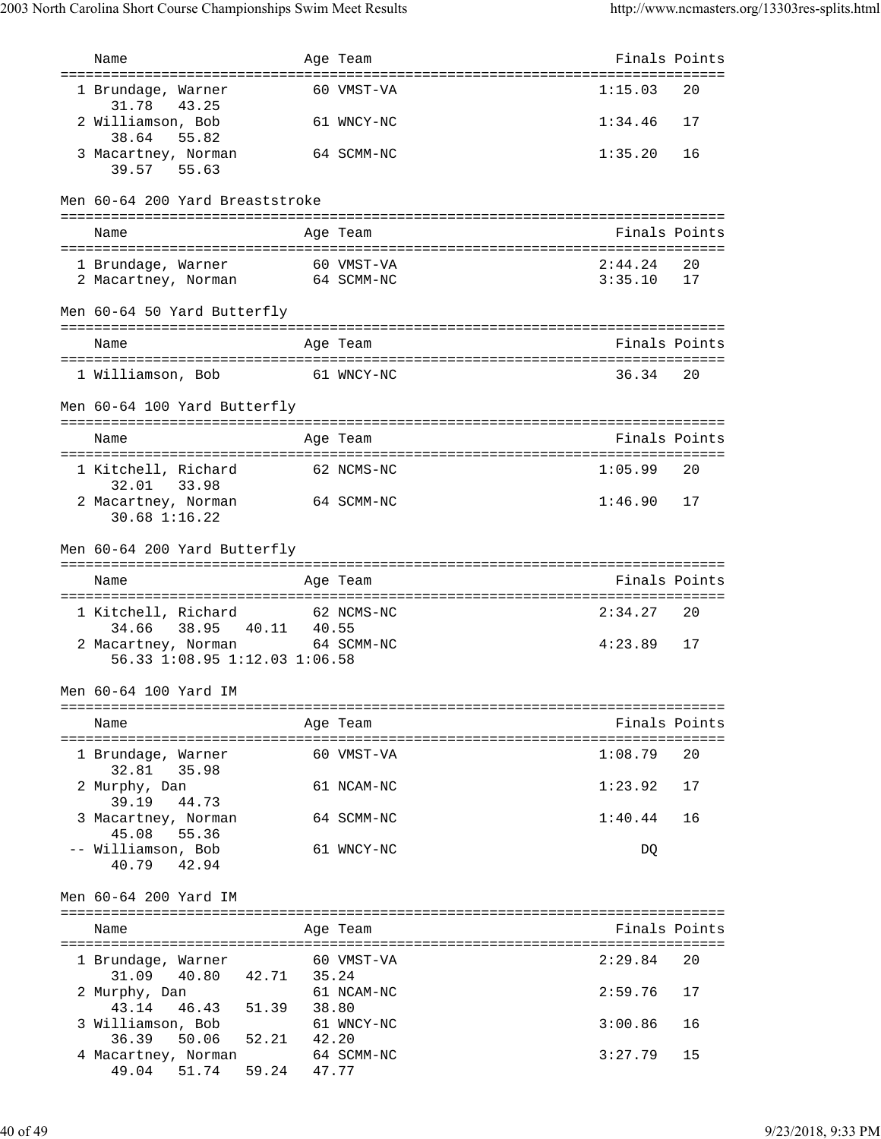| Name                                              |       | Age Team   | Finals Points |    |
|---------------------------------------------------|-------|------------|---------------|----|
| ======================================            |       |            |               |    |
| 1 Brundage, Warner<br>31.78<br>43.25              |       | 60 VMST-VA | 1:15.03       | 20 |
| 2 Williamson, Bob                                 |       | 61 WNCY-NC | 1:34.46       | 17 |
| 38.64<br>55.82                                    |       |            |               |    |
| 3 Macartney, Norman                               |       | 64 SCMM-NC | 1:35.20       | 16 |
| 39.57 55.63                                       |       |            |               |    |
|                                                   |       |            |               |    |
| Men 60-64 200 Yard Breaststroke                   |       |            |               |    |
| Name                                              |       | Age Team   | Finals Points |    |
|                                                   |       |            |               |    |
| 1 Brundage, Warner                                |       | 60 VMST-VA | 2:44.24       | 20 |
| 2 Macartney, Norman 64 SCMM-NC                    |       |            | 3:35.10       | 17 |
| Men 60-64 50 Yard Butterfly                       |       |            |               |    |
|                                                   |       |            | Finals Points |    |
| Name                                              |       | Age Team   |               |    |
| 1 Williamson, Bob 61 WNCY-NC                      |       |            | 36.34         | 20 |
|                                                   |       |            |               |    |
| Men 60-64 100 Yard Butterfly                      |       |            |               |    |
|                                                   |       |            |               |    |
| Name                                              |       | Age Team   | Finals Points |    |
| 1 Kitchell, Richard                               |       | 62 NCMS-NC | 1:05.99       | 20 |
| 32.01<br>33.98                                    |       |            |               |    |
| 2 Macartney, Norman                               |       | 64 SCMM-NC | 1:46.90       | 17 |
| 30.68 1:16.22                                     |       |            |               |    |
|                                                   |       |            |               |    |
| Men 60-64 200 Yard Butterfly                      |       |            |               |    |
|                                                   |       |            |               |    |
| Name                                              |       | Age Team   | Finals Points |    |
|                                                   |       |            |               |    |
| 1 Kitchell, Richard                               |       | 62 NCMS-NC | 2:34.27       | 20 |
| 34.66<br>38.95<br>40.11 40.55                     |       |            |               |    |
| 2 Macartney, Norman                               |       | 64 SCMM-NC | 4:23.89       | 17 |
| 56.33 1:08.95 1:12.03 1:06.58                     |       |            |               |    |
| Men 60-64 100 Yard IM                             |       |            |               |    |
|                                                   |       |            |               |    |
| Name                                              |       | Age Team   | Finals Points |    |
|                                                   |       |            |               |    |
| 1 Brundage, Warner<br>32.81<br>35.98              |       | 60 VMST-VA | 1:08.79       | 20 |
| 2 Murphy, Dan                                     |       | 61 NCAM-NC | 1:23.92       | 17 |
| 39.19<br>44.73                                    |       |            |               |    |
| 3 Macartney, Norman                               |       | 64 SCMM-NC | 1:40.44       | 16 |
| 55.36<br>45.08                                    |       |            |               |    |
| -- Williamson, Bob                                |       | 61 WNCY-NC | DQ            |    |
| 40.79<br>42.94                                    |       |            |               |    |
| Men 60-64 200 Yard IM                             |       |            |               |    |
|                                                   |       |            |               |    |
| Name                                              |       | Age Team   | Finals Points |    |
|                                                   |       |            |               |    |
| 1 Brundage, Warner                                |       | 60 VMST-VA | 2:29.84       | 20 |
| 31.09<br>40.80<br>42.71 35.24<br>2 Murphy, Dan    |       | 61 NCAM-NC | 2:59.76       | 17 |
| 46.43 51.39<br>43.14                              | 38.80 |            |               |    |
| 3 Williamson, Bob                                 |       | 61 WNCY-NC | 3:00.86       | 16 |
| 50.06 52.21<br>36.39                              | 42.20 |            |               |    |
| 4 Macartney, Norman<br>49.04 51.74<br>59.24 47.77 |       | 64 SCMM-NC | 3:27.79       | 15 |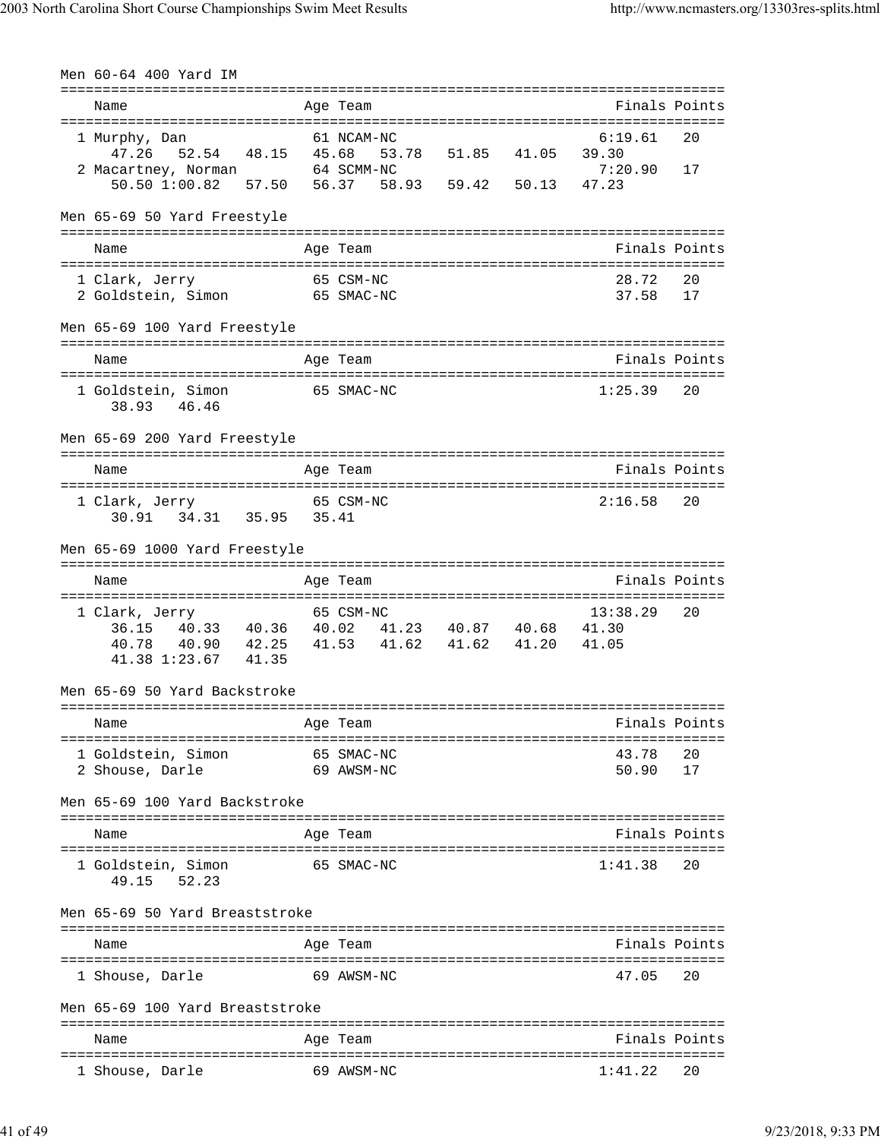| Men 60-64 400 Yard IM                                                    |                        |                   |       |                                   |               |
|--------------------------------------------------------------------------|------------------------|-------------------|-------|-----------------------------------|---------------|
| Name                                                                     | Age Team               |                   |       |                                   | Finals Points |
| 1 Murphy, Dan                                                            | 61 NCAM-NC             |                   |       | 6:19.61                           | 20            |
| 52.54 48.15 45.68<br>47.26                                               |                        | 53.78 51.85 41.05 |       | 39.30                             |               |
| 2 Macartney, Norman 64 SCMM-NC<br>50.50 1:00.82 57.50                    | 56.37                  | 58.93 59.42       | 50.13 | 7:20.90<br>47.23                  | 17            |
|                                                                          |                        |                   |       |                                   |               |
| Men 65-69 50 Yard Freestyle                                              |                        |                   |       |                                   |               |
| Name                                                                     | Age Team               |                   |       |                                   | Finals Points |
| 1 Clark, Jerry                                                           | 65 CSM-NC              |                   |       | 28.72                             | 20            |
| 2 Goldstein, Simon 65 SMAC-NC                                            |                        |                   |       | 37.58                             | 17            |
| Men 65-69 100 Yard Freestyle                                             |                        |                   |       |                                   |               |
| Name                                                                     |                        |                   |       | ================================= | Finals Points |
|                                                                          | Age Team               |                   |       |                                   |               |
| 1 Goldstein, Simon<br>46.46<br>38.93                                     | 65 SMAC-NC             |                   |       | 1:25.39                           | 20            |
|                                                                          |                        |                   |       |                                   |               |
| Men 65-69 200 Yard Freestyle                                             |                        |                   |       |                                   |               |
| Name                                                                     | Age Team               |                   |       |                                   | Finals Points |
|                                                                          |                        |                   |       |                                   |               |
| 1 Clark, Jerry<br>30.91    34.31    35.95    35.41                       | 65 CSM-NC              |                   |       | 2:16.58                           | 20            |
| Men 65-69 1000 Yard Freestyle                                            |                        |                   |       |                                   |               |
|                                                                          |                        |                   |       | ================================  |               |
|                                                                          |                        |                   |       |                                   |               |
| Name                                                                     | Age Team               |                   |       | =================                 | Finals Points |
| 1 Clark, Jerry                                                           | 65 CSM-NC              |                   |       | 13:38.29                          | 20            |
| 36.15 40.33 40.36 40.02 41.23 40.87 40.68 41.30                          |                        |                   |       |                                   |               |
| 40.90  42.25  41.53  41.62  41.62  41.20<br>40.78<br>41.38 1:23.67 41.35 |                        |                   |       | 41.05                             |               |
| Men 65-69 50 Yard Backstroke                                             |                        |                   |       |                                   |               |
|                                                                          |                        |                   |       |                                   |               |
| Name                                                                     | Age Team               |                   |       |                                   | Finals Points |
| 1 Goldstein, Simon                                                       | 65 SMAC-NC             |                   |       | 43.78                             | 20            |
| 2 Shouse, Darle                                                          | 69 AWSM-NC             |                   |       | 50.90                             | 17            |
| Men 65-69 100 Yard Backstroke                                            |                        |                   |       |                                   |               |
| Name                                                                     | Age Team               |                   |       | ------------------------------    | Finals Points |
|                                                                          |                        |                   |       |                                   |               |
| 1 Goldstein, Simon<br>52.23<br>49.15                                     | 65 SMAC-NC             |                   |       | 1:41.38                           | 20            |
| Men 65-69 50 Yard Breaststroke                                           |                        |                   |       |                                   |               |
|                                                                          |                        |                   |       |                                   |               |
| Name                                                                     | Age Team               |                   |       |                                   | Finals Points |
| 1 Shouse, Darle                                                          | 69 AWSM-NC             |                   |       | 47.05                             | 20            |
| Men 65-69 100 Yard Breaststroke                                          |                        |                   |       |                                   |               |
| Name                                                                     | ==========<br>Age Team |                   |       |                                   | Finals Points |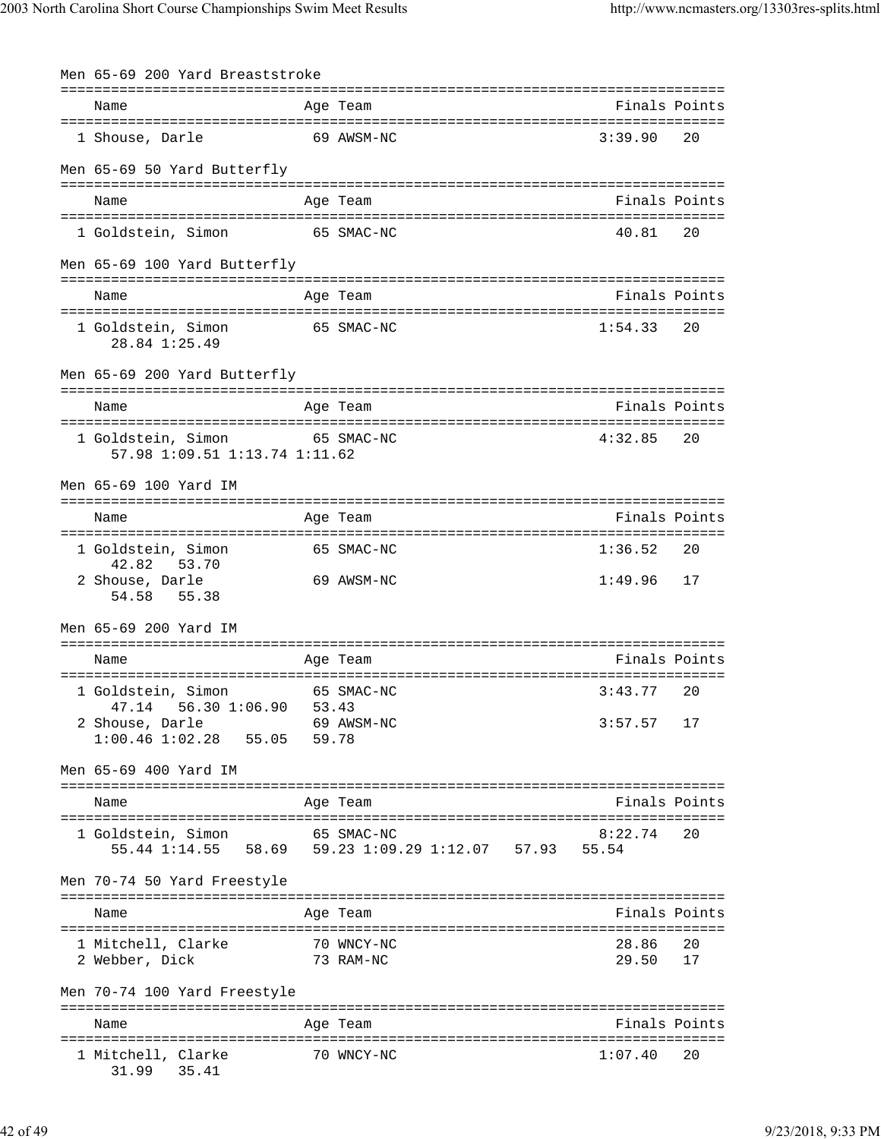| Men 65-69 200 Yard Breaststroke                                |       |                                                                           |                |               |
|----------------------------------------------------------------|-------|---------------------------------------------------------------------------|----------------|---------------|
| Name                                                           |       | Age Team                                                                  | Finals Points  |               |
| 1 Shouse, Darle                                                |       | 69 AWSM-NC                                                                | 3:39.90        | 20            |
| Men 65-69 50 Yard Butterfly                                    |       |                                                                           |                |               |
| Name                                                           |       | Age Team                                                                  | Finals Points  |               |
| 1 Goldstein, Simon                                             |       | 65 SMAC-NC                                                                | 40.81          | 20            |
| Men 65-69 100 Yard Butterfly                                   |       |                                                                           |                |               |
| Name                                                           |       | Age Team                                                                  | Finals Points  |               |
| 1 Goldstein, Simon<br>28.84 1:25.49                            |       | 65 SMAC-NC                                                                | 1:54.33        | 20            |
| Men 65-69 200 Yard Butterfly                                   |       |                                                                           |                |               |
| Name                                                           |       | Age Team                                                                  | Finals Points  |               |
| 1 Goldstein, Simon 65 SMAC-NC<br>57.98 1:09.51 1:13.74 1:11.62 |       |                                                                           | 4:32.85        | 20            |
| Men 65-69 100 Yard IM                                          |       | ===================================                                       |                |               |
| Name                                                           |       | Age Team                                                                  | Finals Points  |               |
| 1 Goldstein, Simon<br>42.82<br>53.70                           |       | 65 SMAC-NC                                                                | 1:36.52        | 20            |
| 2 Shouse, Darle<br>54.58<br>55.38                              |       | 69 AWSM-NC                                                                | 1:49.96        | 17            |
| Men 65-69 200 Yard IM                                          |       |                                                                           |                |               |
| Name                                                           |       | Age Team                                                                  | Finals Points  |               |
| 1 Goldstein, Simon<br>56.30 1:06.90 53.43<br>47.14             |       | 65 SMAC-NC                                                                | 3:43.77        | 20            |
| 2 Shouse, Darle<br>$1:00.46$ $1:02.28$ 55.05                   | 59.78 | 69 AWSM-NC                                                                | 3:57.57        | 17            |
| Men 65-69 400 Yard IM                                          |       |                                                                           |                |               |
| Name                                                           |       | Age Team                                                                  |                | Finals Points |
| 1 Goldstein, Simon                                             |       | 65 SMAC-NC<br>55.44 1:14.55  58.69  59.23  1:09.29  1:12.07  57.93  55.54 | 8:22.74        | 20            |
| Men 70-74 50 Yard Freestyle                                    |       |                                                                           |                |               |
| Name                                                           |       | Age Team                                                                  |                | Finals Points |
| 1 Mitchell, Clarke<br>2 Webber, Dick                           |       | 70 WNCY-NC<br>73 RAM-NC                                                   | 28.86<br>29.50 | 20<br>17      |
| Men 70-74 100 Yard Freestyle                                   |       |                                                                           |                |               |
| Name                                                           |       | Age Team                                                                  |                | Finals Points |
| 1 Mitchell, Clarke<br>31.99 35.41                              |       | 70 WNCY-NC                                                                | 1:07.40        | 20            |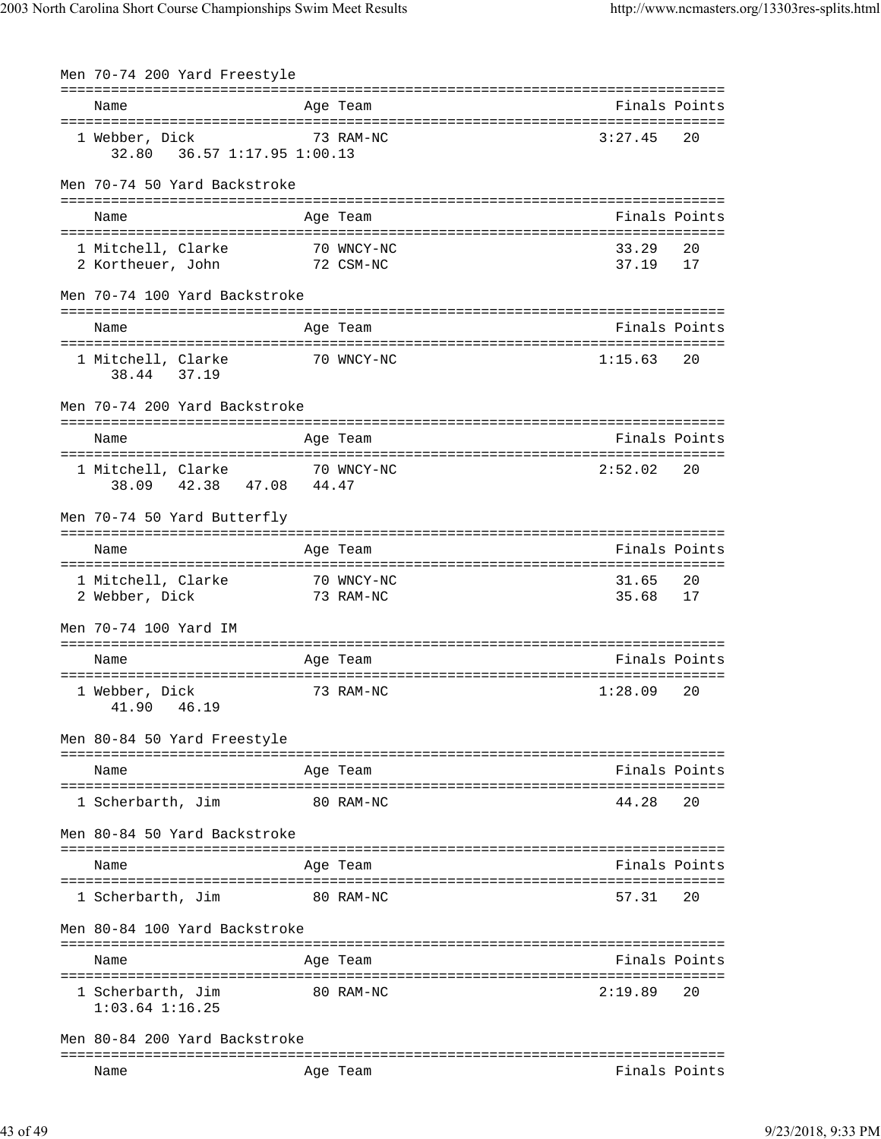| Men 70-74 200 Yard Freestyle                                |                                           |                |               |
|-------------------------------------------------------------|-------------------------------------------|----------------|---------------|
| Name                                                        | Age Team                                  |                | Finals Points |
|                                                             |                                           |                |               |
| 1 Webber, Dick                                              | 73 RAM-NC                                 | 3:27.45        | 20            |
| Men 70-74 50 Yard Backstroke                                |                                           |                |               |
| Name                                                        | Age Team                                  |                | Finals Points |
| 1 Mitchell, Clarke<br>2 Kortheuer, John 72 CSM-NC           | 70 WNCY-NC                                | 33.29<br>37.19 | 20<br>17      |
| Men 70-74 100 Yard Backstroke                               |                                           |                |               |
| Name                                                        | Age Team                                  |                | Finals Points |
| 1 Mitchell, Clarke<br>38.44 37.19                           | 70 WNCY-NC                                | 1:15.63        | 20            |
| Men 70-74 200 Yard Backstroke                               |                                           |                |               |
| Name                                                        | Age Team                                  |                | Finals Points |
| 1 Mitchell, Clarke 70 WNCY-NC<br>42.38 47.08 44.47<br>38.09 |                                           | 2:52.02        | 20            |
| Men 70-74 50 Yard Butterfly                                 |                                           |                |               |
| Name                                                        | Age Team                                  |                | Finals Points |
| 1 Mitchell, Clarke<br>2 Webber, Dick                        |                                           | 31.65<br>35.68 | 20<br>17      |
| Men 70-74 100 Yard IM                                       |                                           |                |               |
| Name                                                        | Age Team                                  |                | Finals Points |
| 1 Webber, Dick<br>41.90<br>46.19                            | 73 RAM-NC                                 | 1:28.09        | 20            |
| Men 80-84 50 Yard Freestyle                                 |                                           |                |               |
| Name                                                        | ===============<br>Age Team               |                | Finals Points |
| 1 Scherbarth, Jim                                           | 80 RAM-NC                                 | 44.28          | 20            |
| Men 80-84 50 Yard Backstroke                                |                                           |                |               |
| Name                                                        | Age Team                                  |                | Finals Points |
| 1 Scherbarth, Jim                                           | 80 RAM-NC                                 | 57.31          | 20            |
| Men 80-84 100 Yard Backstroke                               |                                           |                |               |
| Name                                                        | -----------------------------<br>Age Team |                | Finals Points |
| 1 Scherbarth, Jim<br>$1:03.64$ $1:16.25$                    | 80 RAM-NC                                 | 2:19.89        | 20            |
| Men 80-84 200 Yard Backstroke                               |                                           |                |               |
| Name                                                        | Age Team                                  |                | Finals Points |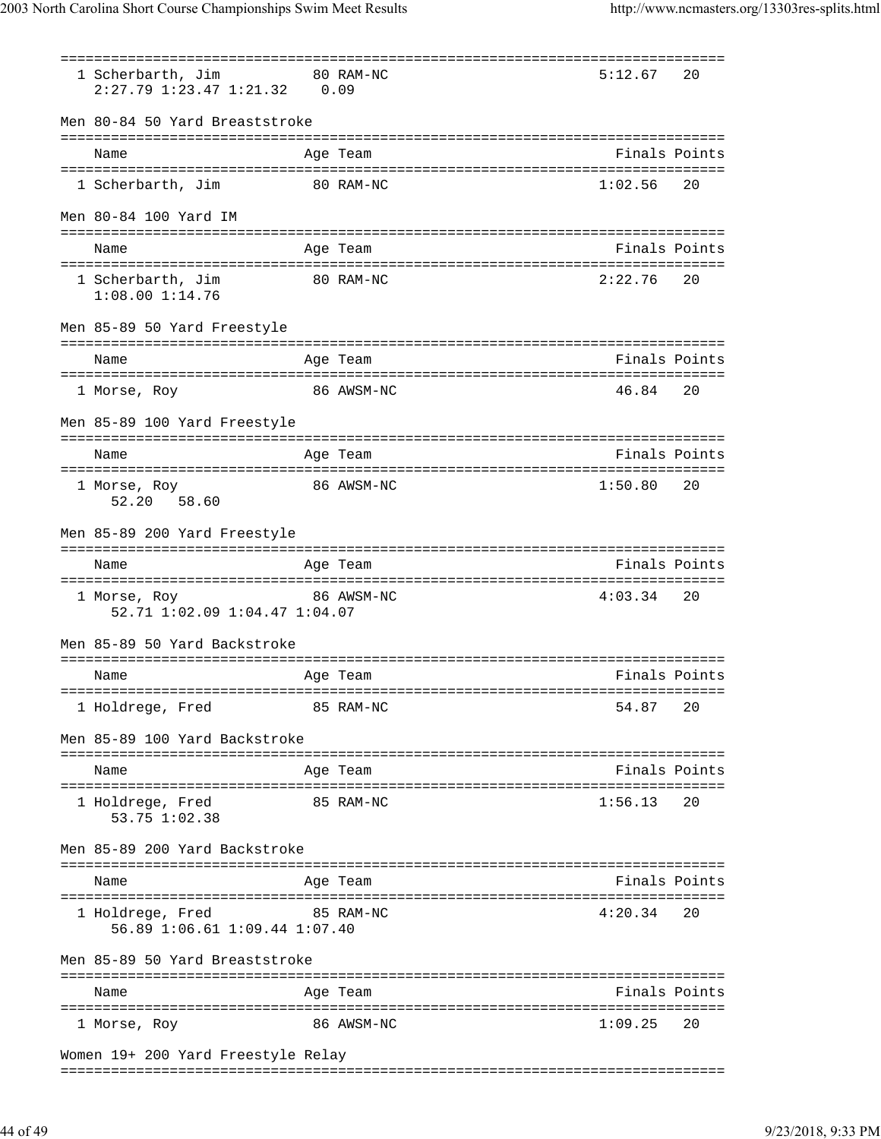| 1 Scherbarth, Jim<br>80 RAM-NC<br>$2:27.79$ $1:23.47$ $1:21.32$ 0.09 |                                    | 5:12.67 | 20            |
|----------------------------------------------------------------------|------------------------------------|---------|---------------|
| Men 80-84 50 Yard Breaststroke                                       |                                    |         |               |
| Name                                                                 | Age Team                           |         | Finals Points |
| 1 Scherbarth, Jim                                                    | 80 RAM-NC                          | 1:02.56 | 20            |
| Men 80-84 100 Yard IM                                                |                                    |         |               |
| Name                                                                 | Age Team                           |         | Finals Points |
| 1 Scherbarth, Jim<br>1:08.00 1:14.76                                 | 80 RAM-NC                          | 2:22.76 | 20            |
| Men 85-89 50 Yard Freestyle                                          |                                    |         |               |
| Name                                                                 | Age Team                           |         | Finals Points |
| 1 Morse, Roy                                                         | 86 AWSM-NC                         | 46.84   | 20            |
| Men 85-89 100 Yard Freestyle                                         | ================================== |         |               |
| Name<br>:=====================================                       | Age Team                           |         | Finals Points |
| 1 Morse, Roy<br>52.20 58.60                                          | 86 AWSM-NC                         | 1:50.80 | 20            |
| Men 85-89 200 Yard Freestyle                                         |                                    |         |               |
| Name                                                                 | Age Team                           |         | Finals Points |
| 1 Morse, Roy<br>52.71 1:02.09 1:04.47 1:04.07                        | 86 AWSM-NC                         | 4:03.34 | 20            |
| Men 85-89 50 Yard Backstroke<br>==================================   | =================================  |         |               |
| Name                                                                 | Age Team<br>============           |         | Finals Points |
| 1 Holdrege, Fred                                                     | 85 RAM-NC                          | 54.87   | 20            |
| Men 85-89 100 Yard Backstroke                                        |                                    |         |               |
| Name                                                                 | Age Team                           |         | Finals Points |
| 1 Holdrege, Fred<br>53.75 1:02.38                                    | 85 RAM-NC                          | 1:56.13 | 20            |
| Men 85-89 200 Yard Backstroke                                        |                                    |         |               |
| Name                                                                 | Age Team                           |         | Finals Points |
| 1 Holdrege, Fred<br>56.89 1:06.61 1:09.44 1:07.40                    | 85 RAM-NC                          | 4:20.34 | 20            |
| Men 85-89 50 Yard Breaststroke                                       |                                    |         |               |
| Name                                                                 | Age Team                           |         | Finals Points |
| 1 Morse, Roy                                                         | 86 AWSM-NC                         | 1:09.25 | 20            |
| Women 19+ 200 Yard Freestyle Relay                                   |                                    |         |               |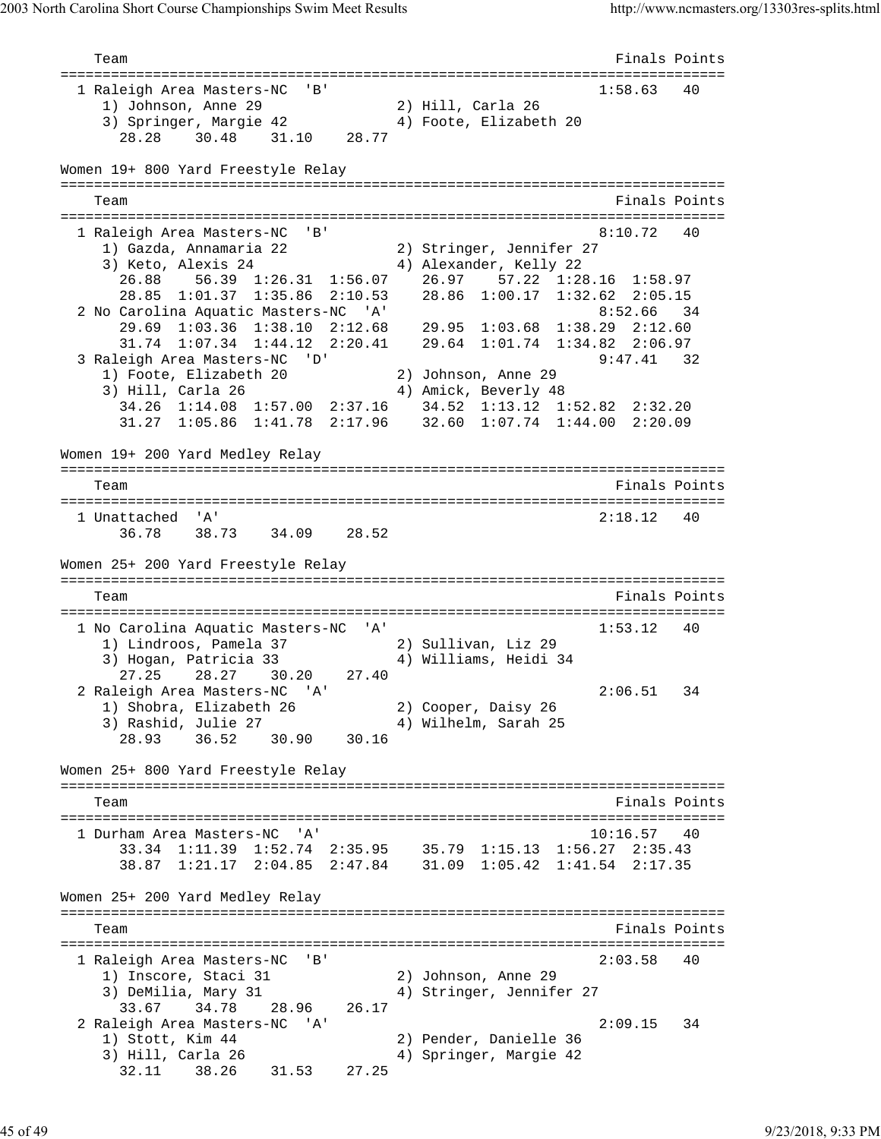Team Finals Points =============================================================================== 1 Raleigh Area Masters-NC 'B' 1:58.63 40 1) Johnson, Anne 29 2) Hill, Carla 26 3) Springer, Margie 42 4) Foote, Elizabeth 20 28.28 30.48 31.10 28.77 Women 19+ 800 Yard Freestyle Relay =============================================================================== Team Finals Points =============================================================================== 1 Raleigh Area Masters-NC 'B' 1) Gazda, Annamaria 22 2) Stringer, Jennifer 27 3) Keto, Alexis 24 4) Alexander, Kelly 22 26.88 56.39 1:26.31 1:56.07 26.97 57.22 1:28.16 1:58.97 28.85 1:01.37 1:35.86 2:10.53 28.86 1:00.17 1:32.62 2:05.15 2 No Carolina Aquatic Masters-NC 'A' 34 29.69 1:03.36 1:38.10 2:12.68 29.95 1:03.68 1:38.29 2:12.60 31.74 1:07.34 1:44.12 2:20.41 29.64 1:01.74 1:34.82 2:06.97 3 Raleigh Area Masters-NC 'D' 9:47.41 32 1) Foote, Elizabeth 20 2) Johnson, Anne 29 3) Hill, Carla 26 4) Amick, Beverly 48 34.26 1:14.08 1:57.00 2:37.16 34.52 1:13.12 1:52.82 2:32.20 31.27 1:05.86 1:41.78 2:17.96 32.60 1:07.74 1:44.00 2:20.09 Women 19+ 200 Yard Medley Relay =============================================================================== Team Finals Points =============================================================================== 1 Unattached 'A' 2:18.12 40 36.78 38.73 34.09 28.52 Women 25+ 200 Yard Freestyle Relay =============================================================================== Team Finals Points =============================================================================== 1 No Carolina Aquatic Masters-NC 'A' 1:53.12 40 1) Lindroos, Pamela 37 2) Sullivan, Liz 29 3) Hogan, Patricia 33 4) Williams, Heidi 34 27.25 28.27 30.20 27.40 2 Raleigh Area Masters-NC 'A' 2:06.51 34 1) Shobra, Elizabeth 26 2) Cooper, Daisy 26 3) Rashid, Julie 27 4) Wilhelm, Sarah 25 28.93 36.52 30.90 30.16 Women 25+ 800 Yard Freestyle Relay =============================================================================== Team Finals Points Communications of the Communication of the Points Points Points Points Points Points Points =============================================================================== 1 Durham Area Masters-NC 'A' 10:16.57 40 33.34 1:11.39 1:52.74 2:35.95 35.79 1:15.13 1:56.27 2:35.43 38.87 1:21.17 2:04.85 2:47.84 31.09 1:05.42 1:41.54 2:17.35 Women 25+ 200 Yard Medley Relay =============================================================================== Team Finals Points =============================================================================== 1 Raleigh Area Masters-NC 'B' 2:03.58 40 1) Inscore, Staci 31 2) Johnson, Anne 29 3) DeMilia, Mary 31 4) Stringer, Jennifer 27 33.67 34.78 28.96 26.17 2 Raleigh Area Masters-NC 'A' 2:09.15 34 1) Stott, Kim 44 2) Pender, Danielle 36 3) Hill, Carla 26 4) Springer, Margie 42 32.11 38.26 31.53 27.25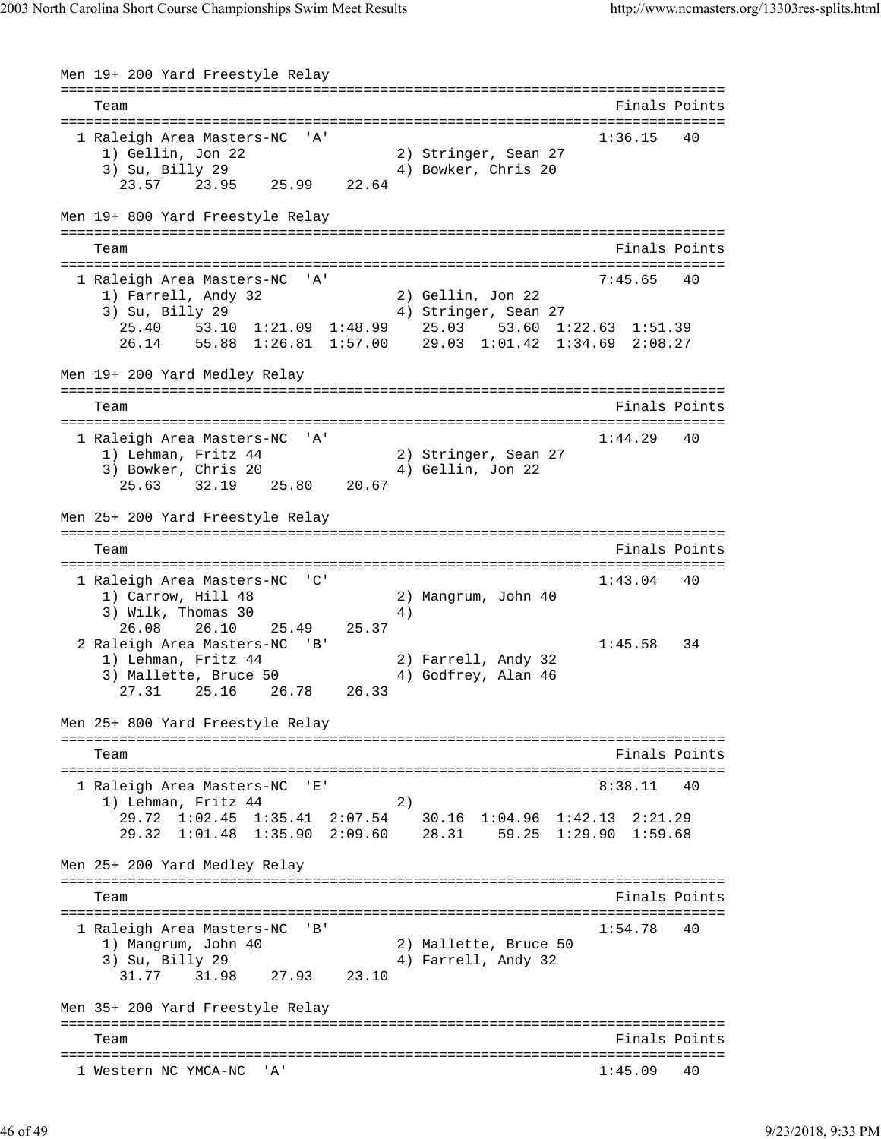Men 19+ 200 Yard Freestyle Relay =============================================================================== Team Finals Points =============================================================================== 1 Raleigh Area Masters-NC 'A' 1:36.15 40 1) Gellin, Jon 22 2) Stringer, Sean 27 3) Su, Billy 29 4) Bowker, Chris 20 3) Su, Billy 29<br>23.57 23.95 25.99 22.64 Men 19+ 800 Yard Freestyle Relay =============================================================================== Team Finals Points Points Points Points Points Points Points Points Points Points Points Points Points Points Points Points Points Points Points Points Points Points Points Points Points Points Points Points Points Points =============================================================================== 1 Raleigh Area Masters-NC 'A' 1) Farrell, Andy 32 2) Gellin, Jon 22 3) Su, Billy 29 (3) 4) Stringer, Sean 27 25.40 53.10 1:21.09 1:48.99 25.03 53.60 1:22.63 1:51.39 26.14 55.88 1:26.81 1:57.00 29.03 1:01.42 1:34.69 2:08.27 Men 19+ 200 Yard Medley Relay =============================================================================== Team Finals Points =============================================================================== 1 Raleigh Area Masters-NC 'A' 1) Lehman, Fritz 44 2) Stringer, Sean 27 3) Bowker, Chris 20 4) Gellin, Jon 22 25.63 32.19 25.80 20.67 Men 25+ 200 Yard Freestyle Relay =============================================================================== Team Finals Points =============================================================================== 1 Raleigh Area Masters-NC 'C' 1:43.04 40<br>1) Carrow, Hill 48 2) Mangrum, John 40 1) Carrow, Hill 48 2) Mangrum, John 40 3) Wilk, Thomas 30 4) 26.08 26.10 25.49 25.37 2 Raleigh Area Masters-NC 'B' 1:45.58 34 1) Lehman, Fritz 44 2) Farrell, Andy 32 3) Mallette, Bruce 50 (4) Godfrey, Alan 46 27.31 25.16 26.78 26.33 Men 25+ 800 Yard Freestyle Relay =============================================================================== Team Finals Points =============================================================================== 1 Raleigh Area Masters-NC 'E' 8:38.11 40 1) Lehman, Fritz 44 (2) 29.72 1:02.45 1:35.41 2:07.54 30.16 1:04.96 1:42.13 2:21.29 29.32 1:01.48 1:35.90 2:09.60 28.31 59.25 1:29.90 1:59.68 Men 25+ 200 Yard Medley Relay =============================================================================== Team Finals Points =============================================================================== 1 Raleigh Area Masters-NC 'B' 1:54.78 40 1) Mangrum, John 40 2) Mallette, Bruce 50 3) Su, Billy 29 4) Farrell, Andy 32  $31.77$   $31.98$   $27.93$   $23.10$ Men 35+ 200 Yard Freestyle Relay =============================================================================== Team Finals Points =============================================================================== 1 Western NC YMCA-NC 'A' 1:45.09 40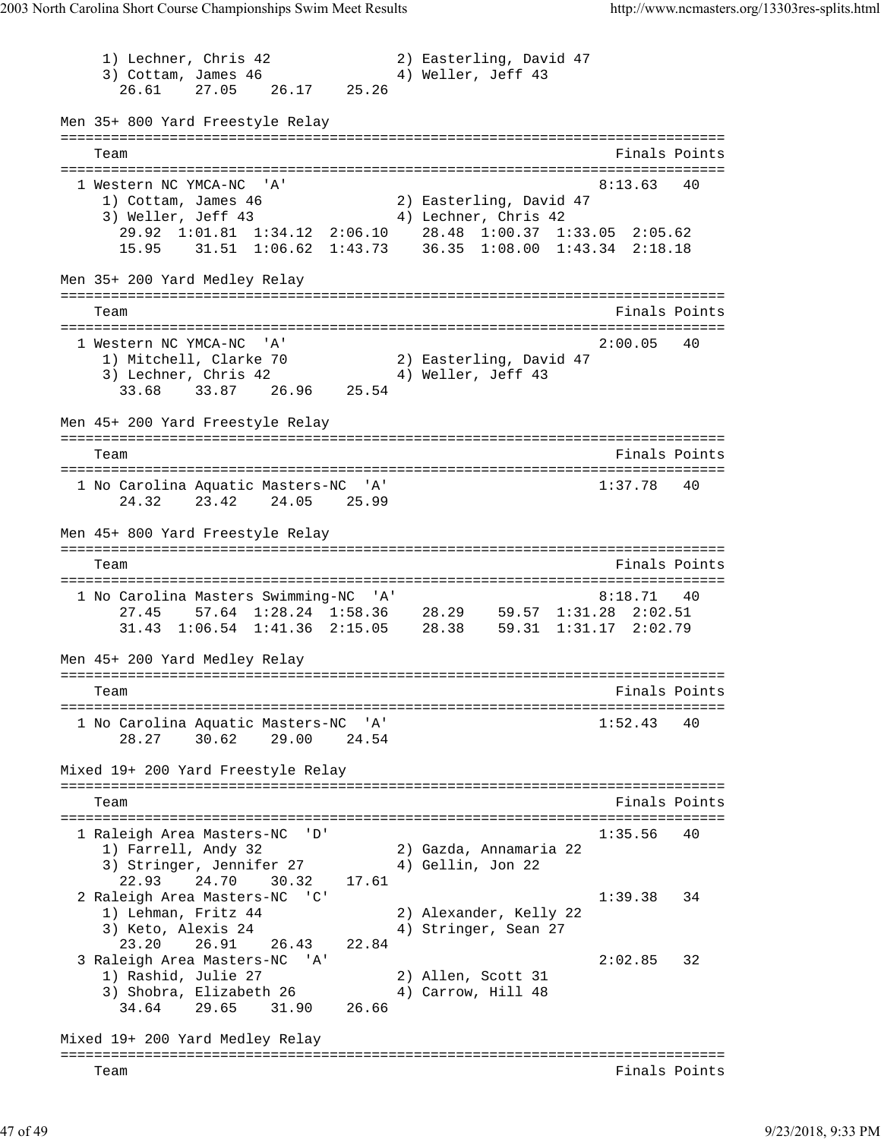1) Lechner, Chris 42 2) Easterling, David 47 3) Cottam, James 46 4) Weller, Jeff 43 26.61 27.05 26.17 25.26 Men 35+ 800 Yard Freestyle Relay =============================================================================== Team Finals Points =============================================================================== 1 Western NC YMCA-NC 'A' 8:13.63 40 1) Cottam, James 46 2) Easterling, David 47 3) Weller, Jeff 43 4) Lechner, Chris 42 29.92 1:01.81 1:34.12 2:06.10 28.48 1:00.37 1:33.05 2:05.62 15.95 31.51 1:06.62 1:43.73 36.35 1:08.00 1:43.34 2:18.18 Men 35+ 200 Yard Medley Relay =============================================================================== Team Finals Points =============================================================================== 1 Western NC YMCA-NC 'A' 2:00.05 40 1) Mitchell, Clarke 70 2) Easterling, David 47 3) Lechner, Chris 42 (4) Weller, Jeff 43 33.68 33.87 26.96 25.54 Men 45+ 200 Yard Freestyle Relay =============================================================================== Team Finals Points =============================================================================== 1 No Carolina Aquatic Masters-NC 'A' 1:37.78 40 24.32 23.42 24.05 25.99 Men 45+ 800 Yard Freestyle Relay =============================================================================== Team Finals Points =============================================================================== 1 No Carolina Masters Swimming-NC 'A' 8:18.71 40 27.45 57.64 1:28.24 1:58.36 28.29 59.57 1:31.28 2:02.51 31.43 1:06.54 1:41.36 2:15.05 28.38 59.31 1:31.17 2:02.79 Men 45+ 200 Yard Medley Relay =============================================================================== Team **Finals Points** =============================================================================== 1 No Carolina Aquatic Masters-NC 'A' 1:52.43 40 28.27 30.62 29.00 24.54 Mixed 19+ 200 Yard Freestyle Relay =============================================================================== Team Finals Points and the Community of the Community of the Points Points Points and the Points of the Community of the Community of the Community of the Community of the Community of the Community of the Community of the =============================================================================== 1 Raleigh Area Masters-NC 'D' 1:35.56 40 1) Farrell, Andy 32 2) Gazda, Annamaria 22 3) Stringer, Jennifer 27 (4) Gellin, Jon 22 22.93 24.70 30.32 17.61 2 Raleigh Area Masters-NC 'C' 1:39.38 34 1) Lehman, Fritz 44 2) Alexander, Kelly 22 3) Keto, Alexis 24 (4) Stringer, Sean 27 23.20 26.91 26.43 22.84 3 Raleigh Area Masters-NC 'A' 2:02.85 32 1) Rashid, Julie 27 (2) Allen, Scott 31 3) Shobra, Elizabeth 26 (4) Carrow, Hill 48 34.64 29.65 31.90 26.66 Mixed 19+ 200 Yard Medley Relay =============================================================================== Team Finals Points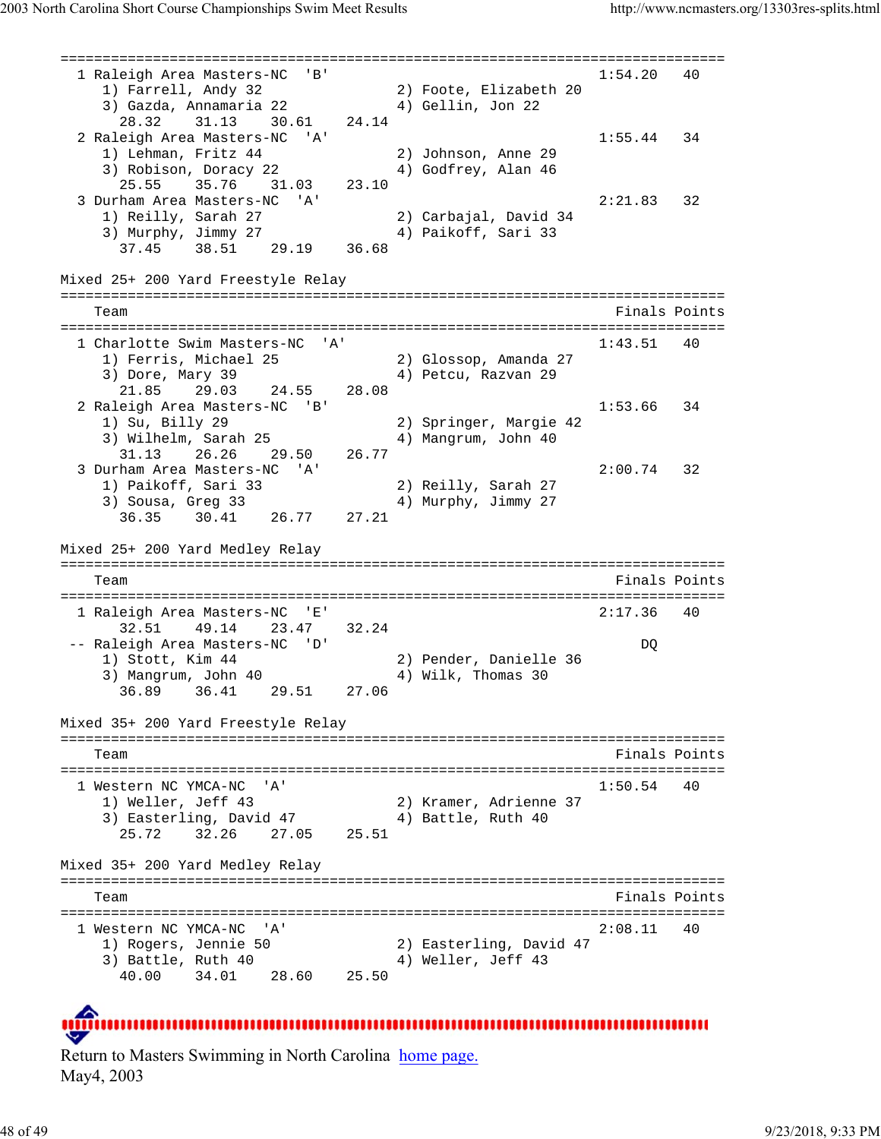=============================================================================== 1 Raleigh Area Masters-NC 'B' 1:54.20 40 1) Farrell, Andy 32 2) Foote, Elizabeth 20 3) Gazda, Annamaria 22 4) Gellin, Jon 22 28.32 31.13 30.61 24.14 2 Raleigh Area Masters-NC 'A' 1:55.44 34 1) Lehman, Fritz 44 2) Johnson, Anne 29 3) Robison, Doracy 22 (4) Godfrey, Alan 46 25.55 35.76 31.03 23.10 3 Durham Area Masters-NC 'A' 2:21.83 32 1) Reilly, Sarah 27 2) Carbajal, David 34 3) Murphy, Jimmy 27 4) Paikoff, Sari 33 37.45 38.51 29.19 36.68 Mixed 25+ 200 Yard Freestyle Relay =============================================================================== Team Finals Points =============================================================================== 1 Charlotte Swim Masters-NC 'A' 1:43.51 40 1) Ferris, Michael 25 2) Glossop, Amanda 27 3) Dore, Mary 39  $\hspace{1cm}$  4) Petcu, Razvan 29 21.85 29.03 24.55 28.08 2 Raleigh Area Masters-NC 'B' 1:53.66 34 1) Su, Billy 29 2) Springer, Margie 42 3) Wilhelm, Sarah 25 4) Mangrum, John 40 31.13 26.26 29.50 26.77 3 Durham Area Masters-NC 'A' 2:00.74 32 1) Paikoff, Sari 33 2) Reilly, Sarah 27 3) Sousa, Greg 33 4) Murphy, Jimmy 27 36.35 30.41 26.77 27.21 Mixed 25+ 200 Yard Medley Relay =============================================================================== Team Finals Points Points Points Points Points Points Points Points Points Points Points Points Points Points Points Points Points Points Points Points Points Points Points Points Points Points Points Points Points Points =============================================================================== 1 Raleigh Area Masters-NC 'E' 32.51 49.14 23.47 32.24 -- Raleigh Area Masters-NC 'D' DQ 1) Stott, Kim 44 2) Pender, Danielle 36 3) Mangrum, John 40 4) Wilk, Thomas 30 36.89 36.41 29.51 27.06 Mixed 35+ 200 Yard Freestyle Relay =============================================================================== Team Finals Points =============================================================================== 1 Western NC YMCA-NC 'A' 1:50.54 40 1) Weller, Jeff 43 2) Kramer, Adrienne 37 3) Easterling, David 47 (4) Battle, Ruth 40 25.72 32.26 27.05 25.51 Mixed 35+ 200 Yard Medley Relay =============================================================================== Team Finals Points =============================================================================== 1 Western NC YMCA-NC 'A' 2:08.11 40 1) Rogers, Jennie 50 2) Easterling, David 47 3) Battle, Ruth 40 4) Weller, Jeff 43 40.00 34.01 28.60 25.50

Return to Masters Swimming in North Carolina home page. May4, 2003